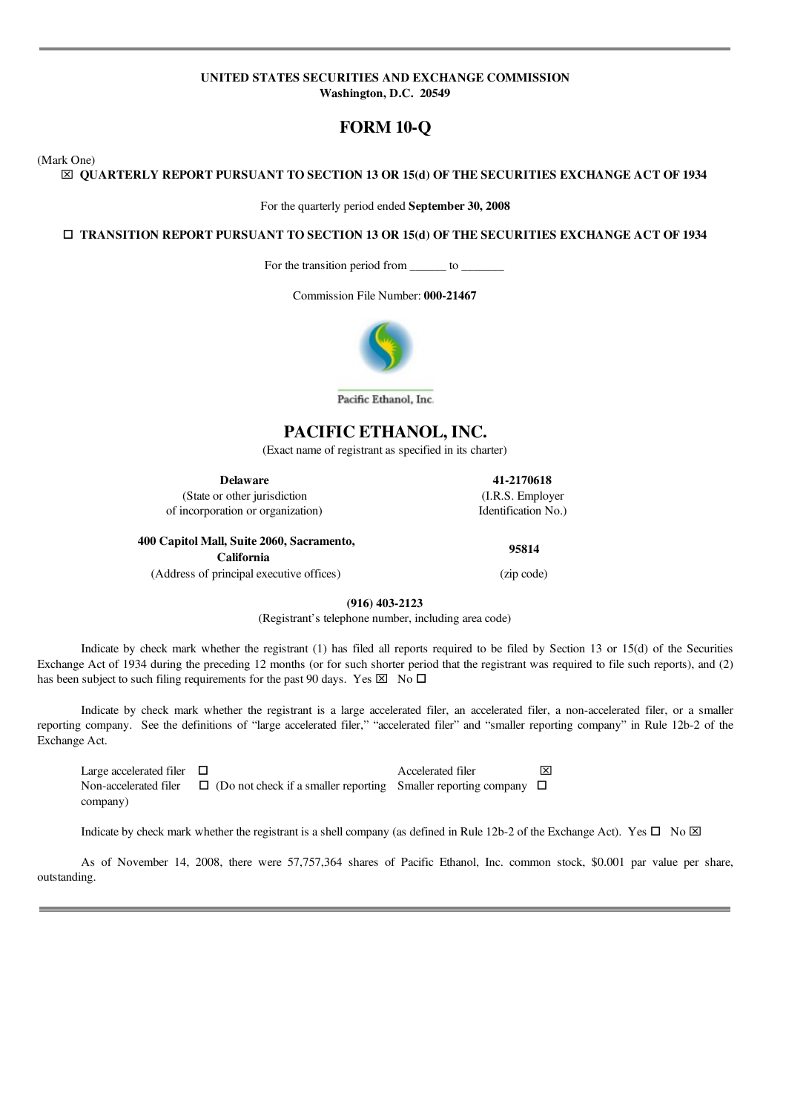### UNITED STATES SECURITIES AND EXCHANGE COMMISSION Washington, D.C. 20549

# FORM 10-Q

(Mark One)

 $\boxtimes$  QUARTERLY REPORT PURSUANT TO SECTION 13 OR 15(d) OF THE SECURITIES EXCHANGE ACT OF 1934

For the quarterly period ended September 30, 2008

 $\square$  TRANSITION REPORT PURSUANT TO SECTION 13 OR 15(d) OF THE SECURITIES EXCHANGE ACT OF 1934

For the transition period from to

Commission File Number: 000-21467



Pacific Ethanol, Inc.

# PACIFIC ETHANOL, INC.

(Exact name of registrant as specified in its charter)

Delaware

(State or other jurisdiction of incorporation or organization)

41-2170618 (I.R.S. Employer Identification No.)

400 Capitol Mall, Suite 2060, Sacramento, California

(Address of principal executive offices) (zip code)

95814

(916) 403-2123

(Registrant's telephone number, including area code)

Indicate by check mark whether the registrant (1) has filed all reports required to be filed by Section 13 or 15(d) of the Securities Exchange Act of 1934 during the preceding 12 months (or for such shorter period that the registrant was required to file such reports), and (2) has been subject to such filing requirements for the past 90 days. Yes  $\boxtimes$  No  $\square$ 

Indicate by check mark whether the registrant is a large accelerated filer, an accelerated filer, a non-accelerated filer, or a smaller reporting company. See the definitions of "large accelerated filer," "accelerated filer" and "smaller reporting company" in Rule 12b-2 of the Exchange Act.

Large accelerated filer  $\Box$ Non-accelerated filer  $\Box$  (Do not check if a smaller reporting Smaller reporting company  $\Box$ company)

Indicate by check mark whether the registrant is a shell company (as defined in Rule 12b-2 of the Exchange Act). Yes  $\Box$  No  $\boxtimes$ 

As of November 14, 2008, there were 57,757,364 shares of Pacific Ethanol, Inc. common stock, \$0.001 par value per share, outstanding.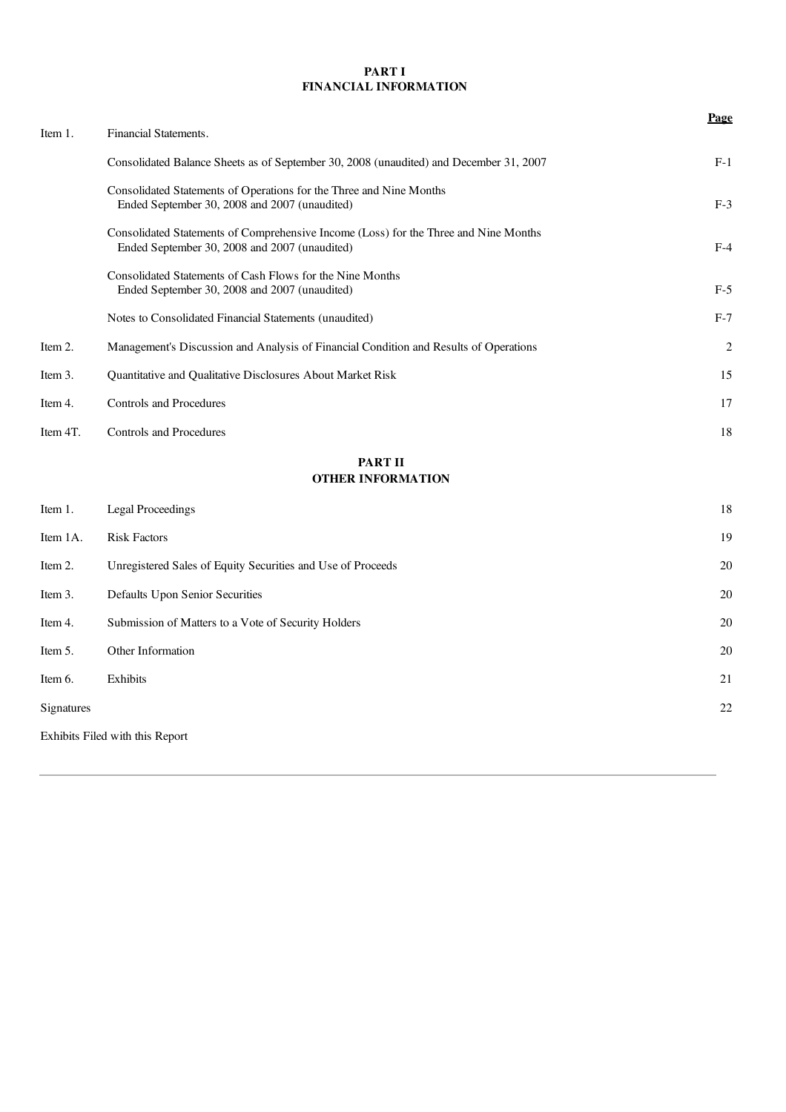## PART I FINANCIAL INFORMATION

| Item 1.  | Financial Statements.                                                                                                                 | Page           |
|----------|---------------------------------------------------------------------------------------------------------------------------------------|----------------|
|          | Consolidated Balance Sheets as of September 30, 2008 (unaudited) and December 31, 2007                                                | $F-1$          |
|          | Consolidated Statements of Operations for the Three and Nine Months<br>Ended September 30, 2008 and 2007 (unaudited)                  | $F-3$          |
|          | Consolidated Statements of Comprehensive Income (Loss) for the Three and Nine Months<br>Ended September 30, 2008 and 2007 (unaudited) | $F-4$          |
|          | Consolidated Statements of Cash Flows for the Nine Months<br>Ended September 30, 2008 and 2007 (unaudited)                            | $F-5$          |
|          | Notes to Consolidated Financial Statements (unaudited)                                                                                | $F-7$          |
| Item 2.  | Management's Discussion and Analysis of Financial Condition and Results of Operations                                                 | $\overline{c}$ |
| Item 3.  | Quantitative and Qualitative Disclosures About Market Risk                                                                            | 15             |
| Item 4.  | Controls and Procedures                                                                                                               | 17             |
| Item 4T. | Controls and Procedures                                                                                                               | 18             |
|          | <b>PART II</b><br><b>OTHER INFORMATION</b>                                                                                            |                |

| Item 1.    | <b>Legal Proceedings</b>                                    | 18 |
|------------|-------------------------------------------------------------|----|
| Item 1A.   | <b>Risk Factors</b>                                         | 19 |
| Item 2.    | Unregistered Sales of Equity Securities and Use of Proceeds | 20 |
| Item 3.    | Defaults Upon Senior Securities                             | 20 |
| Item 4.    | Submission of Matters to a Vote of Security Holders         | 20 |
| Item 5.    | Other Information                                           | 20 |
| Item 6.    | Exhibits                                                    | 21 |
| Signatures |                                                             | 22 |
|            | Exhibits Filed with this Report                             |    |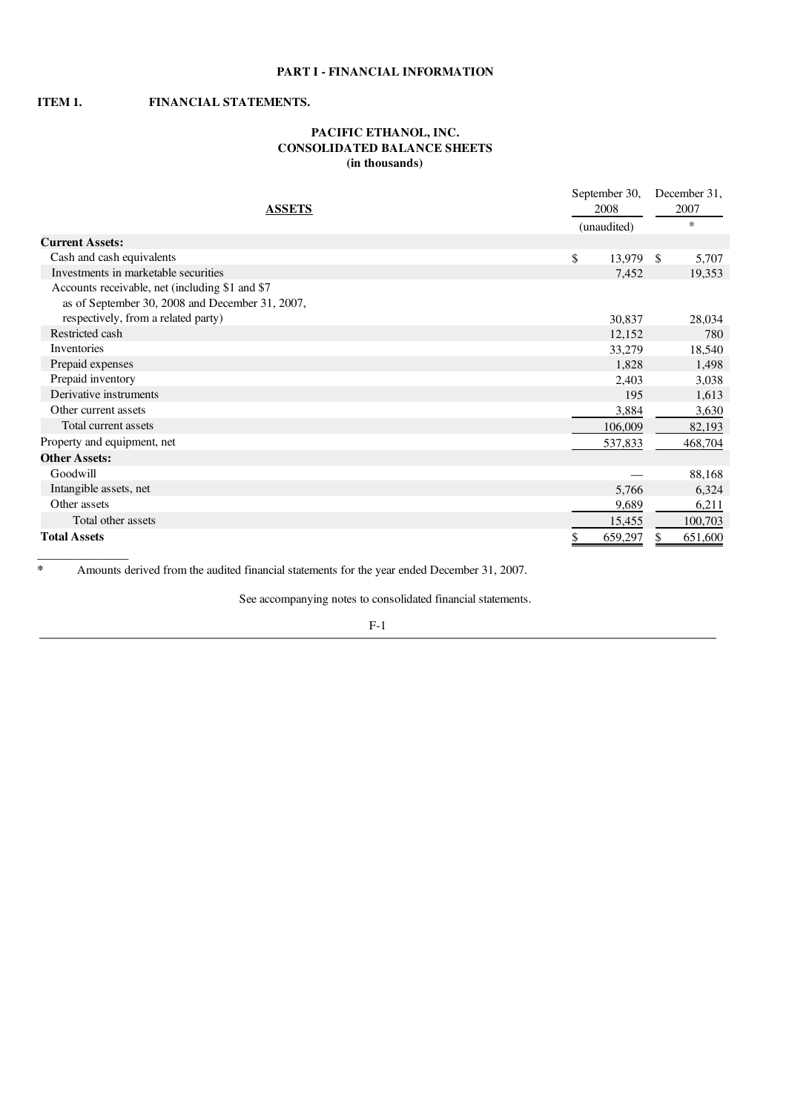## PART I - FINANCIAL INFORMATION

## ITEM 1. FINANCIAL STATEMENTS.

\_\_\_\_\_\_\_\_\_\_\_\_\_\_\_

## PACIFIC ETHANOL, INC. CONSOLIDATED BALANCE SHEETS (in thousands)

| <b>ASSETS</b>                                                                                      | September 30,<br>2008 | December 31,<br>2007 |
|----------------------------------------------------------------------------------------------------|-----------------------|----------------------|
|                                                                                                    | (unaudited)           | $\ast$               |
| <b>Current Assets:</b>                                                                             |                       |                      |
| Cash and cash equivalents                                                                          | \$<br>13,979          | -\$<br>5,707         |
| Investments in marketable securities                                                               | 7,452                 | 19,353               |
| Accounts receivable, net (including \$1 and \$7<br>as of September 30, 2008 and December 31, 2007, |                       |                      |
| respectively, from a related party)                                                                | 30,837                | 28,034               |
| Restricted cash                                                                                    | 12,152                | 780                  |
| Inventories                                                                                        | 33,279                | 18,540               |
| Prepaid expenses                                                                                   | 1,828                 | 1,498                |
| Prepaid inventory                                                                                  | 2,403                 | 3,038                |
| Derivative instruments                                                                             | 195                   | 1,613                |
| Other current assets                                                                               | 3,884                 | 3,630                |
| Total current assets                                                                               | 106,009               | 82,193               |
| Property and equipment, net                                                                        | 537,833               | 468,704              |
| <b>Other Assets:</b>                                                                               |                       |                      |
| Goodwill                                                                                           |                       | 88,168               |
| Intangible assets, net                                                                             | 5,766                 | 6,324                |
| Other assets                                                                                       | 9,689                 | 6,211                |
| Total other assets                                                                                 | 15,455                | 100,703              |
| <b>Total Assets</b>                                                                                | 659,297<br>\$         | 651,600<br>\$        |

\* Amounts derived from the audited financial statements for the year ended December 31, 2007.

See accompanying notes to consolidated financial statements.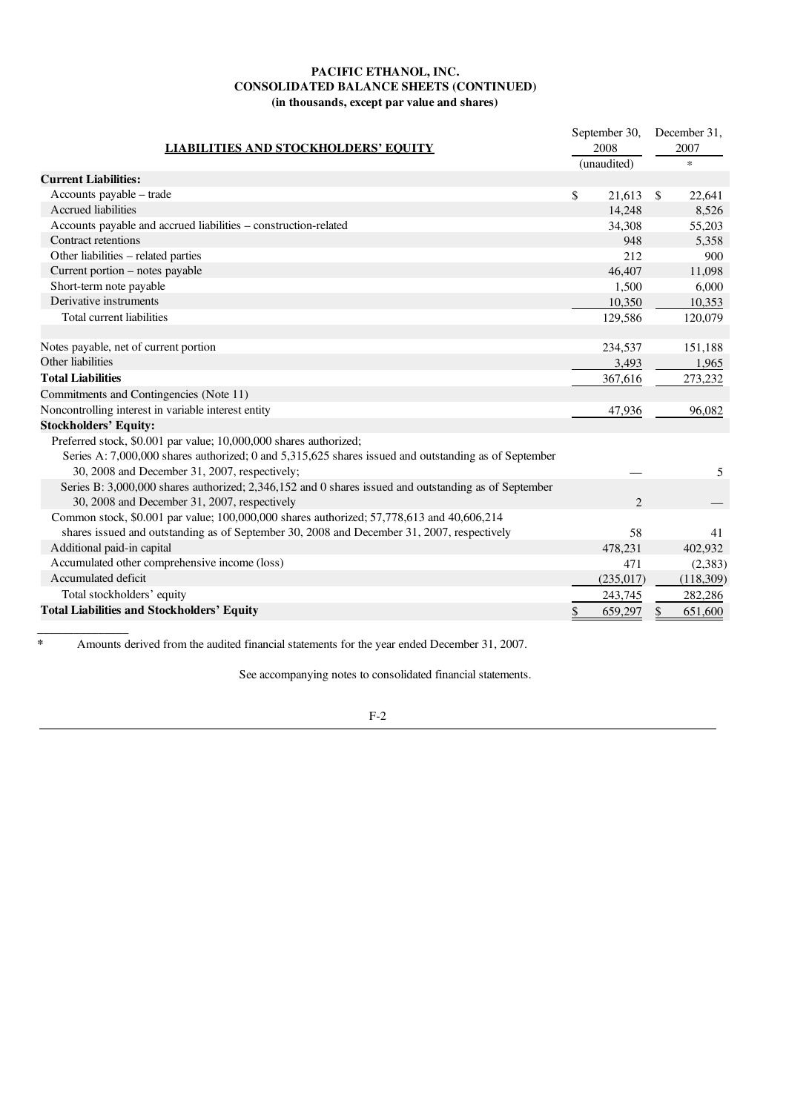## PACIFIC ETHANOL, INC. CONSOLIDATED BALANCE SHEETS (CONTINUED) (in thousands, except par value and shares)

| <b>LIABILITIES AND STOCKHOLDERS' EQUITY</b>                                                          | September 30,<br>2008 | December 31,<br>2007 |
|------------------------------------------------------------------------------------------------------|-----------------------|----------------------|
|                                                                                                      | (unaudited)           | $\ast$               |
| <b>Current Liabilities:</b>                                                                          |                       |                      |
| Accounts payable – trade                                                                             | \$<br>21,613          | \$<br>22,641         |
| <b>Accrued liabilities</b>                                                                           | 14.248                | 8,526                |
| Accounts payable and accrued liabilities - construction-related                                      | 34,308                | 55,203               |
| Contract retentions                                                                                  | 948                   | 5,358                |
| Other liabilities - related parties                                                                  | 212                   | 900                  |
| Current portion – notes payable                                                                      | 46,407                | 11,098               |
| Short-term note payable                                                                              | 1,500                 | 6,000                |
| Derivative instruments                                                                               | 10,350                | 10,353               |
| Total current liabilities                                                                            | 129,586               | 120,079              |
|                                                                                                      |                       |                      |
| Notes payable, net of current portion                                                                | 234,537               | 151,188              |
| Other liabilities                                                                                    | 3,493                 | 1,965                |
| <b>Total Liabilities</b>                                                                             | 367,616               | 273,232              |
| Commitments and Contingencies (Note 11)                                                              |                       |                      |
| Noncontrolling interest in variable interest entity                                                  | 47,936                | 96,082               |
| <b>Stockholders' Equity:</b>                                                                         |                       |                      |
| Preferred stock, \$0.001 par value; 10,000,000 shares authorized;                                    |                       |                      |
| Series A: 7,000,000 shares authorized; 0 and 5,315,625 shares issued and outstanding as of September |                       |                      |
| 30, 2008 and December 31, 2007, respectively;                                                        |                       | 5                    |
| Series B: 3,000,000 shares authorized; 2,346,152 and 0 shares issued and outstanding as of September |                       |                      |
| 30, 2008 and December 31, 2007, respectively                                                         | $\overline{2}$        |                      |
| Common stock, \$0.001 par value; 100,000,000 shares authorized; 57,778,613 and 40,606,214            |                       |                      |
| shares issued and outstanding as of September 30, 2008 and December 31, 2007, respectively           | 58                    | 41                   |
| Additional paid-in capital                                                                           | 478,231               | 402,932              |
| Accumulated other comprehensive income (loss)                                                        | 471                   | (2, 383)             |
| Accumulated deficit                                                                                  | (235,017)             | (118,309)            |
| Total stockholders' equity                                                                           | 243,745               | 282,286              |
| <b>Total Liabilities and Stockholders' Equity</b>                                                    | \$<br>659,297         | \$<br>651,600        |

\* Amounts derived from the audited financial statements for the year ended December 31, 2007.

 $\overline{\phantom{a}}$  , we can also the contract of  $\overline{\phantom{a}}$ 

See accompanying notes to consolidated financial statements.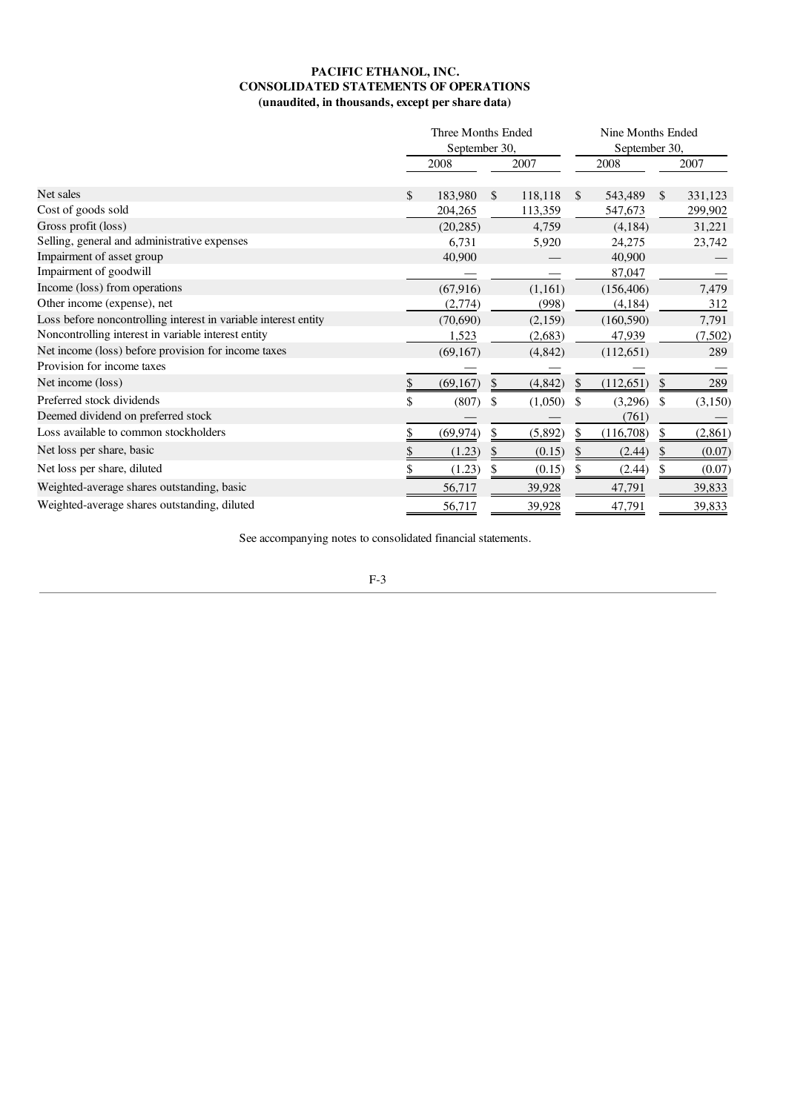### PACIFIC ETHANOL, INC. CONSOLIDATED STATEMENTS OF OPERATIONS (unaudited, in thousands, except per share data)

|                                                                 | Three Months Ended<br>September 30, |    |          |               | Nine Months Ended<br>September 30, |     |         |
|-----------------------------------------------------------------|-------------------------------------|----|----------|---------------|------------------------------------|-----|---------|
|                                                                 | 2008                                |    | 2007     |               | 2008                               |     | 2007    |
| Net sales                                                       | \$<br>183,980                       | \$ | 118,118  | $\mathbb{S}$  | 543,489                            | \$  | 331,123 |
| Cost of goods sold                                              | 204,265                             |    | 113,359  |               | 547,673                            |     | 299,902 |
| Gross profit (loss)                                             | (20, 285)                           |    | 4,759    |               | (4,184)                            |     | 31,221  |
| Selling, general and administrative expenses                    | 6,731                               |    | 5,920    |               | 24,275                             |     | 23,742  |
| Impairment of asset group                                       | 40,900                              |    |          |               | 40,900                             |     |         |
| Impairment of goodwill                                          |                                     |    |          |               | 87,047                             |     |         |
| Income (loss) from operations                                   | (67, 916)                           |    | (1,161)  |               | (156, 406)                         |     | 7,479   |
| Other income (expense), net                                     | (2,774)                             |    | (998)    |               | (4,184)                            |     | 312     |
| Loss before noncontrolling interest in variable interest entity | (70,690)                            |    | (2,159)  |               | (160, 590)                         |     | 7,791   |
| Noncontrolling interest in variable interest entity             | 1,523                               |    | (2,683)  |               | 47,939                             |     | (7,502) |
| Net income (loss) before provision for income taxes             | (69, 167)                           |    | (4, 842) |               | (112, 651)                         |     | 289     |
| Provision for income taxes                                      |                                     |    |          |               |                                    |     |         |
| Net income (loss)                                               | (69, 167)                           | \$ | (4, 842) | <sup>\$</sup> | (112, 651)                         | \$  | 289     |
| Preferred stock dividends                                       | \$<br>(807)                         | \$ | (1,050)  | \$            | (3,296)                            | \$  | (3,150) |
| Deemed dividend on preferred stock                              |                                     |    |          |               | (761)                              |     |         |
| Loss available to common stockholders                           | (69, 974)                           | S  | (5,892)  | \$            | (116,708)                          | \$. | (2,861) |
| Net loss per share, basic                                       | (1.23)                              | \$ | (0.15)   | \$            | (2.44)                             | \$  | (0.07)  |
| Net loss per share, diluted                                     | (1.23)                              |    | (0.15)   |               | (2.44)                             |     | (0.07)  |
| Weighted-average shares outstanding, basic                      | 56,717                              |    | 39,928   |               | 47,791                             |     | 39,833  |
| Weighted-average shares outstanding, diluted                    | 56,717                              |    | 39,928   |               | 47,791                             |     | 39,833  |

See accompanying notes to consolidated financial statements.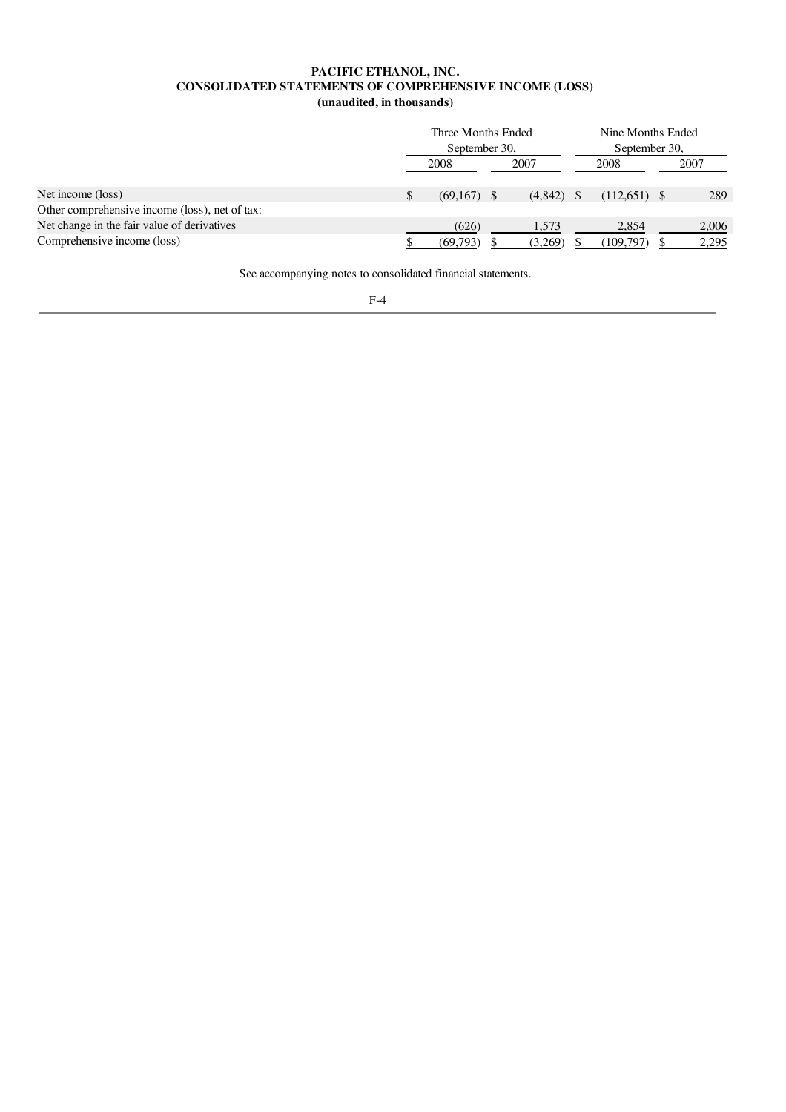## PACIFIC ETHANOL, INC. CONSOLIDATED STATEMENTS OF COMPREHENSIVE INCOME (LOSS) (unaudited, in thousands)

|                                                |     | Three Months Ended |         | Nine Months Ended |       |
|------------------------------------------------|-----|--------------------|---------|-------------------|-------|
|                                                |     | September 30,      |         | September 30,     |       |
|                                                |     | 2008               | 2007    | 2008              | 2007  |
| Net income (loss)                              | \$. | $(69,167)$ \$      | (4,842) | $(112,651)$ \$    | 289   |
| Other comprehensive income (loss), net of tax: |     |                    |         |                   |       |
| Net change in the fair value of derivatives    |     | (626)              | 1.573   | 2,854             | 2,006 |
| Comprehensive income (loss)                    |     | (69, 793)          | (3.269) | (109, 797)        | 2,295 |

See accompanying notes to consolidated financial statements.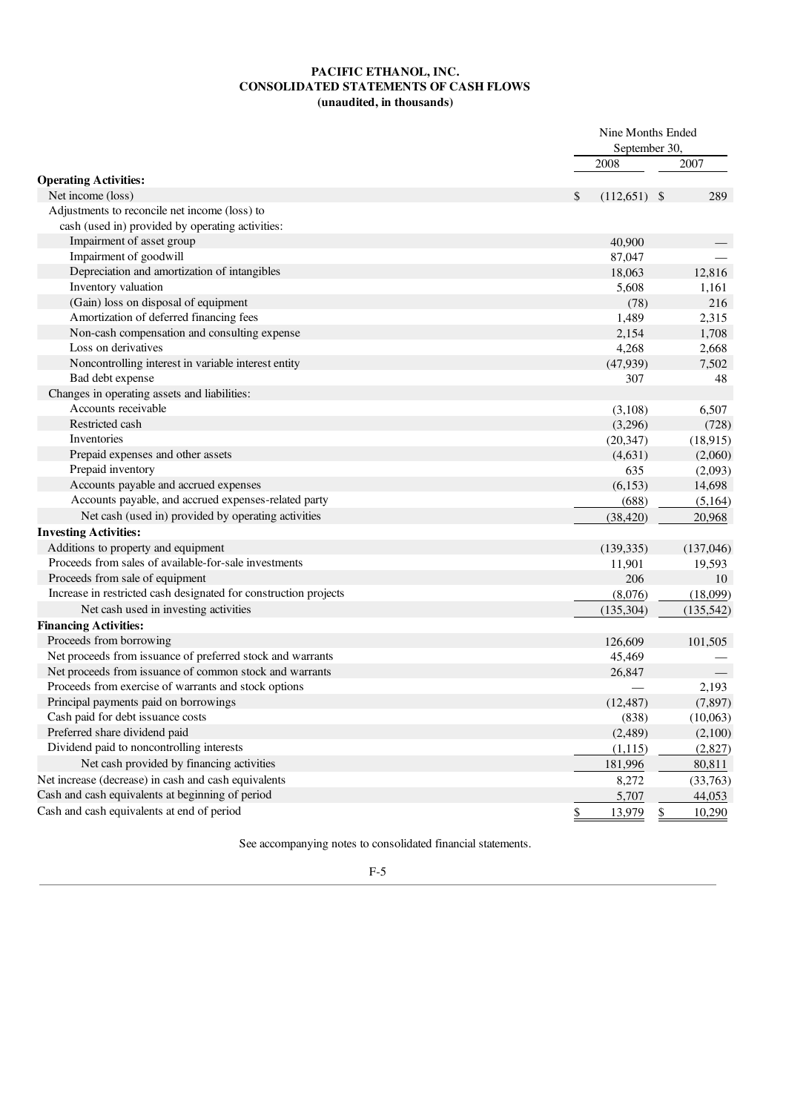### PACIFIC ETHANOL, INC. CONSOLIDATED STATEMENTS OF CASH FLOWS (unaudited, in thousands)

|                                                                  | Nine Months Ended<br>September 30, |              |
|------------------------------------------------------------------|------------------------------------|--------------|
|                                                                  | 2008                               | 2007         |
| <b>Operating Activities:</b>                                     |                                    |              |
| Net income (loss)                                                | \$<br>$(112,651)$ \$               | 289          |
| Adjustments to reconcile net income (loss) to                    |                                    |              |
| cash (used in) provided by operating activities:                 |                                    |              |
| Impairment of asset group                                        | 40,900                             |              |
| Impairment of goodwill                                           | 87,047                             |              |
| Depreciation and amortization of intangibles                     | 18,063                             | 12,816       |
| Inventory valuation                                              | 5,608                              | 1,161        |
| (Gain) loss on disposal of equipment                             | (78)                               | 216          |
| Amortization of deferred financing fees                          | 1,489                              | 2,315        |
| Non-cash compensation and consulting expense                     | 2,154                              | 1,708        |
| Loss on derivatives                                              | 4,268                              | 2,668        |
| Noncontrolling interest in variable interest entity              | (47, 939)                          | 7,502        |
| Bad debt expense                                                 | 307                                | 48           |
| Changes in operating assets and liabilities:                     |                                    |              |
| Accounts receivable                                              | (3,108)                            | 6,507        |
| Restricted cash                                                  | (3,296)                            | (728)        |
| Inventories                                                      | (20, 347)                          | (18, 915)    |
| Prepaid expenses and other assets                                | (4,631)                            | (2,060)      |
| Prepaid inventory                                                | 635                                | (2,093)      |
| Accounts payable and accrued expenses                            | (6,153)                            | 14,698       |
| Accounts payable, and accrued expenses-related party             | (688)                              | (5,164)      |
| Net cash (used in) provided by operating activities              | (38, 420)                          | 20,968       |
| <b>Investing Activities:</b>                                     |                                    |              |
| Additions to property and equipment                              | (139, 335)                         | (137,046)    |
| Proceeds from sales of available-for-sale investments            | 11,901                             | 19,593       |
| Proceeds from sale of equipment                                  | 206                                | 10           |
| Increase in restricted cash designated for construction projects | (8,076)                            | (18,099)     |
| Net cash used in investing activities                            | (135, 304)                         | (135, 542)   |
| <b>Financing Activities:</b>                                     |                                    |              |
| Proceeds from borrowing                                          | 126,609                            | 101,505      |
| Net proceeds from issuance of preferred stock and warrants       | 45,469                             |              |
| Net proceeds from issuance of common stock and warrants          | 26,847                             |              |
| Proceeds from exercise of warrants and stock options             |                                    | 2,193        |
| Principal payments paid on borrowings                            | (12, 487)                          | (7, 897)     |
| Cash paid for debt issuance costs                                | (838)                              | (10,063)     |
| Preferred share dividend paid                                    | (2,489)                            | (2,100)      |
| Dividend paid to noncontrolling interests                        | (1,115)                            | (2,827)      |
| Net cash provided by financing activities                        | 181,996                            | 80,811       |
| Net increase (decrease) in cash and cash equivalents             | 8,272                              | (33,763)     |
| Cash and cash equivalents at beginning of period                 | 5,707                              | 44,053       |
| Cash and cash equivalents at end of period                       |                                    |              |
|                                                                  | \$<br>13,979                       | 10,290<br>\$ |

See accompanying notes to consolidated financial statements.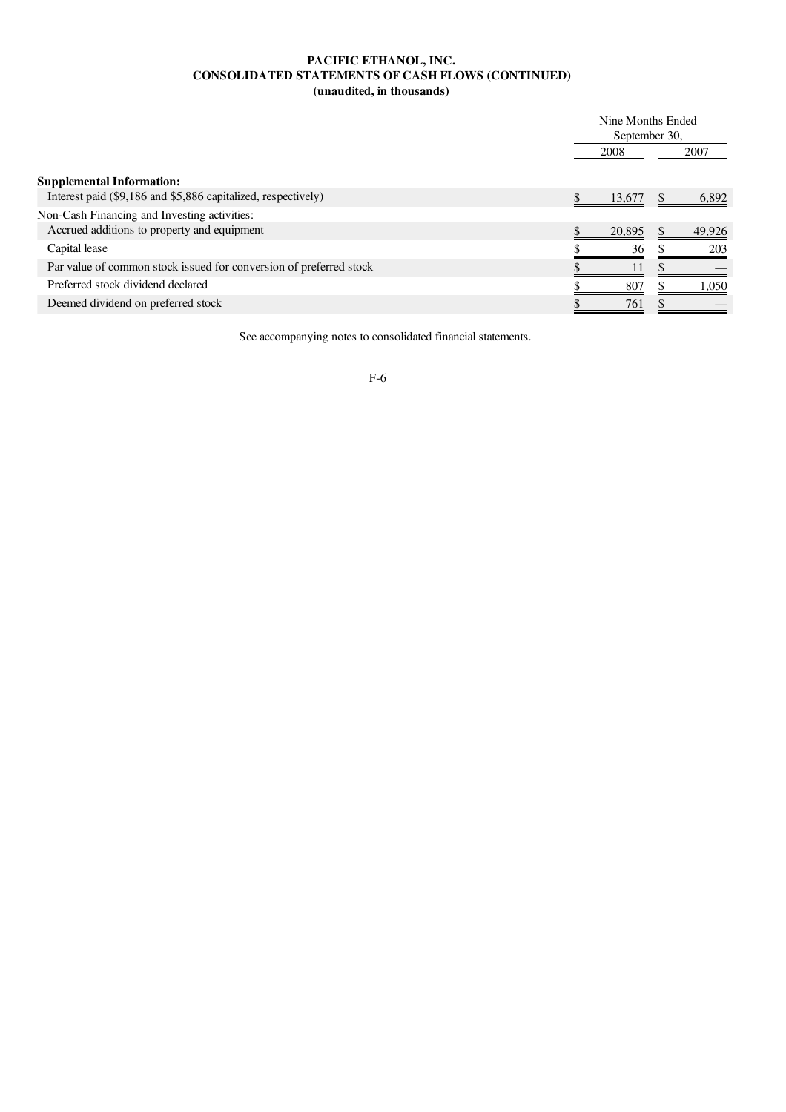## PACIFIC ETHANOL, INC. CONSOLIDATED STATEMENTS OF CASH FLOWS (CONTINUED) (unaudited, in thousands)

|                                                                    | Nine Months Ended<br>September 30, |        |
|--------------------------------------------------------------------|------------------------------------|--------|
|                                                                    | 2008                               | 2007   |
| <b>Supplemental Information:</b>                                   |                                    |        |
| Interest paid (\$9,186 and \$5,886 capitalized, respectively)      | 13.677                             | 6.892  |
| Non-Cash Financing and Investing activities:                       |                                    |        |
| Accrued additions to property and equipment                        | 20,895                             | 49,926 |
| Capital lease                                                      | 36                                 | 203    |
| Par value of common stock issued for conversion of preferred stock |                                    |        |
| Preferred stock dividend declared                                  | 807                                | 1,050  |
| Deemed dividend on preferred stock                                 | 761                                |        |

See accompanying notes to consolidated financial statements.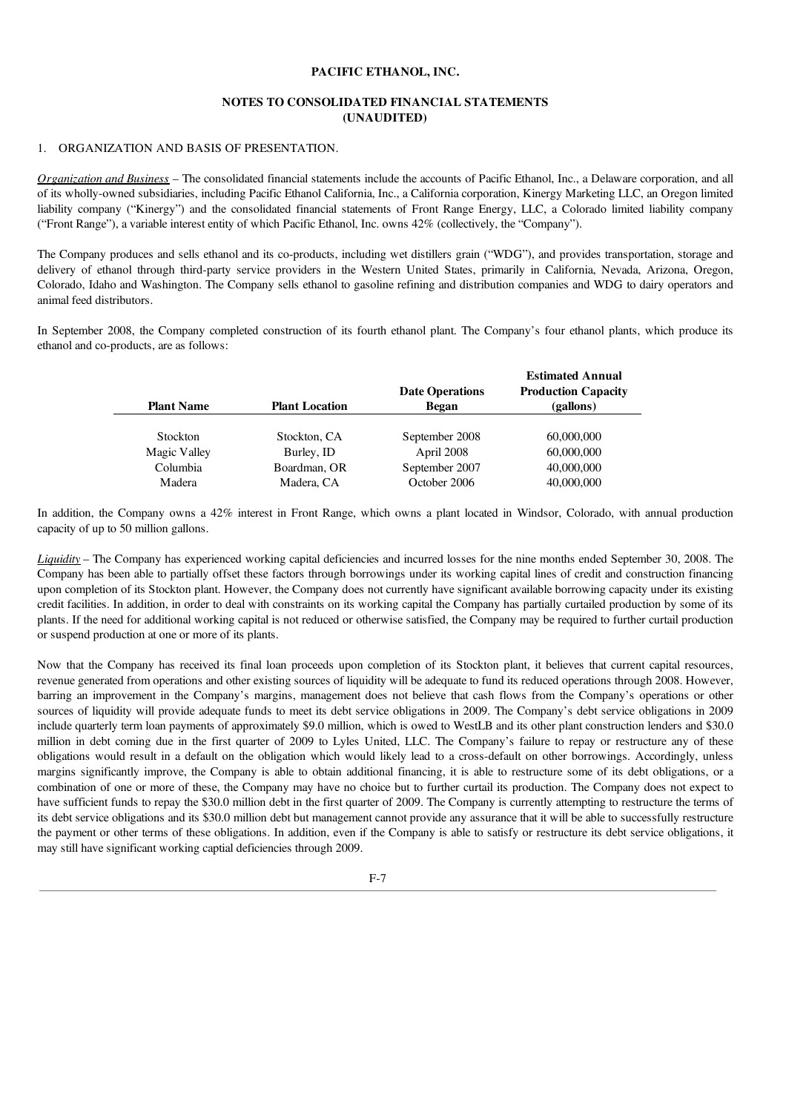## NOTES TO CONSOLIDATED FINANCIAL STATEMENTS (UNAUDITED)

#### 1. ORGANIZATION AND BASIS OF PRESENTATION.

*Organization and Business* – The consolidated financial statements include the accounts of Pacific Ethanol, Inc., a Delaware corporation, and all of its wholly-owned subsidiaries, including Pacific Ethanol California, Inc., a California corporation, Kinergy Marketing LLC, an Oregon limited liability company ("Kinergy") and the consolidated financial statements of Front Range Energy, LLC, a Colorado limited liability company ("Front Range"), a variable interest entity of which Pacific Ethanol, Inc. owns 42% (collectively, the "Company").

The Company produces and sells ethanol and its co-products, including wet distillers grain ("WDG"), and provides transportation, storage and delivery of ethanol through third-party service providers in the Western United States, primarily in California, Nevada, Arizona, Oregon, Colorado, Idaho and Washington. The Company sells ethanol to gasoline refining and distribution companies and WDG to dairy operators and animal feed distributors.

In September 2008, the Company completed construction of its fourth ethanol plant. The Company's four ethanol plants, which produce its ethanol and co-products, are as follows:

| <b>Plant Name</b> | <b>Plant Location</b> | <b>Date Operations</b><br><b>Began</b> | <b>Estimated Annual</b><br><b>Production Capacity</b><br>(gallons) |
|-------------------|-----------------------|----------------------------------------|--------------------------------------------------------------------|
| <b>Stockton</b>   | Stockton, CA          | September 2008                         | 60,000,000                                                         |
| Magic Valley      | Burley, ID            | April 2008                             | 60,000,000                                                         |
| Columbia          | Boardman, OR          | September 2007                         | 40,000,000                                                         |
| Madera            | Madera, CA            | October 2006                           | 40,000,000                                                         |

In addition, the Company owns a 42% interest in Front Range, which owns a plant located in Windsor, Colorado, with annual production capacity of up to 50 million gallons.

*Liquidity* – The Company has experienced working capital deficiencies and incurred losses for the nine months ended September 30, 2008. The Company has been able to partially offset these factors through borrowings under its working capital lines of credit and construction financing upon completion of its Stockton plant. However, the Company does not currently have significant available borrowing capacity under its existing credit facilities. In addition, in order to deal with constraints on its working capital the Company has partially curtailed production by some of its plants. If the need for additional working capital is not reduced or otherwise satisfied, the Company may be required to further curtail production or suspend production at one or more of its plants.

Now that the Company has received its final loan proceeds upon completion of its Stockton plant, it believes that current capital resources, revenue generated from operations and other existing sources of liquidity will be adequate to fund its reduced operations through 2008. However, barring an improvement in the Company's margins, management does not believe that cash flows from the Company's operations or other sources of liquidity will provide adequate funds to meet its debt service obligations in 2009. The Company's debt service obligations in 2009 include quarterly term loan payments of approximately \$9.0 million, which is owed to WestLB and its other plant construction lenders and \$30.0 million in debt coming due in the first quarter of 2009 to Lyles United, LLC. The Company's failure to repay or restructure any of these obligations would result in a default on the obligation which would likely lead to a cross-default on other borrowings. Accordingly, unless margins significantly improve, the Company is able to obtain additional financing, it is able to restructure some of its debt obligations, or a combination of one or more of these, the Company may have no choice but to further curtail its production. The Company does not expect to have sufficient funds to repay the \$30.0 million debt in the first quarter of 2009. The Company is currently attempting to restructure the terms of its debt service obligations and its \$30.0 million debt but management cannot provide any assurance that it will be able to successfully restructure the payment or other terms of these obligations. In addition, even if the Company is able to satisfy or restructure its debt service obligations, it may still have significant working captial deficiencies through 2009.

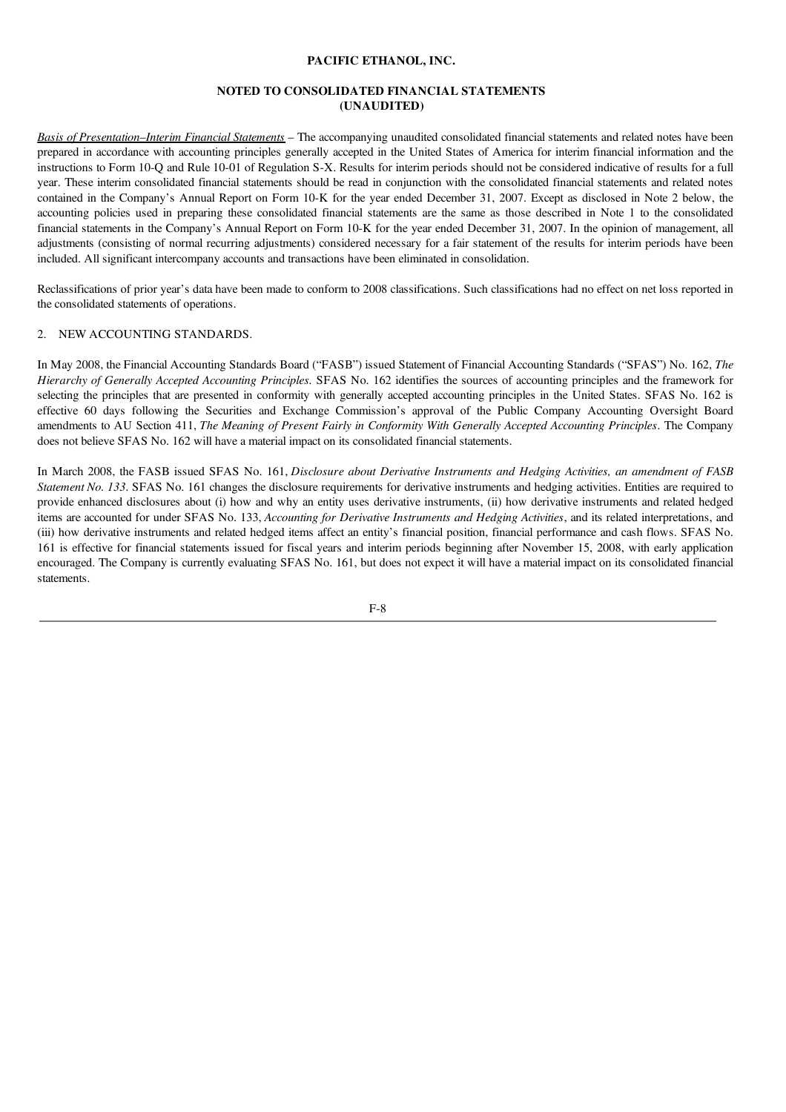## NOTED TO CONSOLIDATED FINANCIAL STATEMENTS (UNAUDITED)

*Basis of Presentation*–*Interim Financial Statements* – The accompanying unaudited consolidated financial statements and related notes have been prepared in accordance with accounting principles generally accepted in the United States of America for interim financial information and the instructions to Form 10-Q and Rule 10-01 of Regulation S-X. Results for interim periods should not be considered indicative of results for a full year. These interim consolidated financial statements should be read in conjunction with the consolidated financial statements and related notes contained in the Company's Annual Report on Form 10-K for the year ended December 31, 2007. Except as disclosed in Note 2 below, the accounting policies used in preparing these consolidated financial statements are the same as those described in Note 1 to the consolidated financial statements in the Company's Annual Report on Form 10-K for the year ended December 31, 2007. In the opinion of management, all adjustments (consisting of normal recurring adjustments) considered necessary for a fair statement of the results for interim periods have been included. All significant intercompany accounts and transactions have been eliminated in consolidation.

Reclassifications of prior year's data have been made to conform to 2008 classifications. Such classifications had no effect on net loss reported in the consolidated statements of operations.

### 2. NEW ACCOUNTING STANDARDS.

In May 2008, the Financial Accounting Standards Board ("FASB") issued Statement of Financial Accounting Standards ("SFAS") No. 162, *The Hierarchy of Generally Accepted Accounting Principles.* SFAS No. 162 identifies the sources of accounting principles and the framework for selecting the principles that are presented in conformity with generally accepted accounting principles in the United States. SFAS No. 162 is effective 60 days following the Securities and Exchange Commission's approval of the Public Company Accounting Oversight Board amendments to AU Section 411, *The Meaning of Present Fairly in Conformity With Generally Accepted Accounting Principles*. The Company does not believe SFAS No. 162 will have a material impact on its consolidated financial statements.

In March 2008, the FASB issued SFAS No. 161, *Disclosure about Derivative Instruments and Hedging Activities, an amendment of FASB Statement No. 133*. SFAS No. 161 changes the disclosure requirements for derivative instruments and hedging activities. Entities are required to provide enhanced disclosures about (i) how and why an entity uses derivative instruments, (ii) how derivative instruments and related hedged items are accounted for under SFAS No. 133, *Accounting for Derivative Instruments and Hedging Activities*, and its related interpretations, and (iii) how derivative instruments and related hedged items affect an entity's financial position, financial performance and cash flows. SFAS No. 161 is effective for financial statements issued for fiscal years and interim periods beginning after November 15, 2008, with early application encouraged. The Company is currently evaluating SFAS No. 161, but does not expect it will have a material impact on its consolidated financial statements.

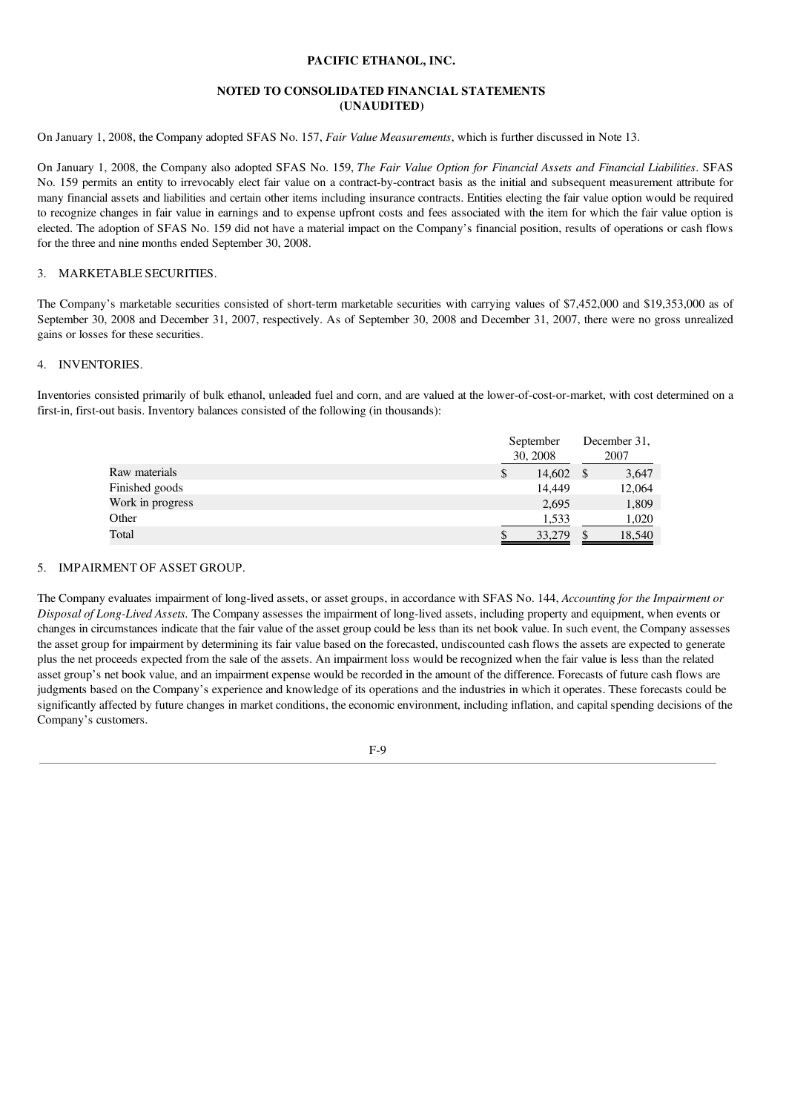## NOTED TO CONSOLIDATED FINANCIAL STATEMENTS (UNAUDITED)

On January 1, 2008, the Company adopted SFAS No. 157, *Fair Value Measurements*, which is further discussed in Note 13.

On January 1, 2008, the Company also adopted SFAS No. 159, *The Fair Value Option for Financial Assets and Financial Liabilities*. SFAS No. 159 permits an entity to irrevocably elect fair value on a contract-by-contract basis as the initial and subsequent measurement attribute for many financial assets and liabilities and certain other items including insurance contracts. Entities electing the fair value option would be required to recognize changes in fair value in earnings and to expense upfront costs and fees associated with the item for which the fair value option is elected. The adoption of SFAS No. 159 did not have a material impact on the Company's financial position, results of operations or cash flows for the three and nine months ended September 30, 2008.

#### 3. MARKETABLE SECURITIES.

The Company's marketable securities consisted of short-term marketable securities with carrying values of \$7,452,000 and \$19,353,000 as of September 30, 2008 and December 31, 2007, respectively. As of September 30, 2008 and December 31, 2007, there were no gross unrealized gains or losses for these securities.

#### 4. INVENTORIES.

Inventories consisted primarily of bulk ethanol, unleaded fuel and corn, and are valued at the lower-of-cost-or-market, with cost determined on a first-in, first-out basis. Inventory balances consisted of the following (in thousands):

|                  | September    | December 31. |
|------------------|--------------|--------------|
|                  | 30, 2008     | 2007         |
| Raw materials    | \$<br>14,602 | 3,647        |
| Finished goods   | 14.449       | 12,064       |
| Work in progress | 2,695        | 1,809        |
| Other            | 1,533        | 1,020        |
| Total            | 33,279       | 18,540       |

### 5. IMPAIRMENT OF ASSET GROUP.

The Company evaluates impairment of long-lived assets, or asset groups, in accordance with SFAS No. 144, *Accounting for the Impairment or Disposal of Long-Lived Assets.* The Company assesses the impairment of long-lived assets, including property and equipment, when events or changes in circumstances indicate that the fair value of the asset group could be less than its net book value. In such event, the Company assesses the asset group for impairment by determining its fair value based on the forecasted, undiscounted cash flows the assets are expected to generate plus the net proceeds expected from the sale of the assets. An impairment loss would be recognized when the fair value is less than the related asset group's net book value, and an impairment expense would be recorded in the amount of the difference. Forecasts of future cash flows are judgments based on the Company's experience and knowledge of its operations and the industries in which it operates. These forecasts could be significantly affected by future changes in market conditions, the economic environment, including inflation, and capital spending decisions of the Company's customers.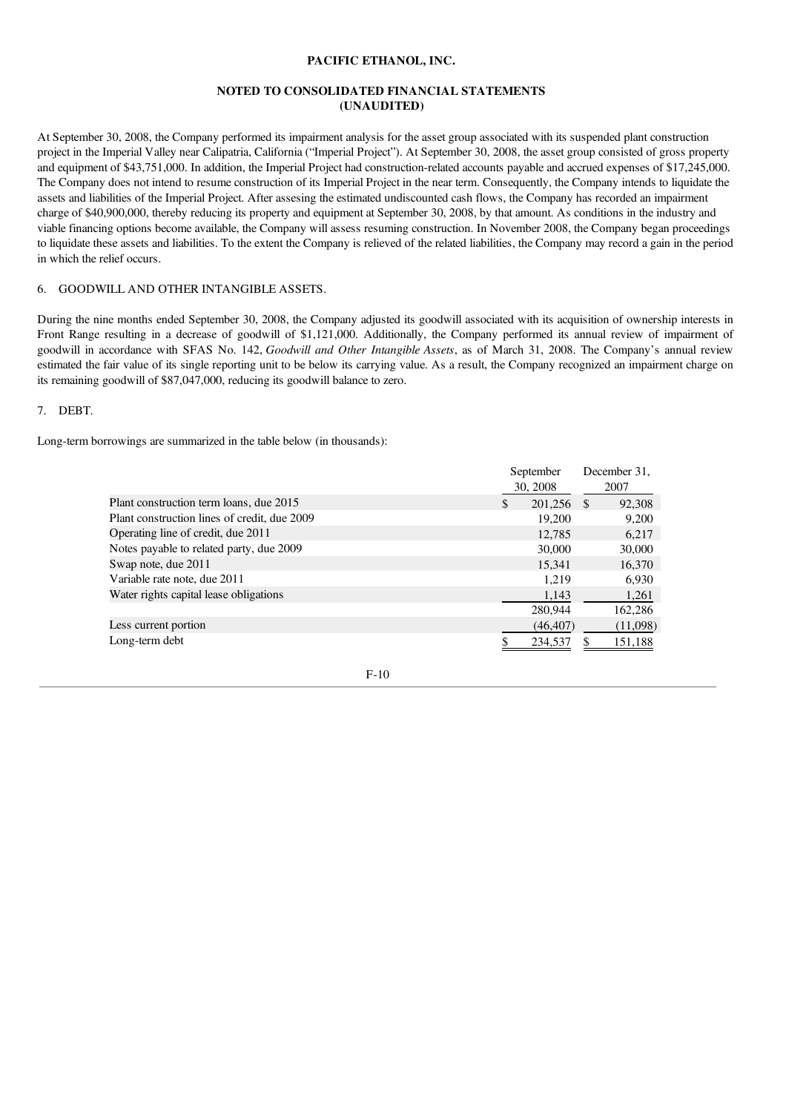## NOTED TO CONSOLIDATED FINANCIAL STATEMENTS (UNAUDITED)

At September 30, 2008, the Company performed its impairment analysis for the asset group associated with its suspended plant construction project in the Imperial Valley near Calipatria, California ("Imperial Project"). At September 30, 2008, the asset group consisted of gross property and equipment of \$43,751,000. In addition, the Imperial Project had construction-related accounts payable and accrued expenses of \$17,245,000. The Company does not intend to resume construction of its Imperial Project in the near term. Consequently, the Company intends to liquidate the assets and liabilities of the Imperial Project. After assesing the estimated undiscounted cash flows, the Company has recorded an impairment charge of \$40,900,000, thereby reducing its property and equipment at September 30, 2008, by that amount. As conditions in the industry and viable financing options become available, the Company will assess resuming construction. In November 2008, the Company began proceedings to liquidate these assets and liabilities. To the extent the Company is relieved of the related liabilities, the Company may record a gain in the period in which the relief occurs.

#### 6. GOODWILL AND OTHER INTANGIBLE ASSETS.

During the nine months ended September 30, 2008, the Company adjusted its goodwill associated with its acquisition of ownership interests in Front Range resulting in a decrease of goodwill of \$1,121,000. Additionally, the Company performed its annual review of impairment of goodwill in accordance with SFAS No. 142, *Goodwill and Other Intangible Assets*, as of March 31, 2008. The Company's annual review estimated the fair value of its single reporting unit to be below its carrying value. As a result, the Company recognized an impairment charge on its remaining goodwill of \$87,047,000, reducing its goodwill balance to zero.

### 7. DEBT.

Long-term borrowings are summarized in the table below (in thousands):

|                                              | September     |    | December 31, |
|----------------------------------------------|---------------|----|--------------|
|                                              | 30, 2008      |    | 2007         |
| Plant construction term loans, due 2015      | \$<br>201,256 | -S | 92,308       |
| Plant construction lines of credit, due 2009 | 19,200        |    | 9,200        |
| Operating line of credit, due 2011           | 12,785        |    | 6,217        |
| Notes payable to related party, due 2009     | 30,000        |    | 30,000       |
| Swap note, due 2011                          | 15,341        |    | 16,370       |
| Variable rate note, due 2011                 | 1.219         |    | 6,930        |
| Water rights capital lease obligations       | 1,143         |    | 1,261        |
|                                              | 280,944       |    | 162,286      |
| Less current portion                         | (46, 407)     |    | (11,098)     |
| Long-term debt                               | 234,537       |    | 151,188      |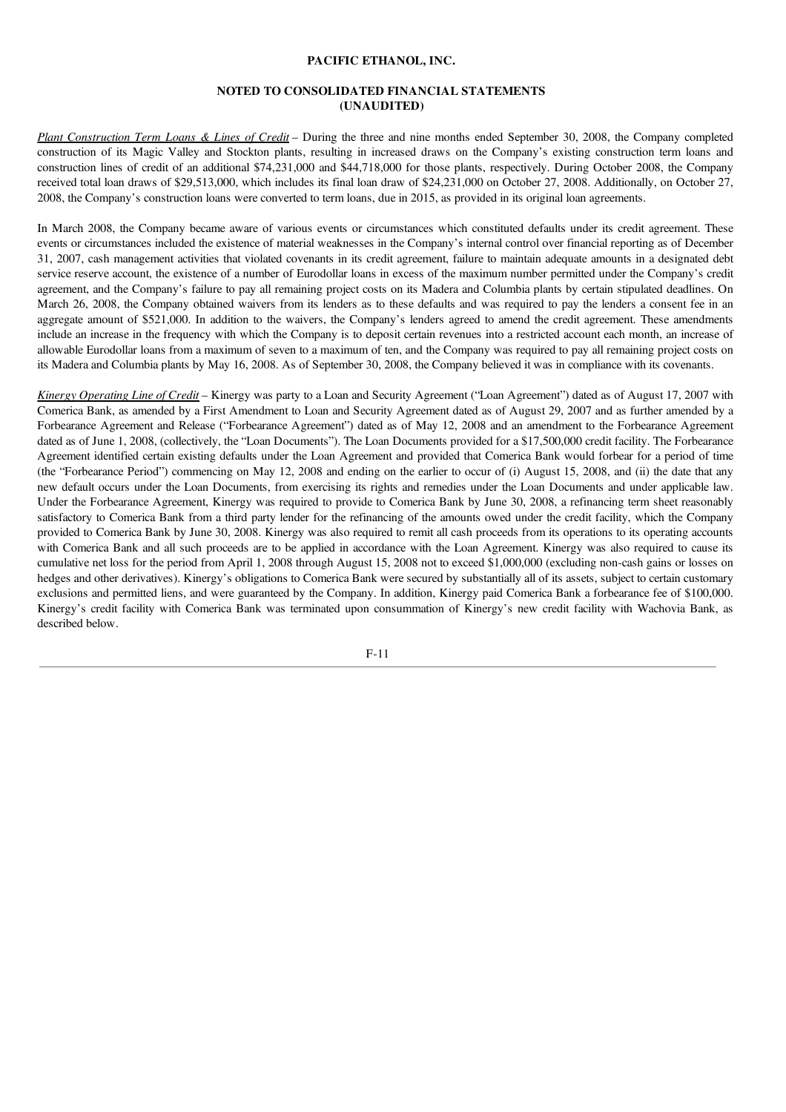## NOTED TO CONSOLIDATED FINANCIAL STATEMENTS (UNAUDITED)

*Plant Construction Term Loans & Lines of Credit* – During the three and nine months ended September 30, 2008, the Company completed construction of its Magic Valley and Stockton plants, resulting in increased draws on the Company's existing construction term loans and construction lines of credit of an additional \$74,231,000 and \$44,718,000 for those plants, respectively. During October 2008, the Company received total loan draws of \$29,513,000, which includes its final loan draw of \$24,231,000 on October 27, 2008. Additionally, on October 27, 2008, the Company's construction loans were converted to term loans, due in 2015, as provided in its original loan agreements.

In March 2008, the Company became aware of various events or circumstances which constituted defaults under its credit agreement. These events or circumstances included the existence of material weaknesses in the Company's internal control over financial reporting as of December 31, 2007, cash management activities that violated covenants in its credit agreement, failure to maintain adequate amounts in a designated debt service reserve account, the existence of a number of Eurodollar loans in excess of the maximum number permitted under the Company's credit agreement, and the Company's failure to pay all remaining project costs on its Madera and Columbia plants by certain stipulated deadlines. On March 26, 2008, the Company obtained waivers from its lenders as to these defaults and was required to pay the lenders a consent fee in an aggregate amount of \$521,000. In addition to the waivers, the Company's lenders agreed to amend the credit agreement. These amendments include an increase in the frequency with which the Company is to deposit certain revenues into a restricted account each month, an increase of allowable Eurodollar loans from a maximum of seven to a maximum of ten, and the Company was required to pay all remaining project costs on its Madera and Columbia plants by May 16, 2008. As of September 30, 2008, the Company believed it was in compliance with its covenants.

*Kinergy Operating Line of Credit* – Kinergy was party to a Loan and Security Agreement ("Loan Agreement") dated as of August 17, 2007 with Comerica Bank, as amended by a First Amendment to Loan and Security Agreement dated as of August 29, 2007 and as further amended by a Forbearance Agreement and Release ("Forbearance Agreement") dated as of May 12, 2008 and an amendment to the Forbearance Agreement dated as of June 1, 2008, (collectively, the "Loan Documents"). The Loan Documents provided for a \$17,500,000 credit facility. The Forbearance Agreement identified certain existing defaults under the Loan Agreement and provided that Comerica Bank would forbear for a period of time (the "Forbearance Period") commencing on May 12, 2008 and ending on the earlier to occur of (i) August 15, 2008, and (ii) the date that any new default occurs under the Loan Documents, from exercising its rights and remedies under the Loan Documents and under applicable law. Under the Forbearance Agreement, Kinergy was required to provide to Comerica Bank by June 30, 2008, a refinancing term sheet reasonably satisfactory to Comerica Bank from a third party lender for the refinancing of the amounts owed under the credit facility, which the Company provided to Comerica Bank by June 30, 2008. Kinergy was also required to remit all cash proceeds from its operations to its operating accounts with Comerica Bank and all such proceeds are to be applied in accordance with the Loan Agreement. Kinergy was also required to cause its cumulative net loss for the period from April 1, 2008 through August 15, 2008 not to exceed \$1,000,000 (excluding non-cash gains or losses on hedges and other derivatives). Kinergy's obligations to Comerica Bank were secured by substantially all of its assets, subject to certain customary exclusions and permitted liens, and were guaranteed by the Company. In addition, Kinergy paid Comerica Bank a forbearance fee of \$100,000. Kinergy's credit facility with Comerica Bank was terminated upon consummation of Kinergy's new credit facility with Wachovia Bank, as described below.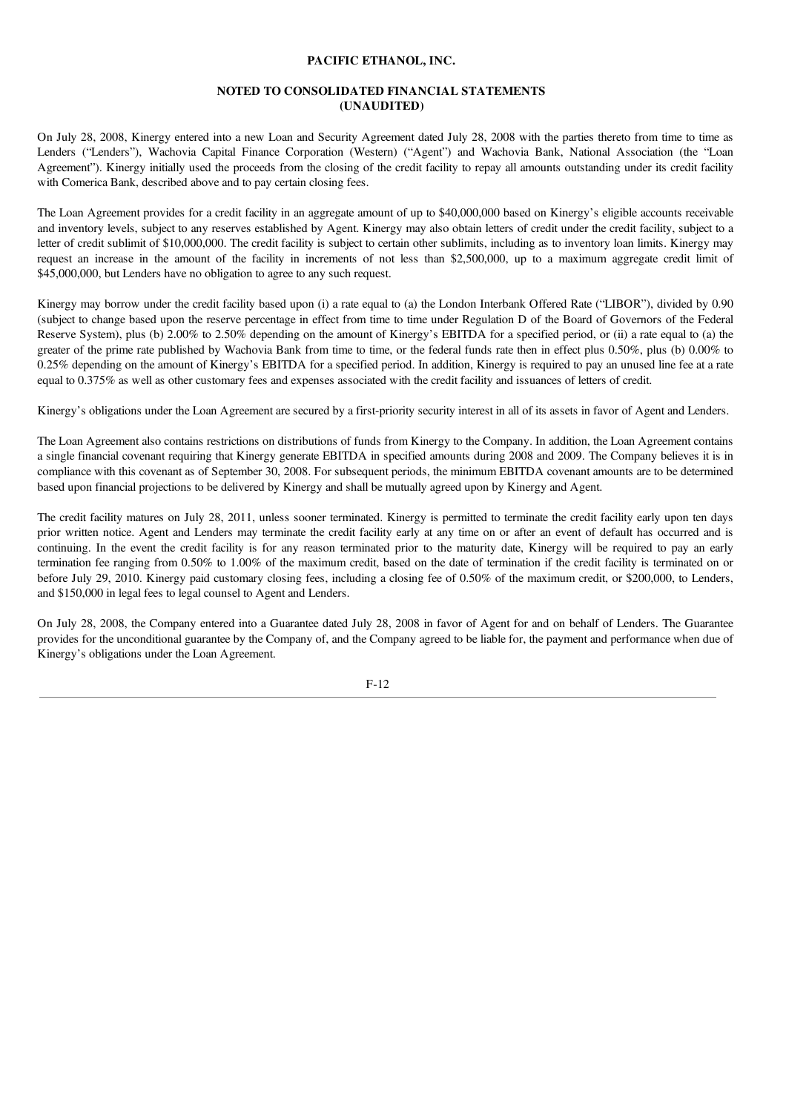## NOTED TO CONSOLIDATED FINANCIAL STATEMENTS (UNAUDITED)

On July 28, 2008, Kinergy entered into a new Loan and Security Agreement dated July 28, 2008 with the parties thereto from time to time as Lenders ("Lenders"), Wachovia Capital Finance Corporation (Western) ("Agent") and Wachovia Bank, National Association (the "Loan Agreement"). Kinergy initially used the proceeds from the closing of the credit facility to repay all amounts outstanding under its credit facility with Comerica Bank, described above and to pay certain closing fees.

The Loan Agreement provides for a credit facility in an aggregate amount of up to \$40,000,000 based on Kinergy's eligible accounts receivable and inventory levels, subject to any reserves established by Agent. Kinergy may also obtain letters of credit under the credit facility, subject to a letter of credit sublimit of \$10,000,000. The credit facility is subject to certain other sublimits, including as to inventory loan limits. Kinergy may request an increase in the amount of the facility in increments of not less than \$2,500,000, up to a maximum aggregate credit limit of \$45,000,000, but Lenders have no obligation to agree to any such request.

Kinergy may borrow under the credit facility based upon (i) a rate equal to (a) the London Interbank Offered Rate ("LIBOR"), divided by 0.90 (subject to change based upon the reserve percentage in effect from time to time under Regulation D of the Board of Governors of the Federal Reserve System), plus (b) 2.00% to 2.50% depending on the amount of Kinergy's EBITDA for a specified period, or (ii) a rate equal to (a) the greater of the prime rate published by Wachovia Bank from time to time, or the federal funds rate then in effect plus 0.50%, plus (b) 0.00% to 0.25% depending on the amount of Kinergy's EBITDA for a specified period. In addition, Kinergy is required to pay an unused line fee at a rate equal to 0.375% as well as other customary fees and expenses associated with the credit facility and issuances of letters of credit.

Kinergy's obligations under the Loan Agreement are secured by a first-priority security interest in all of its assets in favor of Agent and Lenders.

The Loan Agreement also contains restrictions on distributions of funds from Kinergy to the Company. In addition, the Loan Agreement contains a single financial covenant requiring that Kinergy generate EBITDA in specified amounts during 2008 and 2009. The Company believes it is in compliance with this covenant as of September 30, 2008. For subsequent periods, the minimum EBITDA covenant amounts are to be determined based upon financial projections to be delivered by Kinergy and shall be mutually agreed upon by Kinergy and Agent.

The credit facility matures on July 28, 2011, unless sooner terminated. Kinergy is permitted to terminate the credit facility early upon ten days prior written notice. Agent and Lenders may terminate the credit facility early at any time on or after an event of default has occurred and is continuing. In the event the credit facility is for any reason terminated prior to the maturity date, Kinergy will be required to pay an early termination fee ranging from 0.50% to 1.00% of the maximum credit, based on the date of termination if the credit facility is terminated on or before July 29, 2010. Kinergy paid customary closing fees, including a closing fee of 0.50% of the maximum credit, or \$200,000, to Lenders, and \$150,000 in legal fees to legal counsel to Agent and Lenders.

On July 28, 2008, the Company entered into a Guarantee dated July 28, 2008 in favor of Agent for and on behalf of Lenders. The Guarantee provides for the unconditional guarantee by the Company of, and the Company agreed to be liable for, the payment and performance when due of Kinergy's obligations under the Loan Agreement.

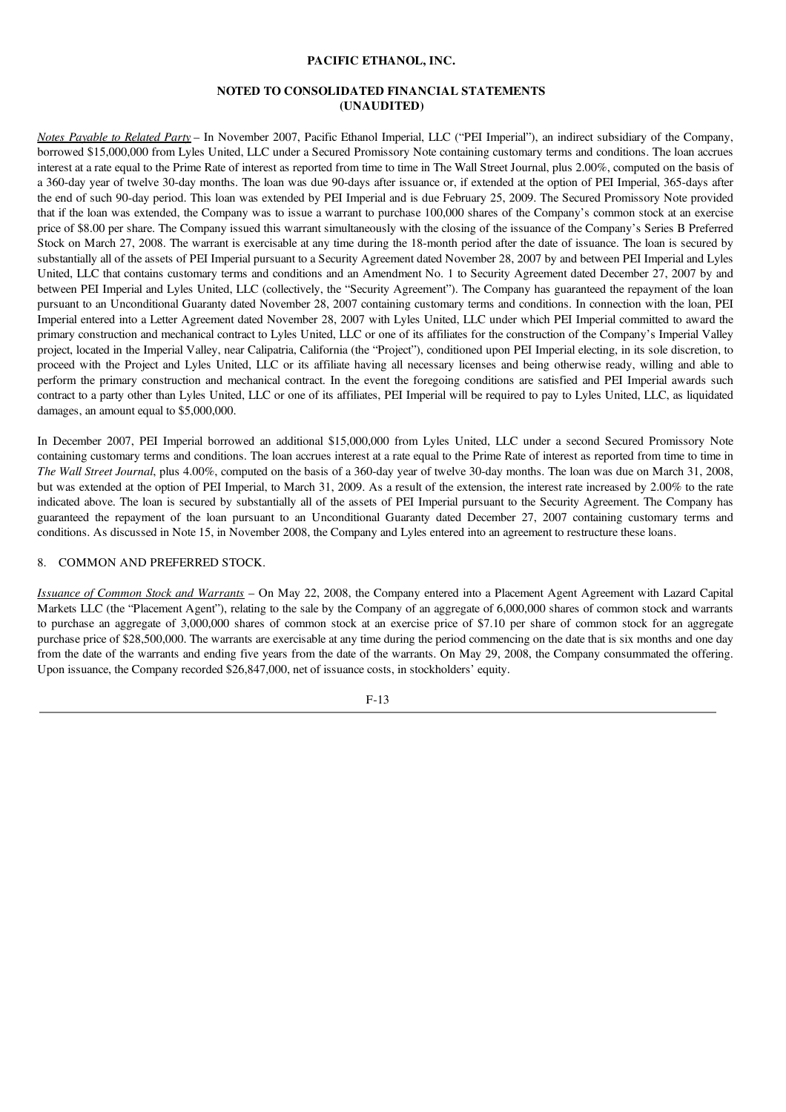## NOTED TO CONSOLIDATED FINANCIAL STATEMENTS (UNAUDITED)

*Notes Payable to Related Party* – In November 2007, Pacific Ethanol Imperial, LLC ("PEI Imperial"), an indirect subsidiary of the Company, borrowed \$15,000,000 from Lyles United, LLC under a Secured Promissory Note containing customary terms and conditions. The loan accrues interest at a rate equal to the Prime Rate of interest as reported from time to time in The Wall Street Journal, plus 2.00%, computed on the basis of a 360-day year of twelve 30-day months. The loan was due 90-days after issuance or, if extended at the option of PEI Imperial, 365-days after the end of such 90-day period. This loan was extended by PEI Imperial and is due February 25, 2009. The Secured Promissory Note provided that if the loan was extended, the Company was to issue a warrant to purchase 100,000 shares of the Company's common stock at an exercise price of \$8.00 per share. The Company issued this warrant simultaneously with the closing of the issuance of the Company's Series B Preferred Stock on March 27, 2008. The warrant is exercisable at any time during the 18-month period after the date of issuance. The loan is secured by substantially all of the assets of PEI Imperial pursuant to a Security Agreement dated November 28, 2007 by and between PEI Imperial and Lyles United, LLC that contains customary terms and conditions and an Amendment No. 1 to Security Agreement dated December 27, 2007 by and between PEI Imperial and Lyles United, LLC (collectively, the "Security Agreement"). The Company has guaranteed the repayment of the loan pursuant to an Unconditional Guaranty dated November 28, 2007 containing customary terms and conditions. In connection with the loan, PEI Imperial entered into a Letter Agreement dated November 28, 2007 with Lyles United, LLC under which PEI Imperial committed to award the primary construction and mechanical contract to Lyles United, LLC or one of its affiliates for the construction of the Company's Imperial Valley project, located in the Imperial Valley, near Calipatria, California (the "Project"), conditioned upon PEI Imperial electing, in its sole discretion, to proceed with the Project and Lyles United, LLC or its affiliate having all necessary licenses and being otherwise ready, willing and able to perform the primary construction and mechanical contract. In the event the foregoing conditions are satisfied and PEI Imperial awards such contract to a party other than Lyles United, LLC or one of its affiliates, PEI Imperial will be required to pay to Lyles United, LLC, as liquidated damages, an amount equal to \$5,000,000.

In December 2007, PEI Imperial borrowed an additional \$15,000,000 from Lyles United, LLC under a second Secured Promissory Note containing customary terms and conditions. The loan accrues interest at a rate equal to the Prime Rate of interest as reported from time to time in *The Wall Street Journal*, plus 4.00%, computed on the basis of a 360-day year of twelve 30-day months. The loan was due on March 31, 2008, but was extended at the option of PEI Imperial, to March 31, 2009. As a result of the extension, the interest rate increased by 2.00% to the rate indicated above. The loan is secured by substantially all of the assets of PEI Imperial pursuant to the Security Agreement. The Company has guaranteed the repayment of the loan pursuant to an Unconditional Guaranty dated December 27, 2007 containing customary terms and conditions. As discussed in Note 15, in November 2008, the Company and Lyles entered into an agreement to restructure these loans.

### 8. COMMON AND PREFERRED STOCK.

*Issuance of Common Stock and Warrants* – On May 22, 2008, the Company entered into a Placement Agent Agreement with Lazard Capital Markets LLC (the "Placement Agent"), relating to the sale by the Company of an aggregate of 6,000,000 shares of common stock and warrants to purchase an aggregate of 3,000,000 shares of common stock at an exercise price of \$7.10 per share of common stock for an aggregate purchase price of \$28,500,000. The warrants are exercisable at any time during the period commencing on the date that is six months and one day from the date of the warrants and ending five years from the date of the warrants. On May 29, 2008, the Company consummated the offering. Upon issuance, the Company recorded \$26,847,000, net of issuance costs, in stockholders' equity.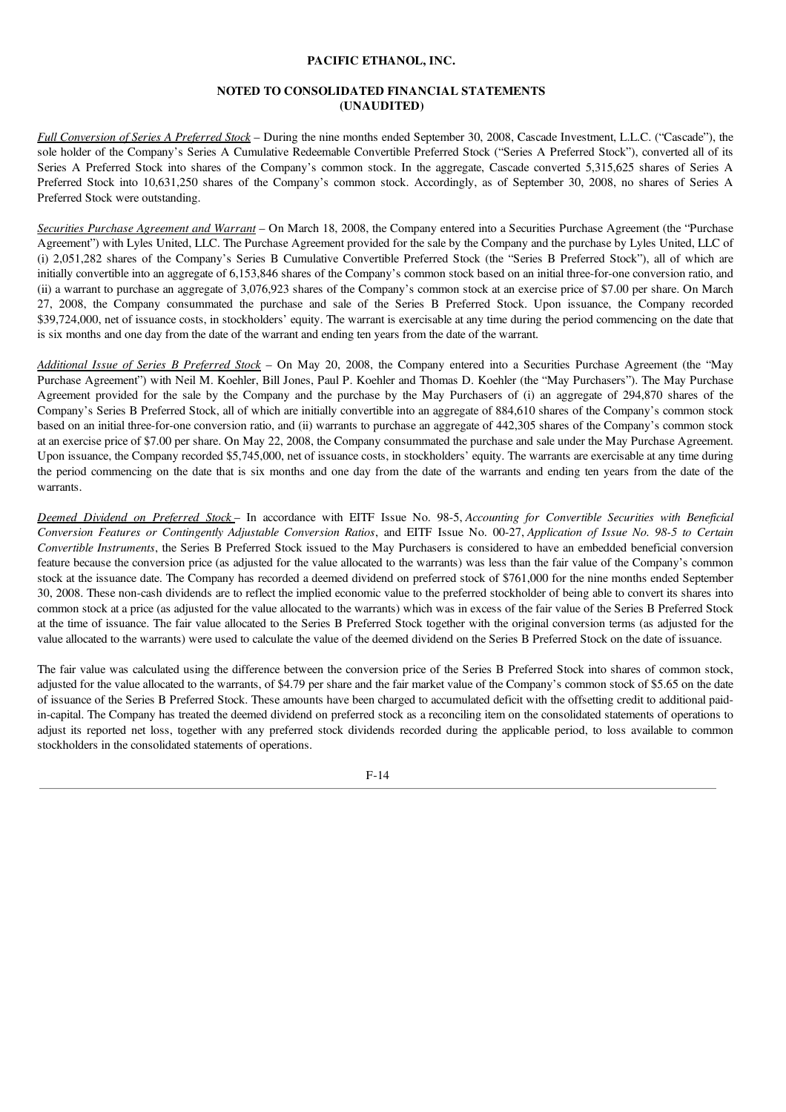## NOTED TO CONSOLIDATED FINANCIAL STATEMENTS (UNAUDITED)

*Full Conversion of Series A Preferred Stock* – During the nine months ended September 30, 2008, Cascade Investment, L.L.C. ("Cascade"), the sole holder of the Company's Series A Cumulative Redeemable Convertible Preferred Stock ("Series A Preferred Stock"), converted all of its Series A Preferred Stock into shares of the Company's common stock. In the aggregate, Cascade converted 5,315,625 shares of Series A Preferred Stock into 10,631,250 shares of the Company's common stock. Accordingly, as of September 30, 2008, no shares of Series A Preferred Stock were outstanding.

*Securities Purchase Agreement and Warrant* – On March 18, 2008, the Company entered into a Securities Purchase Agreement (the "Purchase Agreement") with Lyles United, LLC. The Purchase Agreement provided for the sale by the Company and the purchase by Lyles United, LLC of (i) 2,051,282 shares of the Company's Series B Cumulative Convertible Preferred Stock (the "Series B Preferred Stock"), all of which are initially convertible into an aggregate of 6,153,846 shares of the Company's common stock based on an initial three-for-one conversion ratio, and (ii) a warrant to purchase an aggregate of 3,076,923 shares of the Company's common stock at an exercise price of \$7.00 per share. On March 27, 2008, the Company consummated the purchase and sale of the Series B Preferred Stock. Upon issuance, the Company recorded \$39,724,000, net of issuance costs, in stockholders' equity. The warrant is exercisable at any time during the period commencing on the date that is six months and one day from the date of the warrant and ending ten years from the date of the warrant.

*Additional Issue of Series B Preferred Stock* – On May 20, 2008, the Company entered into a Securities Purchase Agreement (the "May Purchase Agreement") with Neil M. Koehler, Bill Jones, Paul P. Koehler and Thomas D. Koehler (the "May Purchasers"). The May Purchase Agreement provided for the sale by the Company and the purchase by the May Purchasers of (i) an aggregate of 294,870 shares of the Company's Series B Preferred Stock, all of which are initially convertible into an aggregate of 884,610 shares of the Company's common stock based on an initial three-for-one conversion ratio, and (ii) warrants to purchase an aggregate of 442,305 shares of the Company's common stock at an exercise price of \$7.00 per share. On May 22, 2008, the Company consummated the purchase and sale under the May Purchase Agreement. Upon issuance, the Company recorded \$5,745,000, net of issuance costs, in stockholders' equity. The warrants are exercisable at any time during the period commencing on the date that is six months and one day from the date of the warrants and ending ten years from the date of the warrants.

*Deemed Dividend on Preferred Stock* – In accordance with EITF Issue No. 98-5, *Accounting for Convertible Securities with Beneficial* Conversion Features or Contingently Adjustable Conversion Ratios, and EITF Issue No. 00-27, Application of Issue No. 98-5 to Certain *Convertible Instruments*, the Series B Preferred Stock issued to the May Purchasers is considered to have an embedded beneficial conversion feature because the conversion price (as adjusted for the value allocated to the warrants) was less than the fair value of the Company's common stock at the issuance date. The Company has recorded a deemed dividend on preferred stock of \$761,000 for the nine months ended September 30, 2008. These non-cash dividends are to reflect the implied economic value to the preferred stockholder of being able to convert its shares into common stock at a price (as adjusted for the value allocated to the warrants) which was in excess of the fair value of the Series B Preferred Stock at the time of issuance. The fair value allocated to the Series B Preferred Stock together with the original conversion terms (as adjusted for the value allocated to the warrants) were used to calculate the value of the deemed dividend on the Series B Preferred Stock on the date of issuance.

The fair value was calculated using the difference between the conversion price of the Series B Preferred Stock into shares of common stock, adjusted for the value allocated to the warrants, of \$4.79 per share and the fair market value of the Company's common stock of \$5.65 on the date of issuance of the Series B Preferred Stock. These amounts have been charged to accumulated deficit with the offsetting credit to additional paidin-capital. The Company has treated the deemed dividend on preferred stock as a reconciling item on the consolidated statements of operations to adjust its reported net loss, together with any preferred stock dividends recorded during the applicable period, to loss available to common stockholders in the consolidated statements of operations.

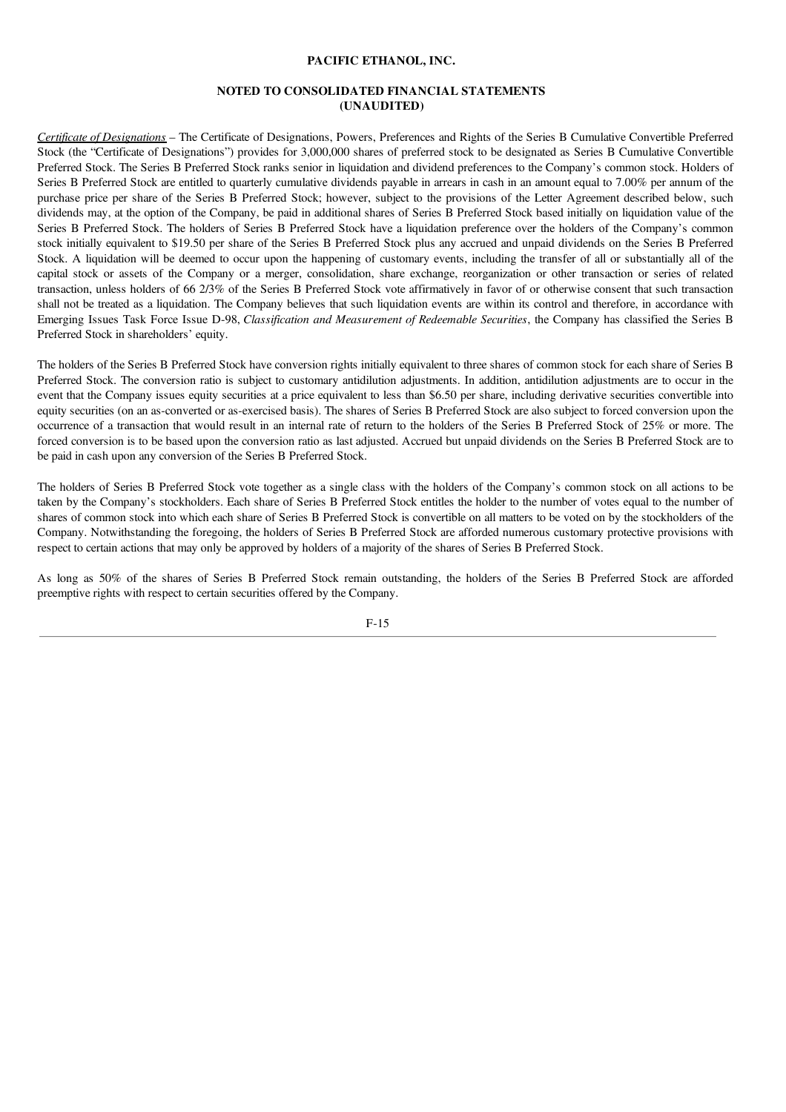## NOTED TO CONSOLIDATED FINANCIAL STATEMENTS (UNAUDITED)

*Certificate of Designations* – The Certificate of Designations, Powers, Preferences and Rights of the Series B Cumulative Convertible Preferred Stock (the "Certificate of Designations") provides for 3,000,000 shares of preferred stock to be designated as Series B Cumulative Convertible Preferred Stock. The Series B Preferred Stock ranks senior in liquidation and dividend preferences to the Company's common stock. Holders of Series B Preferred Stock are entitled to quarterly cumulative dividends payable in arrears in cash in an amount equal to 7.00% per annum of the purchase price per share of the Series B Preferred Stock; however, subject to the provisions of the Letter Agreement described below, such dividends may, at the option of the Company, be paid in additional shares of Series B Preferred Stock based initially on liquidation value of the Series B Preferred Stock. The holders of Series B Preferred Stock have a liquidation preference over the holders of the Company's common stock initially equivalent to \$19.50 per share of the Series B Preferred Stock plus any accrued and unpaid dividends on the Series B Preferred Stock. A liquidation will be deemed to occur upon the happening of customary events, including the transfer of all or substantially all of the capital stock or assets of the Company or a merger, consolidation, share exchange, reorganization or other transaction or series of related transaction, unless holders of 66 2/3% of the Series B Preferred Stock vote affirmatively in favor of or otherwise consent that such transaction shall not be treated as a liquidation. The Company believes that such liquidation events are within its control and therefore, in accordance with Emerging Issues Task Force Issue D-98, *Classification and Measurement of Redeemable Securities*, the Company has classified the Series B Preferred Stock in shareholders' equity.

The holders of the Series B Preferred Stock have conversion rights initially equivalent to three shares of common stock for each share of Series B Preferred Stock. The conversion ratio is subject to customary antidilution adjustments. In addition, antidilution adjustments are to occur in the event that the Company issues equity securities at a price equivalent to less than \$6.50 per share, including derivative securities convertible into equity securities (on an as-converted or as-exercised basis). The shares of Series B Preferred Stock are also subject to forced conversion upon the occurrence of a transaction that would result in an internal rate of return to the holders of the Series B Preferred Stock of 25% or more. The forced conversion is to be based upon the conversion ratio as last adjusted. Accrued but unpaid dividends on the Series B Preferred Stock are to be paid in cash upon any conversion of the Series B Preferred Stock.

The holders of Series B Preferred Stock vote together as a single class with the holders of the Company's common stock on all actions to be taken by the Company's stockholders. Each share of Series B Preferred Stock entitles the holder to the number of votes equal to the number of shares of common stock into which each share of Series B Preferred Stock is convertible on all matters to be voted on by the stockholders of the Company. Notwithstanding the foregoing, the holders of Series B Preferred Stock are afforded numerous customary protective provisions with respect to certain actions that may only be approved by holders of a majority of the shares of Series B Preferred Stock.

As long as 50% of the shares of Series B Preferred Stock remain outstanding, the holders of the Series B Preferred Stock are afforded preemptive rights with respect to certain securities offered by the Company.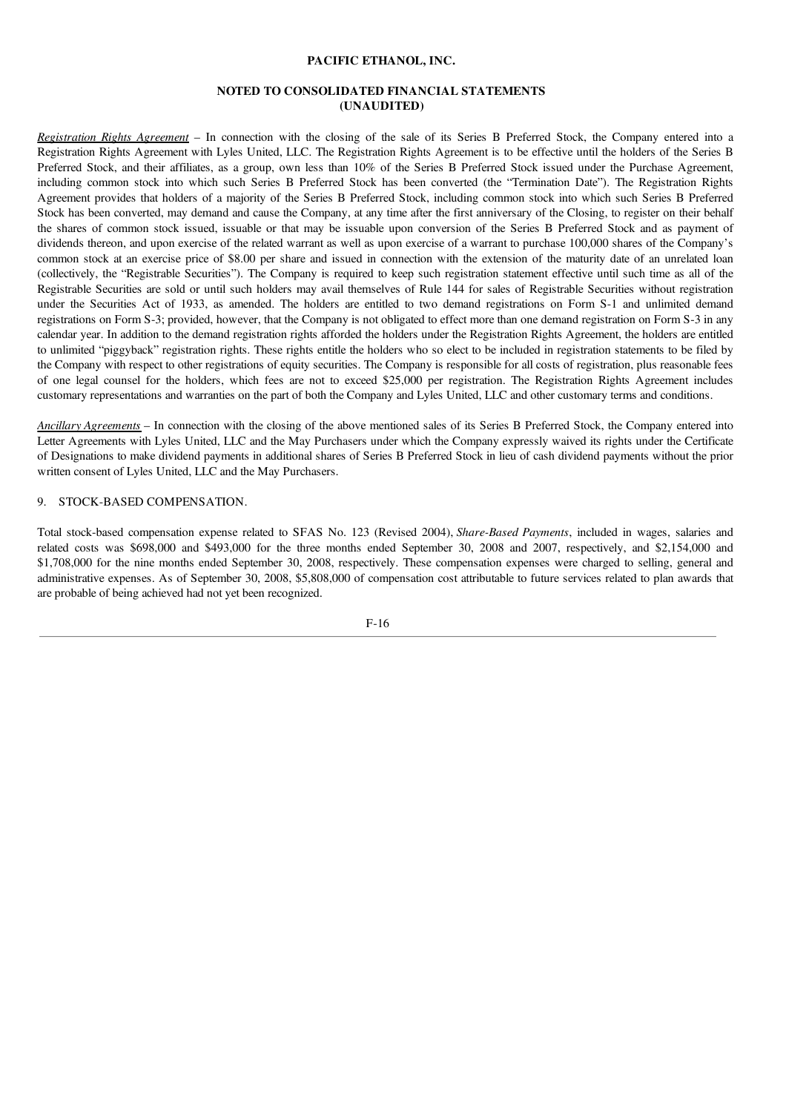## NOTED TO CONSOLIDATED FINANCIAL STATEMENTS (UNAUDITED)

*Registration Rights Agreement* – In connection with the closing of the sale of its Series B Preferred Stock, the Company entered into a Registration Rights Agreement with Lyles United, LLC. The Registration Rights Agreement is to be effective until the holders of the Series B Preferred Stock, and their affiliates, as a group, own less than 10% of the Series B Preferred Stock issued under the Purchase Agreement, including common stock into which such Series B Preferred Stock has been converted (the "Termination Date"). The Registration Rights Agreement provides that holders of a majority of the Series B Preferred Stock, including common stock into which such Series B Preferred Stock has been converted, may demand and cause the Company, at any time after the first anniversary of the Closing, to register on their behalf the shares of common stock issued, issuable or that may be issuable upon conversion of the Series B Preferred Stock and as payment of dividends thereon, and upon exercise of the related warrant as well as upon exercise of a warrant to purchase 100,000 shares of the Company's common stock at an exercise price of \$8.00 per share and issued in connection with the extension of the maturity date of an unrelated loan (collectively, the "Registrable Securities"). The Company is required to keep such registration statement effective until such time as all of the Registrable Securities are sold or until such holders may avail themselves of Rule 144 for sales of Registrable Securities without registration under the Securities Act of 1933, as amended. The holders are entitled to two demand registrations on Form S-1 and unlimited demand registrations on Form S-3; provided, however, that the Company is not obligated to effect more than one demand registration on Form S-3 in any calendar year. In addition to the demand registration rights afforded the holders under the Registration Rights Agreement, the holders are entitled to unlimited "piggyback" registration rights. These rights entitle the holders who so elect to be included in registration statements to be filed by the Company with respect to other registrations of equity securities. The Company is responsible for all costs of registration, plus reasonable fees of one legal counsel for the holders, which fees are not to exceed \$25,000 per registration. The Registration Rights Agreement includes customary representations and warranties on the part of both the Company and Lyles United, LLC and other customary terms and conditions.

*Ancillary Agreements* – In connection with the closing of the above mentioned sales of its Series B Preferred Stock, the Company entered into Letter Agreements with Lyles United, LLC and the May Purchasers under which the Company expressly waived its rights under the Certificate of Designations to make dividend payments in additional shares of Series B Preferred Stock in lieu of cash dividend payments without the prior written consent of Lyles United, LLC and the May Purchasers.

## 9. STOCK-BASED COMPENSATION.

Total stock-based compensation expense related to SFAS No. 123 (Revised 2004), *Share-Based Payments*, included in wages, salaries and related costs was \$698,000 and \$493,000 for the three months ended September 30, 2008 and 2007, respectively, and \$2,154,000 and \$1,708,000 for the nine months ended September 30, 2008, respectively. These compensation expenses were charged to selling, general and administrative expenses. As of September 30, 2008, \$5,808,000 of compensation cost attributable to future services related to plan awards that are probable of being achieved had not yet been recognized.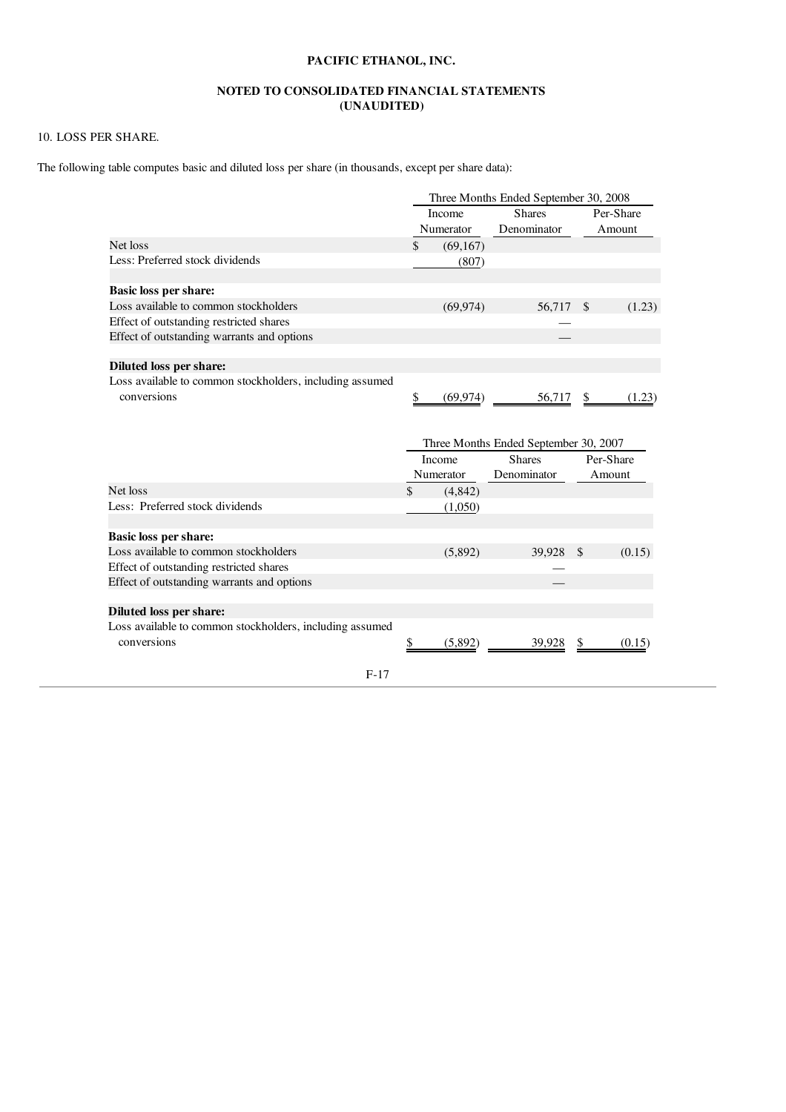## NOTED TO CONSOLIDATED FINANCIAL STATEMENTS (UNAUDITED)

## 10. LOSS PER SHARE.

The following table computes basic and diluted loss per share (in thousands, except per share data):

|                                                          |               |                                       | Three Months Ended September 30, 2008 |               |           |  |  |
|----------------------------------------------------------|---------------|---------------------------------------|---------------------------------------|---------------|-----------|--|--|
|                                                          |               | <b>Income</b>                         | <b>Shares</b>                         |               | Per-Share |  |  |
|                                                          |               | Numerator                             | Denominator                           |               | Amount    |  |  |
| Net loss                                                 | $\mathcal{S}$ | (69,167)                              |                                       |               |           |  |  |
| Less: Preferred stock dividends                          |               | (807)                                 |                                       |               |           |  |  |
|                                                          |               |                                       |                                       |               |           |  |  |
| <b>Basic loss per share:</b>                             |               |                                       |                                       |               |           |  |  |
| Loss available to common stockholders                    |               | (69, 974)                             | 56,717                                | $\mathcal{S}$ | (1.23)    |  |  |
| Effect of outstanding restricted shares                  |               |                                       |                                       |               |           |  |  |
| Effect of outstanding warrants and options               |               |                                       |                                       |               |           |  |  |
|                                                          |               |                                       |                                       |               |           |  |  |
| Diluted loss per share:                                  |               |                                       |                                       |               |           |  |  |
| Loss available to common stockholders, including assumed |               |                                       |                                       |               |           |  |  |
| conversions                                              | \$            | (69, 974)                             | 56,717                                | \$            | (1.23)    |  |  |
|                                                          |               |                                       |                                       |               |           |  |  |
|                                                          |               |                                       |                                       |               |           |  |  |
|                                                          |               | Three Months Ended September 30, 2007 |                                       |               |           |  |  |
|                                                          |               |                                       |                                       |               |           |  |  |
|                                                          |               | Income                                | <b>Shares</b>                         |               | Per-Share |  |  |
|                                                          |               | Numerator                             | Denominator                           |               | Amount    |  |  |
| Net loss                                                 | \$            | (4,842)                               |                                       |               |           |  |  |
| Less: Preferred stock dividends                          |               | (1,050)                               |                                       |               |           |  |  |
|                                                          |               |                                       |                                       |               |           |  |  |
| <b>Basic loss per share:</b>                             |               |                                       |                                       |               |           |  |  |
| Loss available to common stockholders                    |               | (5,892)                               | 39,928                                | \$            | (0.15)    |  |  |
| Effect of outstanding restricted shares                  |               |                                       |                                       |               |           |  |  |
| Effect of outstanding warrants and options               |               |                                       |                                       |               |           |  |  |
|                                                          |               |                                       |                                       |               |           |  |  |
| Diluted loss per share:                                  |               |                                       |                                       |               |           |  |  |
| Loss available to common stockholders, including assumed |               |                                       |                                       |               |           |  |  |
| conversions                                              |               | (5,892)                               | 39,928                                |               | (0.15)    |  |  |
|                                                          |               |                                       |                                       |               |           |  |  |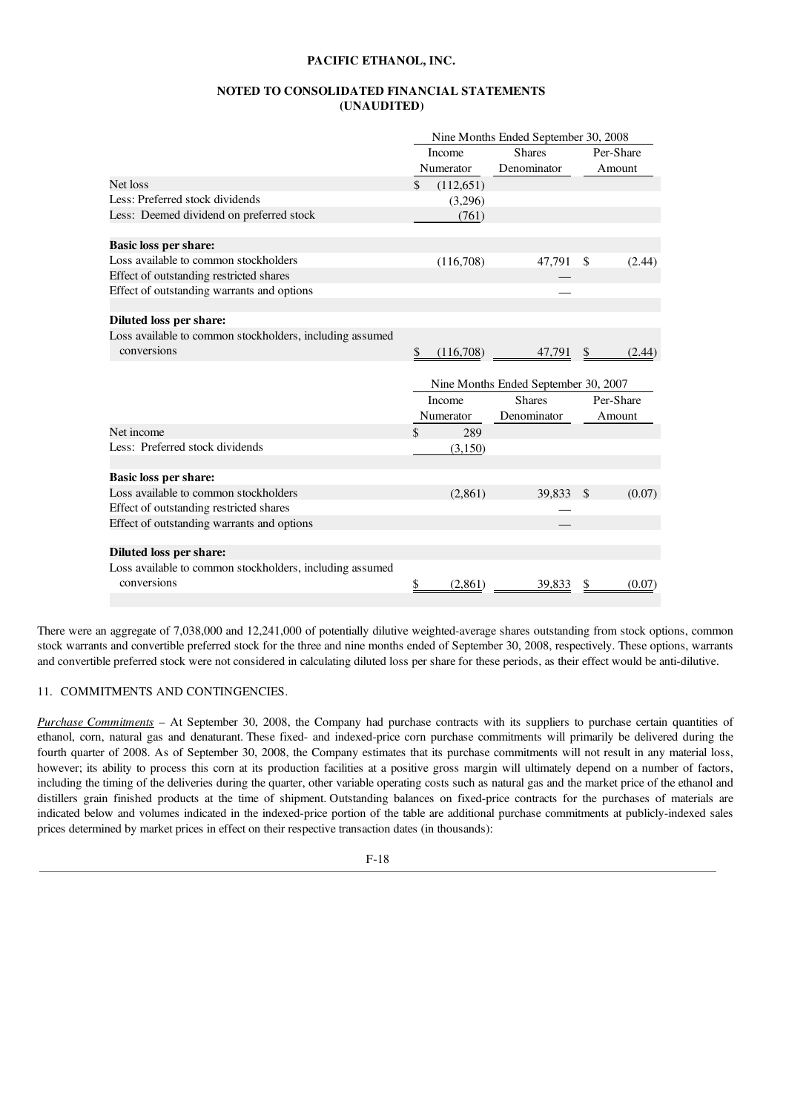## NOTED TO CONSOLIDATED FINANCIAL STATEMENTS (UNAUDITED)

|                                                                         | Nine Months Ended September 30, 2008 |               |                                                       |               |           |  |  |  |  |  |
|-------------------------------------------------------------------------|--------------------------------------|---------------|-------------------------------------------------------|---------------|-----------|--|--|--|--|--|
|                                                                         |                                      | Income        | <b>Shares</b>                                         |               | Per-Share |  |  |  |  |  |
|                                                                         |                                      | Numerator     | Denominator                                           |               | Amount    |  |  |  |  |  |
| Net loss                                                                | \$                                   | (112,651)     |                                                       |               |           |  |  |  |  |  |
| Less: Preferred stock dividends                                         |                                      | (3,296)       |                                                       |               |           |  |  |  |  |  |
| Less: Deemed dividend on preferred stock                                |                                      | (761)         |                                                       |               |           |  |  |  |  |  |
| <b>Basic loss per share:</b>                                            |                                      |               |                                                       |               |           |  |  |  |  |  |
| Loss available to common stockholders                                   |                                      | (116,708)     | 47,791                                                | $\mathbb{S}$  | (2.44)    |  |  |  |  |  |
| Effect of outstanding restricted shares                                 |                                      |               |                                                       |               |           |  |  |  |  |  |
| Effect of outstanding warrants and options                              |                                      |               |                                                       |               |           |  |  |  |  |  |
| Diluted loss per share:                                                 |                                      |               |                                                       |               |           |  |  |  |  |  |
| Loss available to common stockholders, including assumed                |                                      |               |                                                       |               |           |  |  |  |  |  |
| conversions                                                             | \$                                   | (116,708)     | 47,791                                                |               | (2.44)    |  |  |  |  |  |
|                                                                         |                                      |               |                                                       |               |           |  |  |  |  |  |
|                                                                         |                                      | <b>Income</b> | Nine Months Ended September 30, 2007<br><b>Shares</b> |               | Per-Share |  |  |  |  |  |
|                                                                         |                                      | Numerator     | Denominator                                           |               | Amount    |  |  |  |  |  |
| Net income                                                              | $\mathcal{S}$                        | 289           |                                                       |               |           |  |  |  |  |  |
| Less: Preferred stock dividends                                         |                                      | (3,150)       |                                                       |               |           |  |  |  |  |  |
| <b>Basic loss per share:</b>                                            |                                      |               |                                                       |               |           |  |  |  |  |  |
| Loss available to common stockholders                                   |                                      | (2,861)       | 39,833                                                | $\mathcal{S}$ | (0.07)    |  |  |  |  |  |
| Effect of outstanding restricted shares                                 |                                      |               |                                                       |               |           |  |  |  |  |  |
| Effect of outstanding warrants and options                              |                                      |               |                                                       |               |           |  |  |  |  |  |
| <b>Diluted loss per share:</b>                                          |                                      |               |                                                       |               |           |  |  |  |  |  |
|                                                                         |                                      |               |                                                       |               |           |  |  |  |  |  |
| Loss available to common stockholders, including assumed<br>conversions | \$                                   | (2,861)       | 39,833                                                | S             | (0.07)    |  |  |  |  |  |
|                                                                         |                                      |               |                                                       |               |           |  |  |  |  |  |

There were an aggregate of 7,038,000 and 12,241,000 of potentially dilutive weighted-average shares outstanding from stock options, common stock warrants and convertible preferred stock for the three and nine months ended of September 30, 2008, respectively. These options, warrants and convertible preferred stock were not considered in calculating diluted loss per share for these periods, as their effect would be anti-dilutive.

### 11. COMMITMENTS AND CONTINGENCIES.

*Purchase Commitments* – At September 30, 2008, the Company had purchase contracts with its suppliers to purchase certain quantities of ethanol, corn, natural gas and denaturant. These fixed- and indexed-price corn purchase commitments will primarily be delivered during the fourth quarter of 2008. As of September 30, 2008, the Company estimates that its purchase commitments will not result in any material loss, however; its ability to process this corn at its production facilities at a positive gross margin will ultimately depend on a number of factors, including the timing of the deliveries during the quarter, other variable operating costs such as natural gas and the market price of the ethanol and distillers grain finished products at the time of shipment. Outstanding balances on fixed-price contracts for the purchases of materials are indicated below and volumes indicated in the indexed-price portion of the table are additional purchase commitments at publicly-indexed sales prices determined by market prices in effect on their respective transaction dates (in thousands):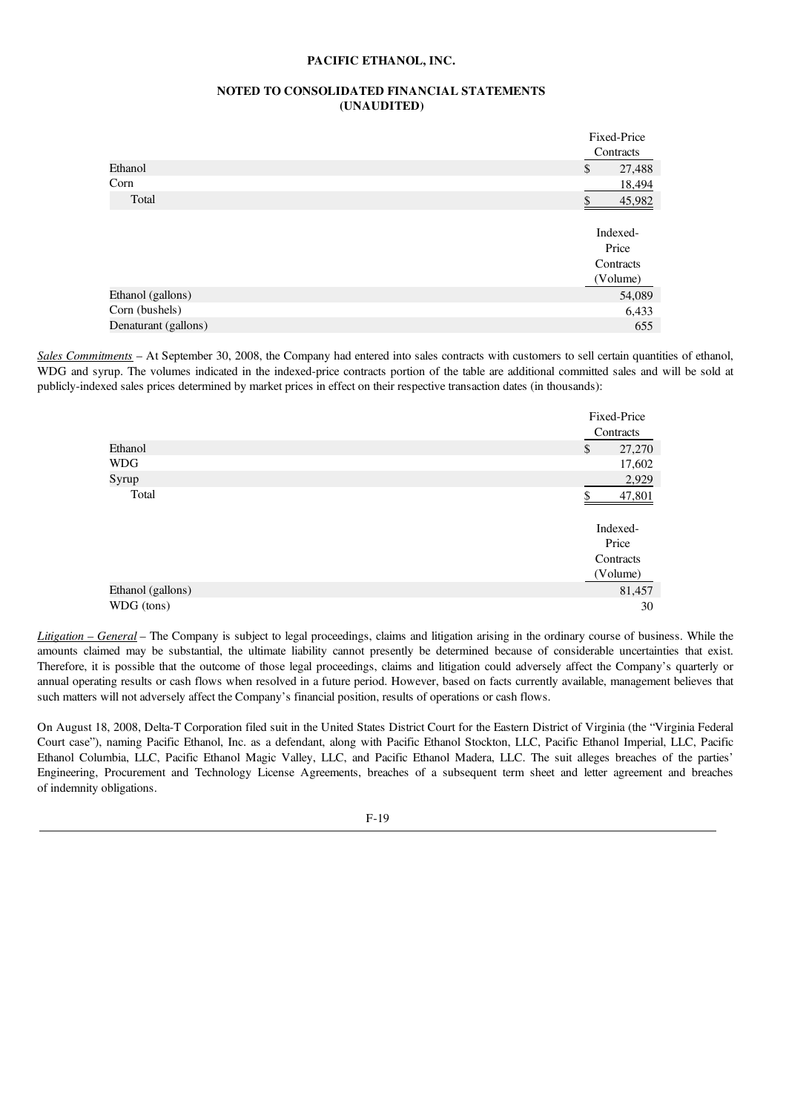## NOTED TO CONSOLIDATED FINANCIAL STATEMENTS (UNAUDITED)

|                      | Fixed-Price<br>Contracts                   |  |  |  |
|----------------------|--------------------------------------------|--|--|--|
| Ethanol              | 27,488<br>\$                               |  |  |  |
| Corn                 | 18,494                                     |  |  |  |
| Total                | 45,982                                     |  |  |  |
|                      | Indexed-<br>Price<br>Contracts<br>(Volume) |  |  |  |
| Ethanol (gallons)    | 54,089                                     |  |  |  |
| Corn (bushels)       | 6,433                                      |  |  |  |
| Denaturant (gallons) |                                            |  |  |  |

*Sales Commitments* – At September 30, 2008, the Company had entered into sales contracts with customers to sell certain quantities of ethanol, WDG and syrup. The volumes indicated in the indexed-price contracts portion of the table are additional committed sales and will be sold at publicly-indexed sales prices determined by market prices in effect on their respective transaction dates (in thousands):

|                   | Fixed-Price<br>Contracts |
|-------------------|--------------------------|
| Ethanol           | 27,270<br>\$             |
| <b>WDG</b>        | 17,602                   |
| Syrup             | 2,929                    |
| Total             | 47,801                   |
|                   | Indexed-                 |
|                   | Price                    |
|                   | Contracts                |
|                   | (Volume)                 |
| Ethanol (gallons) | 81,457                   |
| WDG (tons)        | 30                       |

*Litigation* – *General* – The Company is subject to legal proceedings, claims and litigation arising in the ordinary course of business. While the amounts claimed may be substantial, the ultimate liability cannot presently be determined because of considerable uncertainties that exist. Therefore, it is possible that the outcome of those legal proceedings, claims and litigation could adversely affect the Company's quarterly or annual operating results or cash flows when resolved in a future period. However, based on facts currently available, management believes that such matters will not adversely affect the Company's financial position, results of operations or cash flows.

On August 18, 2008, Delta-T Corporation filed suit in the United States District Court for the Eastern District of Virginia (the "Virginia Federal Court case"), naming Pacific Ethanol, Inc. as a defendant, along with Pacific Ethanol Stockton, LLC, Pacific Ethanol Imperial, LLC, Pacific Ethanol Columbia, LLC, Pacific Ethanol Magic Valley, LLC, and Pacific Ethanol Madera, LLC. The suit alleges breaches of the parties' Engineering, Procurement and Technology License Agreements, breaches of a subsequent term sheet and letter agreement and breaches of indemnity obligations.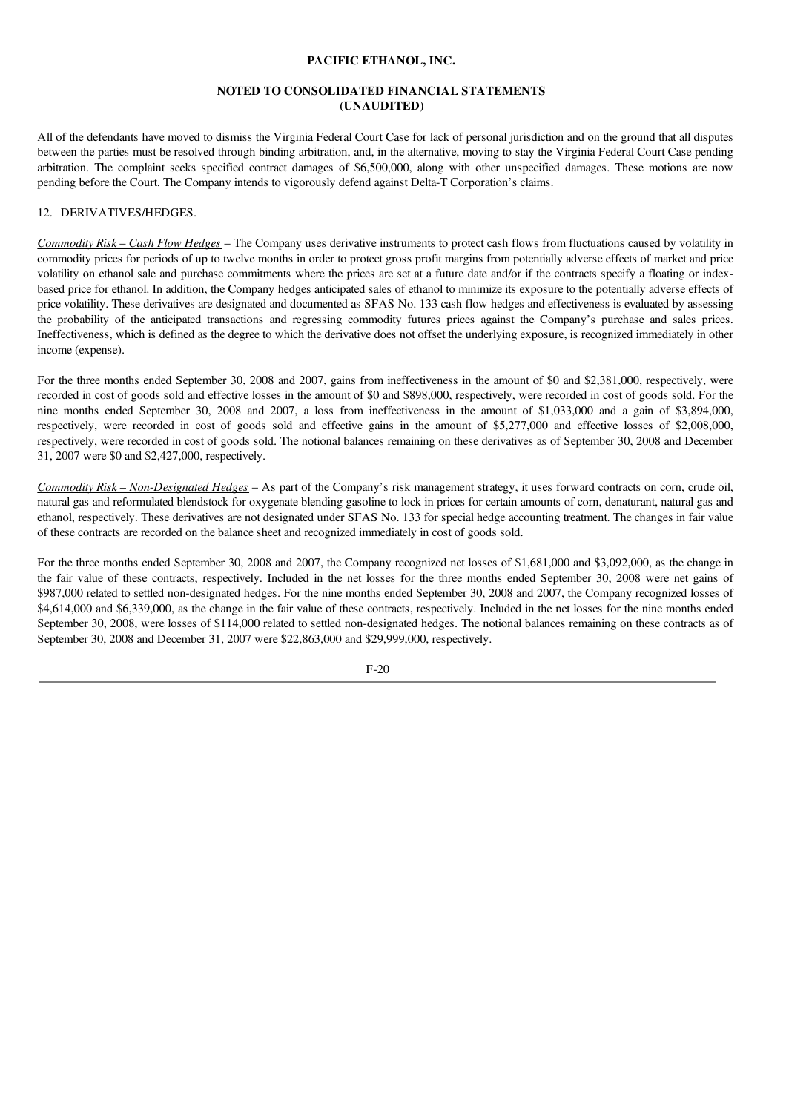## NOTED TO CONSOLIDATED FINANCIAL STATEMENTS (UNAUDITED)

All of the defendants have moved to dismiss the Virginia Federal Court Case for lack of personal jurisdiction and on the ground that all disputes between the parties must be resolved through binding arbitration, and, in the alternative, moving to stay the Virginia Federal Court Case pending arbitration. The complaint seeks specified contract damages of \$6,500,000, along with other unspecified damages. These motions are now pending before the Court. The Company intends to vigorously defend against Delta-T Corporation's claims.

### 12. DERIVATIVES/HEDGES.

*Commodity Risk* – *Cash Flow Hedges* – The Company uses derivative instruments to protect cash flows from fluctuations caused by volatility in commodity prices for periods of up to twelve months in order to protect gross profit margins from potentially adverse effects of market and price volatility on ethanol sale and purchase commitments where the prices are set at a future date and/or if the contracts specify a floating or indexbased price for ethanol. In addition, the Company hedges anticipated sales of ethanol to minimize its exposure to the potentially adverse effects of price volatility. These derivatives are designated and documented as SFAS No. 133 cash flow hedges and effectiveness is evaluated by assessing the probability of the anticipated transactions and regressing commodity futures prices against the Company's purchase and sales prices. Ineffectiveness, which is defined as the degree to which the derivative does not offset the underlying exposure, is recognized immediately in other income (expense).

For the three months ended September 30, 2008 and 2007, gains from ineffectiveness in the amount of \$0 and \$2,381,000, respectively, were recorded in cost of goods sold and effective losses in the amount of \$0 and \$898,000, respectively, were recorded in cost of goods sold. For the nine months ended September 30, 2008 and 2007, a loss from ineffectiveness in the amount of \$1,033,000 and a gain of \$3,894,000, respectively, were recorded in cost of goods sold and effective gains in the amount of \$5,277,000 and effective losses of \$2,008,000, respectively, were recorded in cost of goods sold. The notional balances remaining on these derivatives as of September 30, 2008 and December 31, 2007 were \$0 and \$2,427,000, respectively.

*Commodity Risk – Non-Designated Hedges* – As part of the Company's risk management strategy, it uses forward contracts on corn, crude oil, natural gas and reformulated blendstock for oxygenate blending gasoline to lock in prices for certain amounts of corn, denaturant, natural gas and ethanol, respectively. These derivatives are not designated under SFAS No. 133 for special hedge accounting treatment. The changes in fair value of these contracts are recorded on the balance sheet and recognized immediately in cost of goods sold.

For the three months ended September 30, 2008 and 2007, the Company recognized net losses of \$1,681,000 and \$3,092,000, as the change in the fair value of these contracts, respectively. Included in the net losses for the three months ended September 30, 2008 were net gains of \$987,000 related to settled non-designated hedges. For the nine months ended September 30, 2008 and 2007, the Company recognized losses of \$4,614,000 and \$6,339,000, as the change in the fair value of these contracts, respectively. Included in the net losses for the nine months ended September 30, 2008, were losses of \$114,000 related to settled non-designated hedges. The notional balances remaining on these contracts as of September 30, 2008 and December 31, 2007 were \$22,863,000 and \$29,999,000, respectively.

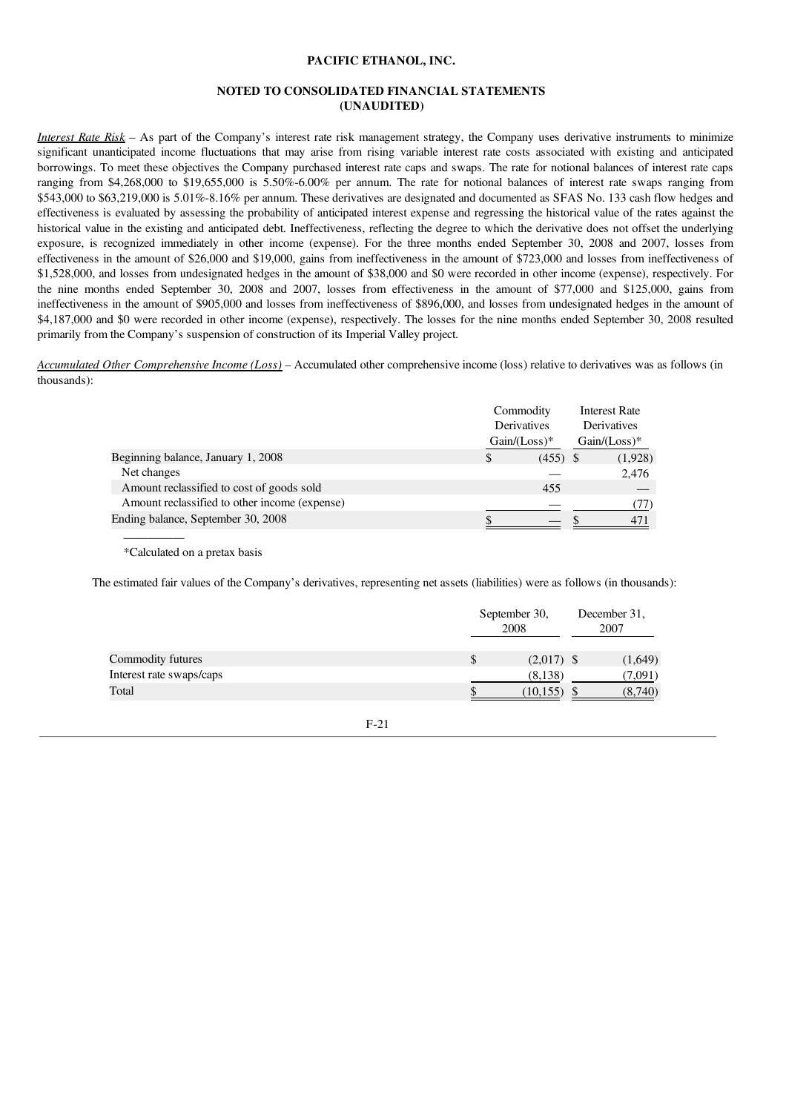## NOTED TO CONSOLIDATED FINANCIAL STATEMENTS (UNAUDITED)

*Interest Rate Risk* – As part of the Company's interest rate risk management strategy, the Company uses derivative instruments to minimize significant unanticipated income fluctuations that may arise from rising variable interest rate costs associated with existing and anticipated borrowings. To meet these objectives the Company purchased interest rate caps and swaps. The rate for notional balances of interest rate caps ranging from \$4,268,000 to \$19,655,000 is 5.50%-6.00% per annum. The rate for notional balances of interest rate swaps ranging from \$543,000 to \$63,219,000 is 5.01%-8.16% per annum. These derivatives are designated and documented as SFAS No. 133 cash flow hedges and effectiveness is evaluated by assessing the probability of anticipated interest expense and regressing the historical value of the rates against the historical value in the existing and anticipated debt. Ineffectiveness, reflecting the degree to which the derivative does not offset the underlying exposure, is recognized immediately in other income (expense). For the three months ended September 30, 2008 and 2007, losses from effectiveness in the amount of \$26,000 and \$19,000, gains from ineffectiveness in the amount of \$723,000 and losses from ineffectiveness of \$1,528,000, and losses from undesignated hedges in the amount of \$38,000 and \$0 were recorded in other income (expense), respectively. For the nine months ended September 30, 2008 and 2007, losses from effectiveness in the amount of \$77,000 and \$125,000, gains from ineffectiveness in the amount of \$905,000 and losses from ineffectiveness of \$896,000, and losses from undesignated hedges in the amount of \$4,187,000 and \$0 were recorded in other income (expense), respectively. The losses for the nine months ended September 30, 2008 resulted primarily from the Company's suspension of construction of its Imperial Valley project.

*Accumulated Other Comprehensive Income (Loss) –* Accumulated other comprehensive income (loss) relative to derivatives was as follows (in thousands):

|                                               | Commodity<br>Derivatives |            | <b>Interest Rate</b><br>Derivatives |         |
|-----------------------------------------------|--------------------------|------------|-------------------------------------|---------|
|                                               | $Gain/(Loss)*$           |            | $Gain / (Loss)*$                    |         |
| Beginning balance, January 1, 2008            | SБ                       | $(455)$ \$ |                                     | (1,928) |
| Net changes                                   |                          |            |                                     | 2,476   |
| Amount reclassified to cost of goods sold     |                          | 455        |                                     |         |
| Amount reclassified to other income (expense) |                          |            |                                     | TT      |
| Ending balance, September 30, 2008            |                          |            |                                     | 471     |

\*Calculated on a pretax basis

—————

The estimated fair values of the Company's derivatives, representing net assets (liabilities) were as follows (in thousands):

|                          | September 30,<br>2008 | December 31,<br>2007 |
|--------------------------|-----------------------|----------------------|
| Commodity futures        | $(2,017)$ \$          | (1,649)              |
| Interest rate swaps/caps | (8, 138)              | (7,091)              |
| Total                    | (10, 155)             | (8,740)              |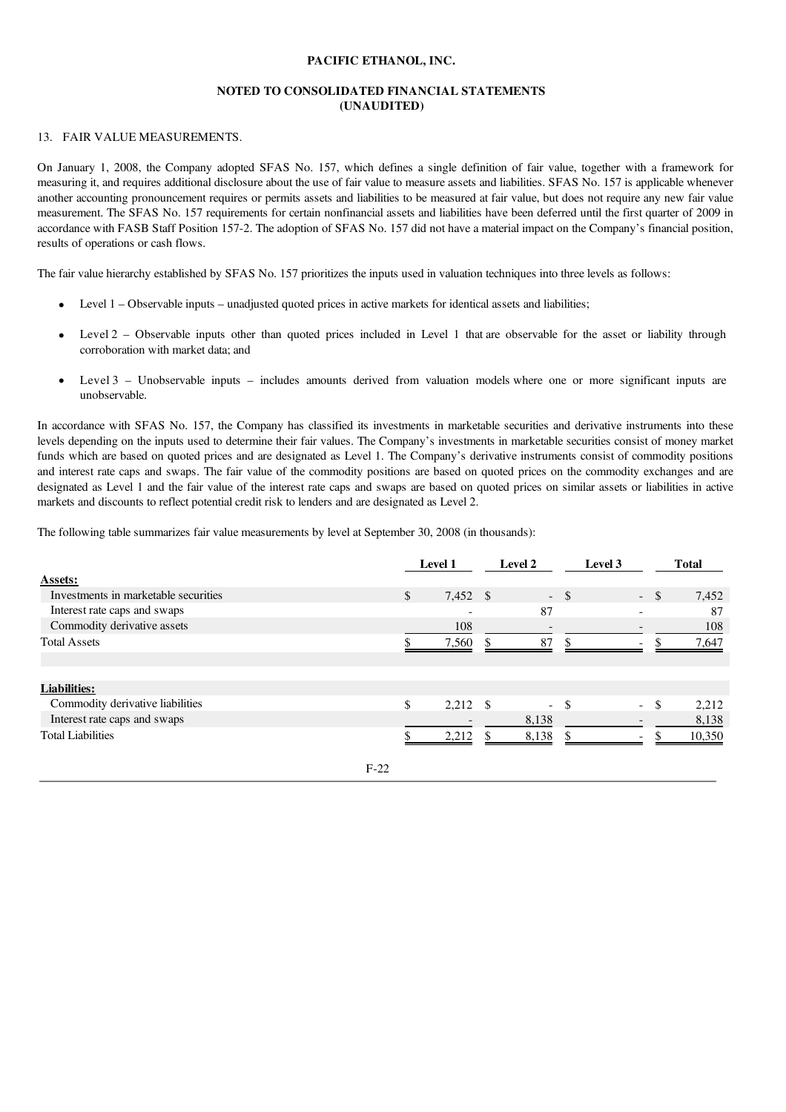## NOTED TO CONSOLIDATED FINANCIAL STATEMENTS (UNAUDITED)

## 13. FAIR VALUE MEASUREMENTS.

On January 1, 2008, the Company adopted SFAS No. 157, which defines a single definition of fair value, together with a framework for measuring it, and requires additional disclosure about the use of fair value to measure assets and liabilities. SFAS No. 157 is applicable whenever another accounting pronouncement requires or permits assets and liabilities to be measured at fair value, but does not require any new fair value measurement. The SFAS No. 157 requirements for certain nonfinancial assets and liabilities have been deferred until the first quarter of 2009 in accordance with FASB Staff Position 157-2. The adoption of SFAS No. 157 did not have a material impact on the Company's financial position, results of operations or cash flows.

The fair value hierarchy established by SFAS No. 157 prioritizes the inputs used in valuation techniques into three levels as follows:

- Level  $1 -$  Observable inputs unadjusted quoted prices in active markets for identical assets and liabilities;
- Level 2 Observable inputs other than quoted prices included in Level 1 that are observable for the asset or liability through corroboration with market data; and
- Level 3 Unobservable inputs includes amounts derived from valuation models where one or more significant inputs are unobservable.

In accordance with SFAS No. 157, the Company has classified its investments in marketable securities and derivative instruments into these levels depending on the inputs used to determine their fair values. The Company's investments in marketable securities consist of money market funds which are based on quoted prices and are designated as Level 1. The Company's derivative instruments consist of commodity positions and interest rate caps and swaps. The fair value of the commodity positions are based on quoted prices on the commodity exchanges and are designated as Level 1 and the fair value of the interest rate caps and swaps are based on quoted prices on similar assets or liabilities in active markets and discounts to reflect potential credit risk to lenders and are designated as Level 2.

The following table summarizes fair value measurements by level at September 30, 2008 (in thousands):

|                                      | <b>Level 1</b>   | Level 2                  | Level 3 |                          |        | <b>Total</b> |
|--------------------------------------|------------------|--------------------------|---------|--------------------------|--------|--------------|
| Assets:                              |                  |                          |         |                          |        |              |
| Investments in marketable securities | \$<br>7,452 \$   | $-$ \$                   |         |                          | $-$ \$ | 7,452        |
| Interest rate caps and swaps         |                  | 87                       |         |                          |        | 87           |
| Commodity derivative assets          | 108              | $\qquad \qquad$          |         |                          |        | 108          |
| <b>Total Assets</b>                  | 7,560            | 87                       |         |                          |        | 7,647        |
|                                      |                  |                          |         |                          |        |              |
|                                      |                  |                          |         |                          |        |              |
| <b>Liabilities:</b>                  |                  |                          |         |                          |        |              |
| Commodity derivative liabilities     | \$<br>$2,212$ \$ | $\overline{\phantom{a}}$ | \$      | $\overline{\phantom{0}}$ | \$     | 2,212        |
| Interest rate caps and swaps         |                  | 8,138                    |         |                          |        | 8,138        |
| <b>Total Liabilities</b>             | 2.212            | 8,138                    |         |                          |        | 10,350       |
|                                      |                  |                          |         |                          |        |              |
| $F-22$                               |                  |                          |         |                          |        |              |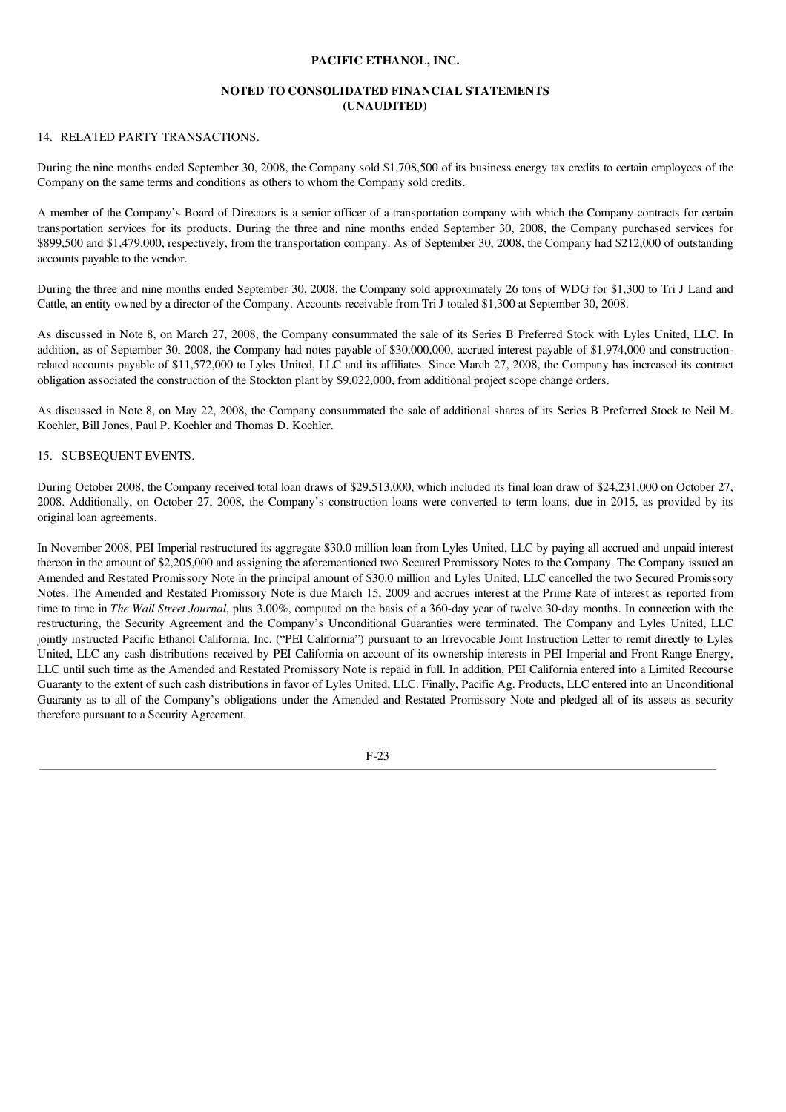## NOTED TO CONSOLIDATED FINANCIAL STATEMENTS (UNAUDITED)

### 14. RELATED PARTY TRANSACTIONS.

During the nine months ended September 30, 2008, the Company sold \$1,708,500 of its business energy tax credits to certain employees of the Company on the same terms and conditions as others to whom the Company sold credits.

A member of the Company's Board of Directors is a senior officer of a transportation company with which the Company contracts for certain transportation services for its products. During the three and nine months ended September 30, 2008, the Company purchased services for \$899,500 and \$1,479,000, respectively, from the transportation company. As of September 30, 2008, the Company had \$212,000 of outstanding accounts payable to the vendor.

During the three and nine months ended September 30, 2008, the Company sold approximately 26 tons of WDG for \$1,300 to Tri J Land and Cattle, an entity owned by a director of the Company. Accounts receivable from Tri J totaled \$1,300 at September 30, 2008.

As discussed in Note 8, on March 27, 2008, the Company consummated the sale of its Series B Preferred Stock with Lyles United, LLC. In addition, as of September 30, 2008, the Company had notes payable of \$30,000,000, accrued interest payable of \$1,974,000 and constructionrelated accounts payable of \$11,572,000 to Lyles United, LLC and its affiliates. Since March 27, 2008, the Company has increased its contract obligation associated the construction of the Stockton plant by \$9,022,000, from additional project scope change orders.

As discussed in Note 8, on May 22, 2008, the Company consummated the sale of additional shares of its Series B Preferred Stock to Neil M. Koehler, Bill Jones, Paul P. Koehler and Thomas D. Koehler.

### 15. SUBSEQUENT EVENTS.

During October 2008, the Company received total loan draws of \$29,513,000, which included its final loan draw of \$24,231,000 on October 27, 2008. Additionally, on October 27, 2008, the Company's construction loans were converted to term loans, due in 2015, as provided by its original loan agreements.

In November 2008, PEI Imperial restructured its aggregate \$30.0 million loan from Lyles United, LLC by paying all accrued and unpaid interest thereon in the amount of \$2,205,000 and assigning the aforementioned two Secured Promissory Notes to the Company. The Company issued an Amended and Restated Promissory Note in the principal amount of \$30.0 million and Lyles United, LLC cancelled the two Secured Promissory Notes. The Amended and Restated Promissory Note is due March 15, 2009 and accrues interest at the Prime Rate of interest as reported from time to time in *The Wall Street Journal*, plus 3.00%, computed on the basis of a 360-day year of twelve 30-day months. In connection with the restructuring, the Security Agreement and the Company's Unconditional Guaranties were terminated. The Company and Lyles United, LLC jointly instructed Pacific Ethanol California, Inc. ("PEI California") pursuant to an Irrevocable Joint Instruction Letter to remit directly to Lyles United, LLC any cash distributions received by PEI California on account of its ownership interests in PEI Imperial and Front Range Energy, LLC until such time as the Amended and Restated Promissory Note is repaid in full. In addition, PEI California entered into a Limited Recourse Guaranty to the extent of such cash distributions in favor of Lyles United, LLC. Finally, Pacific Ag. Products, LLC entered into an Unconditional Guaranty as to all of the Company's obligations under the Amended and Restated Promissory Note and pledged all of its assets as security therefore pursuant to a Security Agreement.

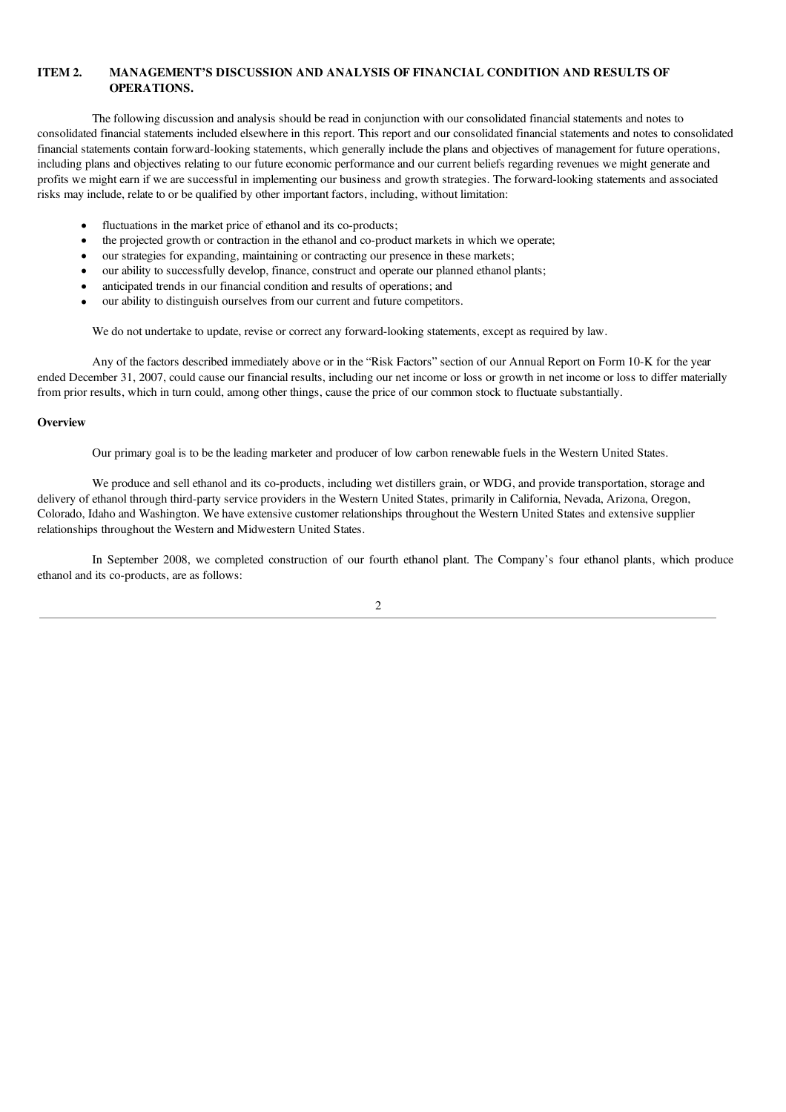## ITEM 2. MANAGEMENT'S DISCUSSION AND ANALYSIS OF FINANCIAL CONDITION AND RESULTS OF OPERATIONS.

The following discussion and analysis should be read in conjunction with our consolidated financial statements and notes to consolidated financial statements included elsewhere in this report. This report and our consolidated financial statements and notes to consolidated financial statements contain forward-looking statements, which generally include the plans and objectives of management for future operations, including plans and objectives relating to our future economic performance and our current beliefs regarding revenues we might generate and profits we might earn if we are successful in implementing our business and growth strategies. The forward-looking statements and associated risks may include, relate to or be qualified by other important factors, including, without limitation:

- · fluctuations in the market price of ethanol and its co-products;
- the projected growth or contraction in the ethanol and co-product markets in which we operate;
- our strategies for expanding, maintaining or contracting our presence in these markets;
- · our ability to successfully develop, finance, construct and operate our planned ethanol plants;
- anticipated trends in our financial condition and results of operations; and
- our ability to distinguish ourselves from our current and future competitors.

We do not undertake to update, revise or correct any forward-looking statements, except as required by law.

Any of the factors described immediately above or in the "Risk Factors" section of our Annual Report on Form 10-K for the year ended December 31, 2007, could cause our financial results, including our net income or loss or growth in net income or loss to differ materially from prior results, which in turn could, among other things, cause the price of our common stock to fluctuate substantially.

#### **Overview**

Our primary goal is to be the leading marketer and producer of low carbon renewable fuels in the Western United States.

We produce and sell ethanol and its co-products, including wet distillers grain, or WDG, and provide transportation, storage and delivery of ethanol through third-party service providers in the Western United States, primarily in California, Nevada, Arizona, Oregon, Colorado, Idaho and Washington. We have extensive customer relationships throughout the Western United States and extensive supplier relationships throughout the Western and Midwestern United States.

In September 2008, we completed construction of our fourth ethanol plant. The Company's four ethanol plants, which produce ethanol and its co-products, are as follows:

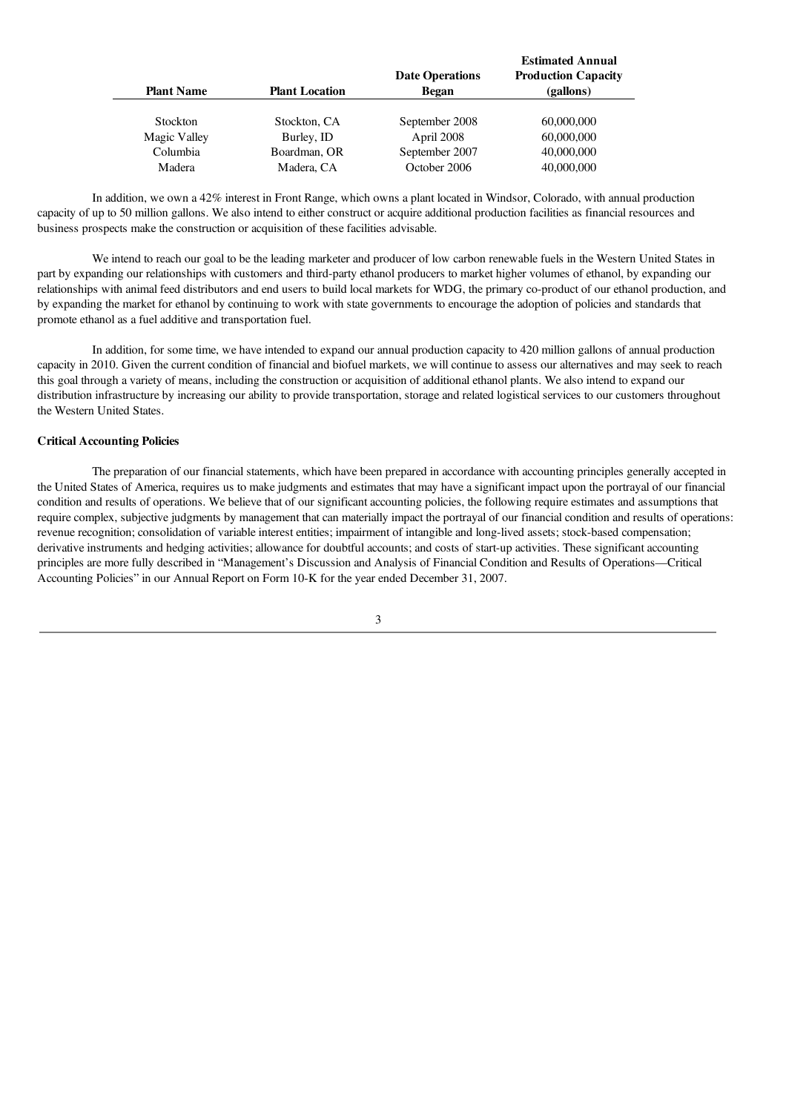| <b>Plant Name</b> | <b>Plant Location</b> | <b>Date Operations</b><br>Began | езишане Аппиа<br><b>Production Capacity</b><br>(gallons) |
|-------------------|-----------------------|---------------------------------|----------------------------------------------------------|
| Stockton          | Stockton, CA          | September 2008                  | 60,000,000                                               |
| Magic Valley      | Burley, ID            | April 2008                      | 60,000,000                                               |
| Columbia          | Boardman, OR          | September 2007                  | 40,000,000                                               |
| Madera            | Madera, CA            | October 2006                    | 40,000,000                                               |

Estimated Annual

In addition, we own a 42% interest in Front Range, which owns a plant located in Windsor, Colorado, with annual production capacity of up to 50 million gallons. We also intend to either construct or acquire additional production facilities as financial resources and business prospects make the construction or acquisition of these facilities advisable.

We intend to reach our goal to be the leading marketer and producer of low carbon renewable fuels in the Western United States in part by expanding our relationships with customers and third-party ethanol producers to market higher volumes of ethanol, by expanding our relationships with animal feed distributors and end users to build local markets for WDG, the primary co-product of our ethanol production, and by expanding the market for ethanol by continuing to work with state governments to encourage the adoption of policies and standards that promote ethanol as a fuel additive and transportation fuel.

In addition, for some time, we have intended to expand our annual production capacity to 420 million gallons of annual production capacity in 2010. Given the current condition of financial and biofuel markets, we will continue to assess our alternatives and may seek to reach this goal through a variety of means, including the construction or acquisition of additional ethanol plants. We also intend to expand our distribution infrastructure by increasing our ability to provide transportation, storage and related logistical services to our customers throughout the Western United States.

## Critical Accounting Policies

The preparation of our financial statements, which have been prepared in accordance with accounting principles generally accepted in the United States of America, requires us to make judgments and estimates that may have a significant impact upon the portrayal of our financial condition and results of operations. We believe that of our significant accounting policies, the following require estimates and assumptions that require complex, subjective judgments by management that can materially impact the portrayal of our financial condition and results of operations: revenue recognition; consolidation of variable interest entities; impairment of intangible and long-lived assets; stock-based compensation; derivative instruments and hedging activities; allowance for doubtful accounts; and costs of start-up activities. These significant accounting principles are more fully described in "Management's Discussion and Analysis of Financial Condition and Results of Operations—Critical Accounting Policies" in our Annual Report on Form 10-K for the year ended December 31, 2007.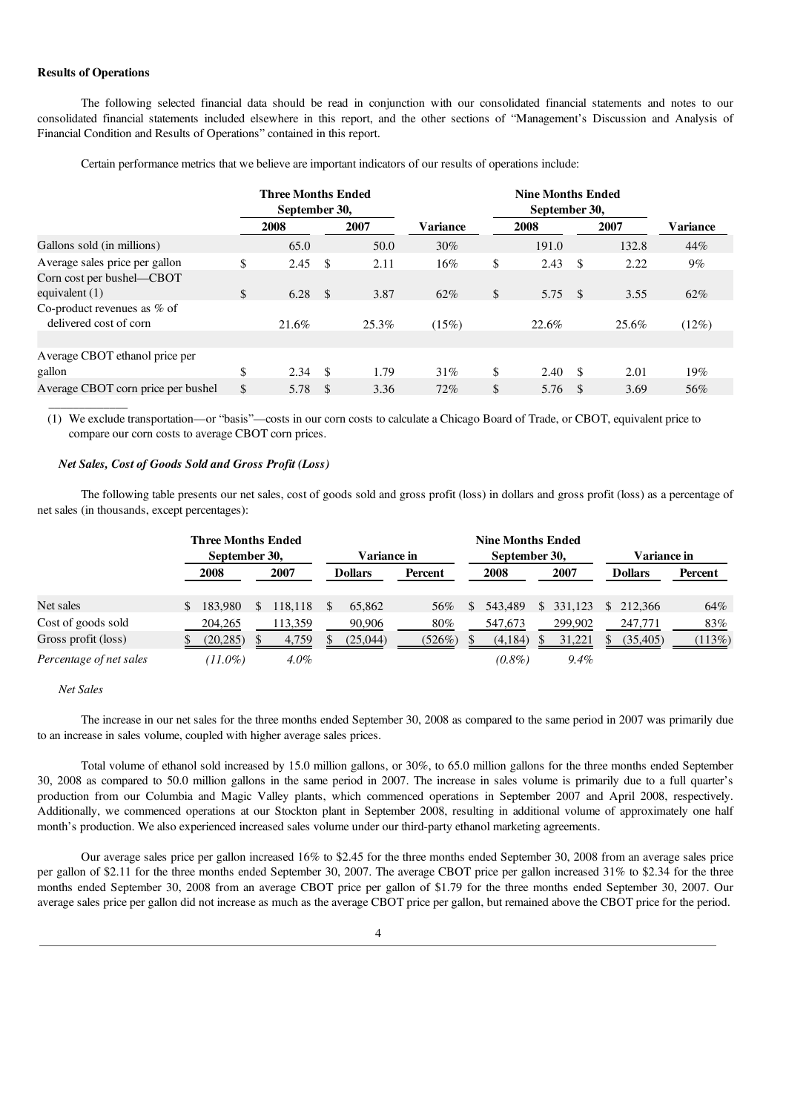#### Results of Operations

The following selected financial data should be read in conjunction with our consolidated financial statements and notes to our consolidated financial statements included elsewhere in this report, and the other sections of "Management's Discussion and Analysis of Financial Condition and Results of Operations" contained in this report.

Certain performance metrics that we believe are important indicators of our results of operations include:

|                                                         | <b>Three Months Ended</b><br>September 30, |    |       |          | <b>Nine Months Ended</b><br>September 30, |               |       |          |
|---------------------------------------------------------|--------------------------------------------|----|-------|----------|-------------------------------------------|---------------|-------|----------|
|                                                         | 2008                                       |    | 2007  | Variance | 2008                                      |               | 2007  | Variance |
| Gallons sold (in millions)                              | 65.0                                       |    | 50.0  | 30%      | 191.0                                     |               | 132.8 | 44%      |
| Average sales price per gallon                          | \$<br>2.45                                 | \$ | 2.11  | 16%      | \$<br>2.43                                | -\$           | 2.22  | $9\%$    |
| Corn cost per bushel-CBOT                               |                                            |    |       |          |                                           |               |       |          |
| equivalent $(1)$                                        | \$<br>6.28                                 | \$ | 3.87  | 62%      | \$<br>5.75                                | - \$          | 3.55  | 62%      |
| Co-product revenues as $%$ of<br>delivered cost of corn | 21.6%                                      |    | 25.3% | (15%)    | 22.6%                                     |               | 25.6% | (12%)    |
|                                                         |                                            |    |       |          |                                           |               |       |          |
| Average CBOT ethanol price per                          |                                            |    |       |          |                                           |               |       |          |
| gallon                                                  | \$<br>2.34                                 | \$ | 1.79  | 31%      | \$<br>2.40                                | -\$           | 2.01  | 19%      |
| Average CBOT corn price per bushel                      | \$<br>5.78                                 | \$ | 3.36  | 72%      | \$<br>5.76                                | <sup>\$</sup> | 3.69  | 56%      |

(1) We exclude transportation—or "basis"—costs in our corn costs to calculate a Chicago Board of Trade, or CBOT, equivalent price to compare our corn costs to average CBOT corn prices.

### *Net Sales, Cost of Goods Sold and Gross Profit (Loss)*

The following table presents our net sales, cost of goods sold and gross profit (loss) in dollars and gross profit (loss) as a percentage of net sales (in thousands, except percentages):

|                         | <b>Three Months Ended</b><br>September 30, |  |         |  | <b>Variance in</b> |           |      | <b>Nine Months Ended</b><br>September 30, |      | Variance in |                |         |  |
|-------------------------|--------------------------------------------|--|---------|--|--------------------|-----------|------|-------------------------------------------|------|-------------|----------------|---------|--|
|                         | 2008                                       |  | 2007    |  | <b>Dollars</b>     | Percent   | 2008 |                                           | 2007 |             | <b>Dollars</b> | Percent |  |
| Net sales               | 183,980                                    |  | 118.118 |  | 65,862             | 56%       |      | 543.489                                   | S.   | 331.123     | 212.366        | 64%     |  |
| Cost of goods sold      | 204,265                                    |  | 113,359 |  | 90,906             | 80%       |      | 547,673                                   |      | 299,902     | 247,771        | 83%     |  |
| Gross profit (loss)     | (20, 285)                                  |  | 4,759   |  | (25,044)           | $(526\%)$ |      | (4,184)                                   |      | 31,221      | (35, 405)      | (113%)  |  |
| Percentage of net sales | $(11.0\%)$                                 |  | $4.0\%$ |  |                    |           |      | $(0.8\%)$                                 |      | 9.4%        |                |         |  |

#### *Net Sales*

 $\overline{\phantom{a}}$  , where  $\overline{\phantom{a}}$ 

The increase in our net sales for the three months ended September 30, 2008 as compared to the same period in 2007 was primarily due to an increase in sales volume, coupled with higher average sales prices.

Total volume of ethanol sold increased by 15.0 million gallons, or 30%, to 65.0 million gallons for the three months ended September 30, 2008 as compared to 50.0 million gallons in the same period in 2007. The increase in sales volume is primarily due to a full quarter's production from our Columbia and Magic Valley plants, which commenced operations in September 2007 and April 2008, respectively. Additionally, we commenced operations at our Stockton plant in September 2008, resulting in additional volume of approximately one half month's production. We also experienced increased sales volume under our third-party ethanol marketing agreements.

Our average sales price per gallon increased 16% to \$2.45 for the three months ended September 30, 2008 from an average sales price per gallon of \$2.11 for the three months ended September 30, 2007. The average CBOT price per gallon increased 31% to \$2.34 for the three months ended September 30, 2008 from an average CBOT price per gallon of \$1.79 for the three months ended September 30, 2007. Our average sales price per gallon did not increase as much as the average CBOT price per gallon, but remained above the CBOT price for the period.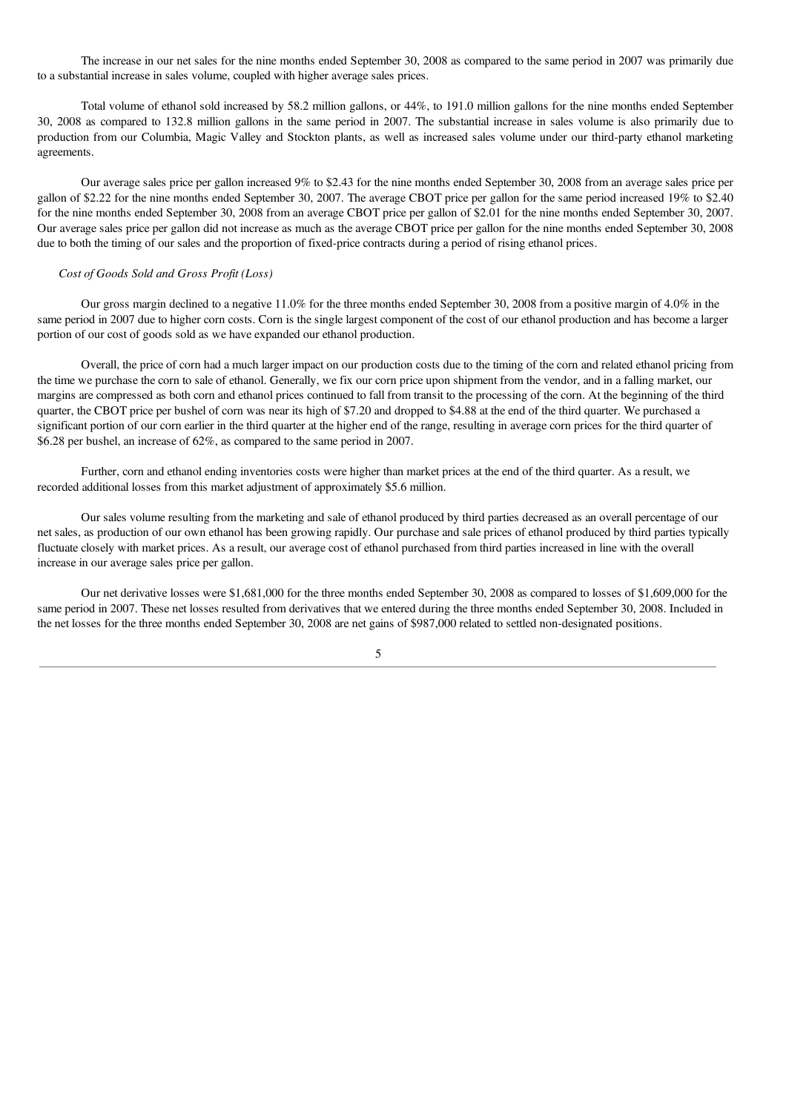The increase in our net sales for the nine months ended September 30, 2008 as compared to the same period in 2007 was primarily due to a substantial increase in sales volume, coupled with higher average sales prices.

Total volume of ethanol sold increased by 58.2 million gallons, or 44%, to 191.0 million gallons for the nine months ended September 30, 2008 as compared to 132.8 million gallons in the same period in 2007. The substantial increase in sales volume is also primarily due to production from our Columbia, Magic Valley and Stockton plants, as well as increased sales volume under our third-party ethanol marketing agreements.

Our average sales price per gallon increased 9% to \$2.43 for the nine months ended September 30, 2008 from an average sales price per gallon of \$2.22 for the nine months ended September 30, 2007. The average CBOT price per gallon for the same period increased 19% to \$2.40 for the nine months ended September 30, 2008 from an average CBOT price per gallon of \$2.01 for the nine months ended September 30, 2007. Our average sales price per gallon did not increase as much as the average CBOT price per gallon for the nine months ended September 30, 2008 due to both the timing of our sales and the proportion of fixed-price contracts during a period of rising ethanol prices.

#### *Cost of Goods Sold and Gross Profit (Loss)*

Our gross margin declined to a negative 11.0% for the three months ended September 30, 2008 from a positive margin of 4.0% in the same period in 2007 due to higher corn costs. Corn is the single largest component of the cost of our ethanol production and has become a larger portion of our cost of goods sold as we have expanded our ethanol production.

Overall, the price of corn had a much larger impact on our production costs due to the timing of the corn and related ethanol pricing from the time we purchase the corn to sale of ethanol. Generally, we fix our corn price upon shipment from the vendor, and in a falling market, our margins are compressed as both corn and ethanol prices continued to fall from transit to the processing of the corn. At the beginning of the third quarter, the CBOT price per bushel of corn was near its high of \$7.20 and dropped to \$4.88 at the end of the third quarter. We purchased a significant portion of our corn earlier in the third quarter at the higher end of the range, resulting in average corn prices for the third quarter of \$6.28 per bushel, an increase of 62%, as compared to the same period in 2007.

Further, corn and ethanol ending inventories costs were higher than market prices at the end of the third quarter. As a result, we recorded additional losses from this market adjustment of approximately \$5.6 million.

Our sales volume resulting from the marketing and sale of ethanol produced by third parties decreased as an overall percentage of our net sales, as production of our own ethanol has been growing rapidly. Our purchase and sale prices of ethanol produced by third parties typically fluctuate closely with market prices. As a result, our average cost of ethanol purchased from third parties increased in line with the overall increase in our average sales price per gallon.

Our net derivative losses were \$1,681,000 for the three months ended September 30, 2008 as compared to losses of \$1,609,000 for the same period in 2007. These net losses resulted from derivatives that we entered during the three months ended September 30, 2008. Included in the net losses for the three months ended September 30, 2008 are net gains of \$987,000 related to settled non-designated positions.

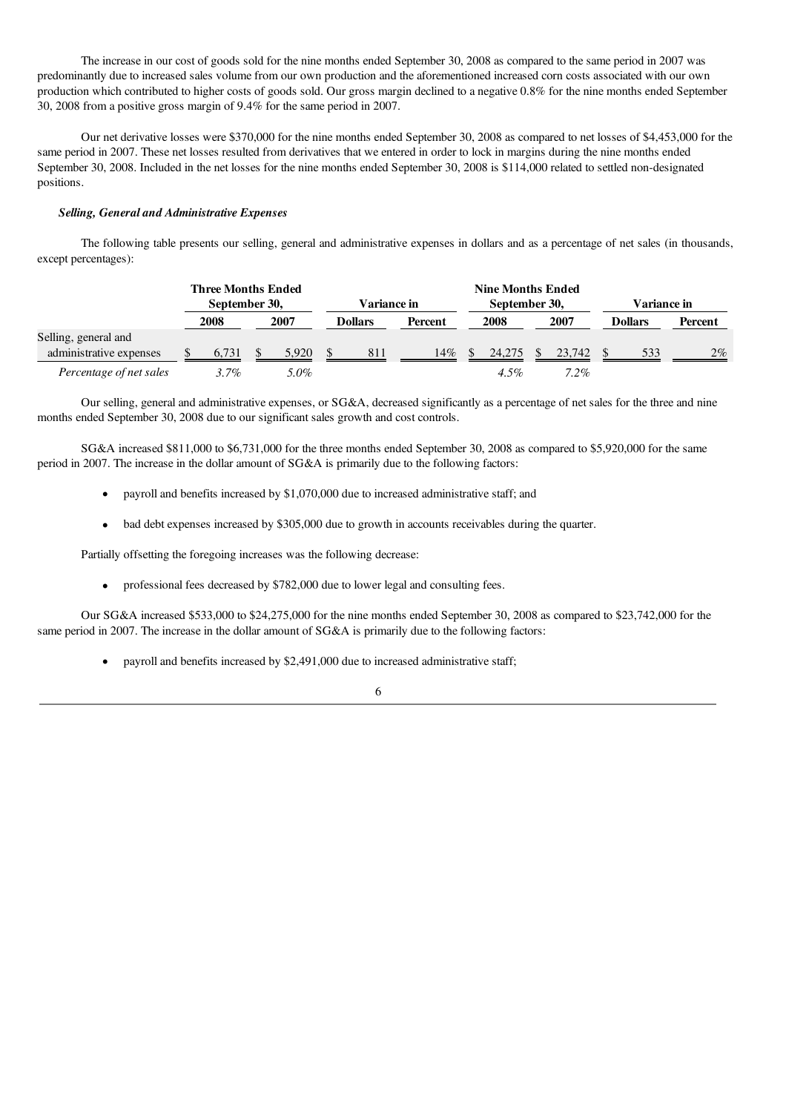The increase in our cost of goods sold for the nine months ended September 30, 2008 as compared to the same period in 2007 was predominantly due to increased sales volume from our own production and the aforementioned increased corn costs associated with our own production which contributed to higher costs of goods sold. Our gross margin declined to a negative 0.8% for the nine months ended September 30, 2008 from a positive gross margin of 9.4% for the same period in 2007.

Our net derivative losses were \$370,000 for the nine months ended September 30, 2008 as compared to net losses of \$4,453,000 for the same period in 2007. These net losses resulted from derivatives that we entered in order to lock in margins during the nine months ended September 30, 2008. Included in the net losses for the nine months ended September 30, 2008 is \$114,000 related to settled non-designated positions.

### *Selling, General and Administrative Expenses*

The following table presents our selling, general and administrative expenses in dollars and as a percentage of net sales (in thousands, except percentages):

|                                                 |       | <b>Three Months Ended</b><br>September 30, |  |       |      | Variance in |     | <b>Nine Months Ended</b><br>September 30, |         |      |         | Variance in |  |                |  |         |  |
|-------------------------------------------------|-------|--------------------------------------------|--|-------|------|-------------|-----|-------------------------------------------|---------|------|---------|-------------|--|----------------|--|---------|--|
|                                                 | 2008  |                                            |  |       | 2007 |             |     | Dollars                                   | Percent | 2008 |         | 2007        |  | <b>Dollars</b> |  | Percent |  |
| Selling, general and<br>administrative expenses | 6,731 |                                            |  | 5,920 | 811  |             | 14% | S.                                        | 24,275  |      | 23,742  | 533         |  | $2\%$          |  |         |  |
| Percentage of net sales                         |       | $3.7\%$                                    |  | 5.0%  |      |             |     |                                           | $4.5\%$ |      | $7.2\%$ |             |  |                |  |         |  |

Our selling, general and administrative expenses, or SG&A, decreased significantly as a percentage of net sales for the three and nine months ended September 30, 2008 due to our significant sales growth and cost controls.

SG&A increased \$811,000 to \$6,731,000 for the three months ended September 30, 2008 as compared to \$5,920,000 for the same period in 2007. The increase in the dollar amount of SG&A is primarily due to the following factors:

- · payroll and benefits increased by \$1,070,000 due to increased administrative staff; and
- bad debt expenses increased by \$305,000 due to growth in accounts receivables during the quarter.

Partially offsetting the foregoing increases was the following decrease:

• professional fees decreased by \$782,000 due to lower legal and consulting fees.

Our SG&A increased \$533,000 to \$24,275,000 for the nine months ended September 30, 2008 as compared to \$23,742,000 for the same period in 2007. The increase in the dollar amount of SG&A is primarily due to the following factors:

• payroll and benefits increased by \$2,491,000 due to increased administrative staff;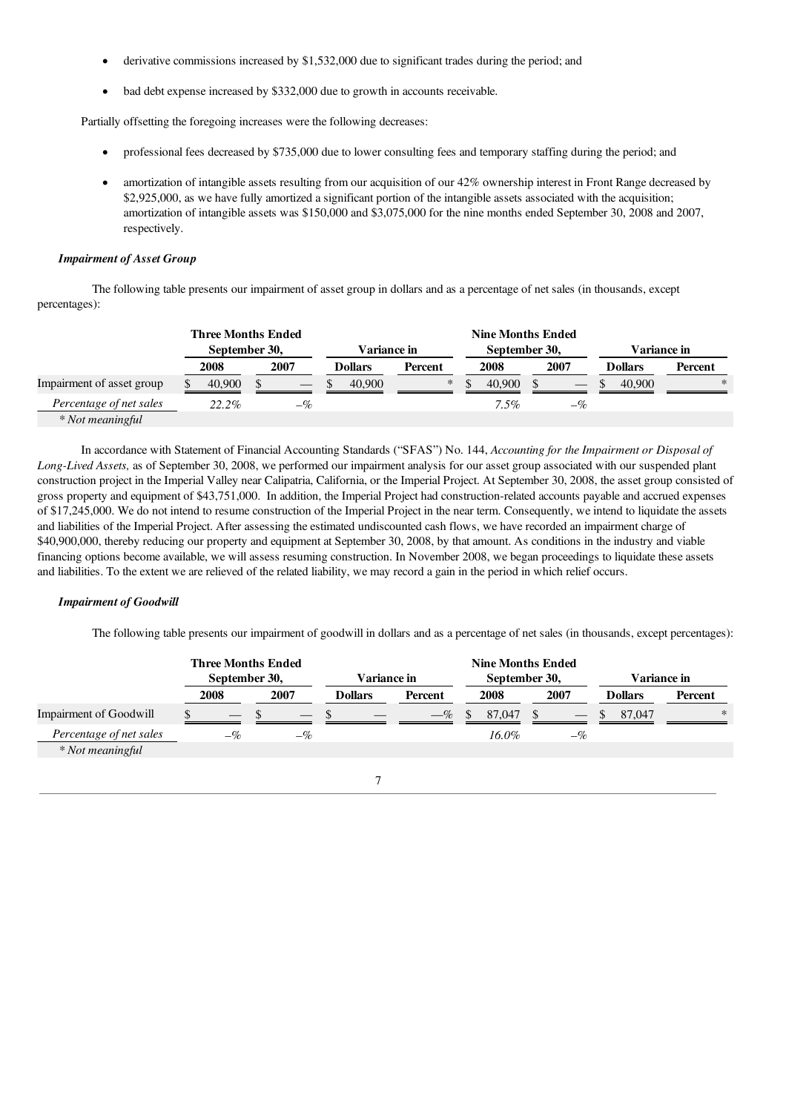- derivative commissions increased by \$1,532,000 due to significant trades during the period; and
- bad debt expense increased by \$332,000 due to growth in accounts receivable.

Partially offsetting the foregoing increases were the following decreases:

- · professional fees decreased by \$735,000 due to lower consulting fees and temporary staffing during the period; and
- amortization of intangible assets resulting from our acquisition of our 42% ownership interest in Front Range decreased by \$2,925,000, as we have fully amortized a significant portion of the intangible assets associated with the acquisition; amortization of intangible assets was \$150,000 and \$3,075,000 for the nine months ended September 30, 2008 and 2007, respectively.

#### *Impairment of Asset Group*

The following table presents our impairment of asset group in dollars and as a percentage of net sales (in thousands, except percentages):

|                           |      | <b>Three Months Ended</b><br>September 30, |      |       |                | <b>Variance in</b> |         |   |      | <b>Nine Months Ended</b><br>September 30, |      |                   | Variance in |        |         |  |
|---------------------------|------|--------------------------------------------|------|-------|----------------|--------------------|---------|---|------|-------------------------------------------|------|-------------------|-------------|--------|---------|--|
|                           | 2008 |                                            | 2007 |       | <b>Dollars</b> |                    | Percent |   | 2008 |                                           | 2007 |                   | Dollars     |        | Percent |  |
| Impairment of asset group |      | 40,900                                     |      |       |                | 40,900             |         | ∗ |      | 40,900                                    |      | $\hspace{0.05cm}$ |             | 40,900 | $\ast$  |  |
| Percentage of net sales   |      | $22.2\%$                                   |      | $-\%$ |                |                    |         |   |      | 7.5%                                      |      | $-\%$             |             |        |         |  |
| * Not meaningful          |      |                                            |      |       |                |                    |         |   |      |                                           |      |                   |             |        |         |  |

In accordance with Statement of Financial Accounting Standards ("SFAS") No. 144, *Accounting for the Impairment or Disposal of Long-Lived Assets,* as of September 30, 2008, we performed our impairment analysis for our asset group associated with our suspended plant construction project in the Imperial Valley near Calipatria, California, or the Imperial Project. At September 30, 2008, the asset group consisted of gross property and equipment of \$43,751,000. In addition, the Imperial Project had construction-related accounts payable and accrued expenses of \$17,245,000. We do not intend to resume construction of the Imperial Project in the near term. Consequently, we intend to liquidate the assets and liabilities of the Imperial Project. After assessing the estimated undiscounted cash flows, we have recorded an impairment charge of \$40,900,000, thereby reducing our property and equipment at September 30, 2008, by that amount. As conditions in the industry and viable financing options become available, we will assess resuming construction. In November 2008, we began proceedings to liquidate these assets and liabilities. To the extent we are relieved of the related liability, we may record a gain in the period in which relief occurs.

### *Impairment of Goodwill*

The following table presents our impairment of goodwill in dollars and as a percentage of net sales (in thousands, except percentages):

|                               | <b>Three Months Ended</b><br>September 30, |      |                               | Variance in    |  |         |  | <b>Nine Months Ended</b><br>September 30, |  |       | Variance in |                |  |         |  |
|-------------------------------|--------------------------------------------|------|-------------------------------|----------------|--|---------|--|-------------------------------------------|--|-------|-------------|----------------|--|---------|--|
|                               | 2008                                       | 2007 |                               | <b>Dollars</b> |  | Percent |  | 2008                                      |  | 2007  |             | <b>Dollars</b> |  | Percent |  |
| <b>Impairment of Goodwill</b> |                                            |      | $\overbrace{\phantom{12332}}$ |                |  | $-\%$   |  | 87,047                                    |  |       |             | 87,047         |  | $\ast$  |  |
| Percentage of net sales       | $-\%$                                      |      | $-\%$                         |                |  |         |  | $16.0\%$                                  |  | $-\%$ |             |                |  |         |  |
| * Not meaningful              |                                            |      |                               |                |  |         |  |                                           |  |       |             |                |  |         |  |
|                               |                                            |      |                               |                |  |         |  |                                           |  |       |             |                |  |         |  |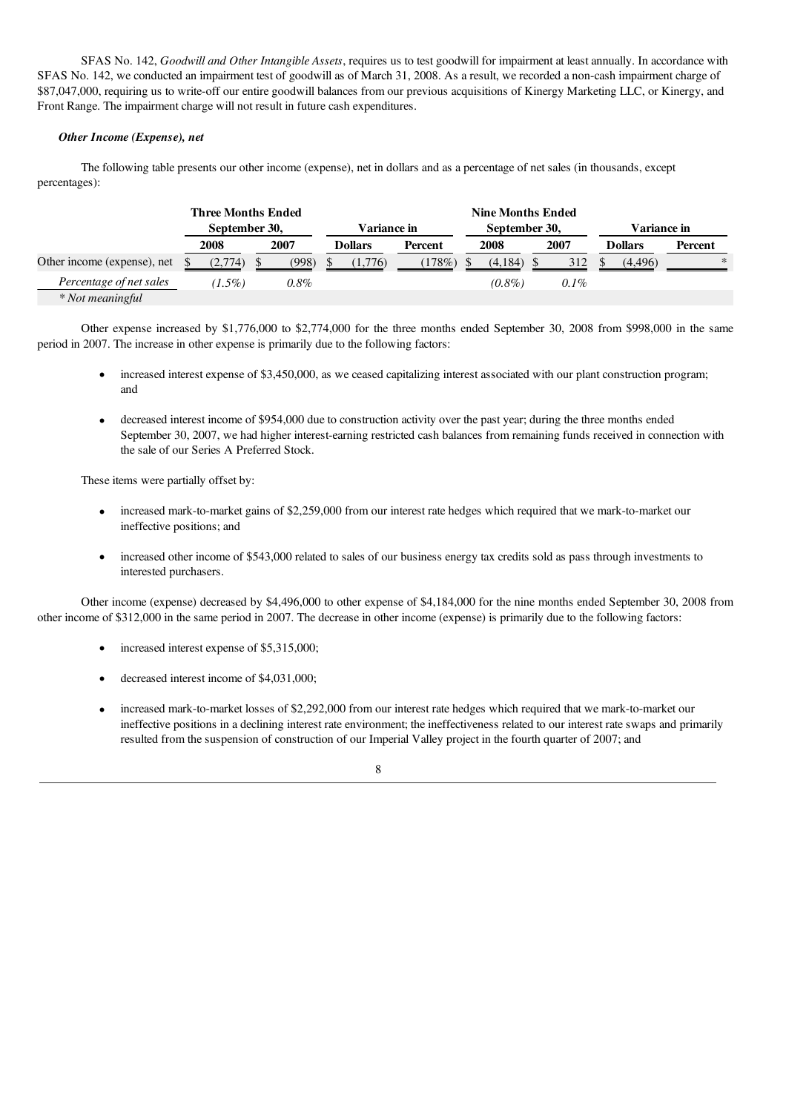SFAS No. 142, *Goodwill and Other Intangible Assets*, requires us to test goodwill for impairment at least annually. In accordance with SFAS No. 142, we conducted an impairment test of goodwill as of March 31, 2008. As a result, we recorded a non-cash impairment charge of \$87,047,000, requiring us to write-off our entire goodwill balances from our previous acquisitions of Kinergy Marketing LLC, or Kinergy, and Front Range. The impairment charge will not result in future cash expenditures.

### *Other Income (Expense), net*

The following table presents our other income (expense), net in dollars and as a percentage of net sales (in thousands, except percentages):

|                             | <b>Three Months Ended</b> |               |  |         |             | <b>Nine Months Ended</b> |         |               |  |           |  |         |                    |          |         |        |  |  |
|-----------------------------|---------------------------|---------------|--|---------|-------------|--------------------------|---------|---------------|--|-----------|--|---------|--------------------|----------|---------|--------|--|--|
|                             |                           | September 30, |  |         | Variance in |                          |         | September 30, |  |           |  |         | <b>Variance in</b> |          |         |        |  |  |
|                             |                           | 2008          |  | 2007    |             | Dollars                  | Percent |               |  | 2008      |  | 2007    |                    | Dollars  | Percent |        |  |  |
| Other income (expense), net |                           | (2,774)       |  | (998)   |             | (1,776)                  |         | $178\%)$      |  | (4, 184)  |  | 312     |                    | (4, 496) |         | $\ast$ |  |  |
| Percentage of net sales     |                           | $(1.5\%)$     |  | $0.8\%$ |             |                          |         |               |  | $(0.8\%)$ |  | $0.1\%$ |                    |          |         |        |  |  |
| * Not meaningful            |                           |               |  |         |             |                          |         |               |  |           |  |         |                    |          |         |        |  |  |

Other expense increased by \$1,776,000 to \$2,774,000 for the three months ended September 30, 2008 from \$998,000 in the same period in 2007. The increase in other expense is primarily due to the following factors:

- increased interest expense of \$3,450,000, as we ceased capitalizing interest associated with our plant construction program; and
- decreased interest income of \$954,000 due to construction activity over the past year; during the three months ended September 30, 2007, we had higher interest-earning restricted cash balances from remaining funds received in connection with the sale of our Series A Preferred Stock.

These items were partially offset by:

- · increased mark-to-market gains of \$2,259,000 from our interest rate hedges which required that we mark-to-market our ineffective positions; and
- increased other income of \$543,000 related to sales of our business energy tax credits sold as pass through investments to interested purchasers.

Other income (expense) decreased by \$4,496,000 to other expense of \$4,184,000 for the nine months ended September 30, 2008 from other income of \$312,000 in the same period in 2007. The decrease in other income (expense) is primarily due to the following factors:

- increased interest expense of \$5,315,000;
- decreased interest income of \$4,031,000;
- · increased mark-to-market losses of \$2,292,000 from our interest rate hedges which required that we mark-to-market our ineffective positions in a declining interest rate environment; the ineffectiveness related to our interest rate swaps and primarily resulted from the suspension of construction of our Imperial Valley project in the fourth quarter of 2007; and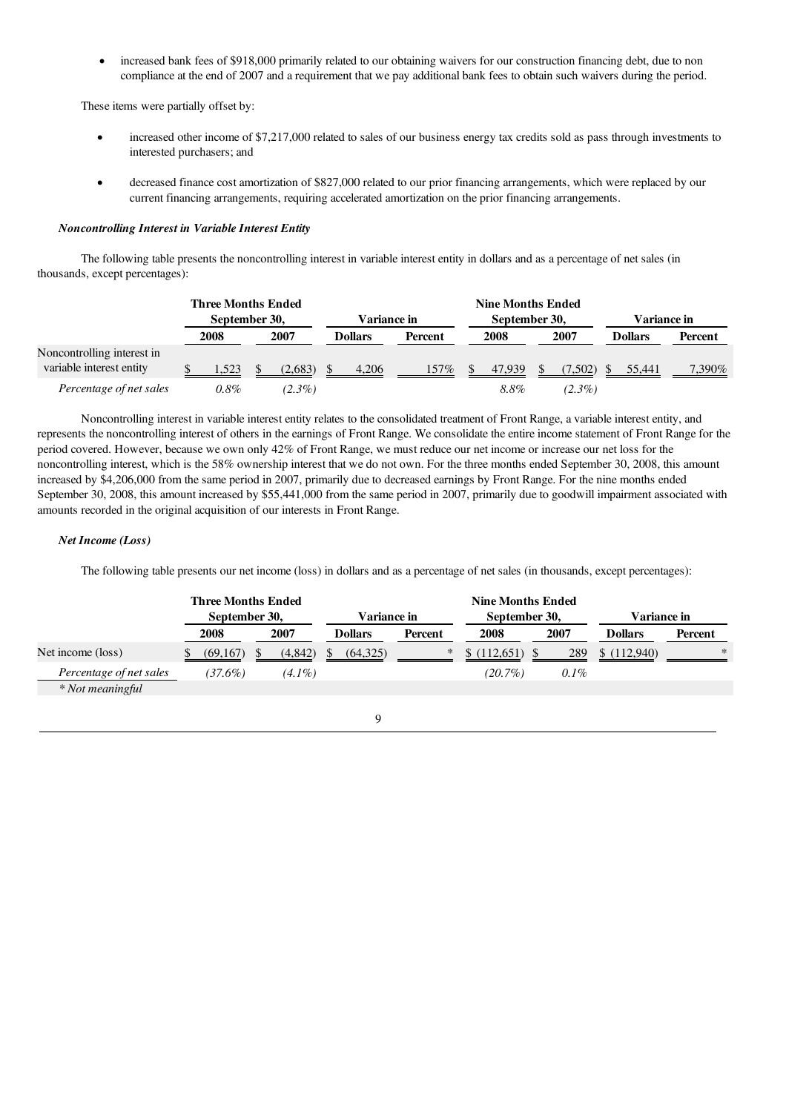• increased bank fees of \$918,000 primarily related to our obtaining waivers for our construction financing debt, due to non compliance at the end of 2007 and a requirement that we pay additional bank fees to obtain such waivers during the period.

These items were partially offset by:

- · increased other income of \$7,217,000 related to sales of our business energy tax credits sold as pass through investments to interested purchasers; and
- · decreased finance cost amortization of \$827,000 related to our prior financing arrangements, which were replaced by our current financing arrangements, requiring accelerated amortization on the prior financing arrangements.

## *Noncontrolling Interest in Variable Interest Entity*

The following table presents the noncontrolling interest in variable interest entity in dollars and as a percentage of net sales (in thousands, except percentages):

|                                                        | <b>Three Months Ended</b><br>September 30, |      |  |           | Variance in |         |    | <b>Nine Months Ended</b><br>September 30, |           | <b>Variance in</b> |                |         |  |
|--------------------------------------------------------|--------------------------------------------|------|--|-----------|-------------|---------|----|-------------------------------------------|-----------|--------------------|----------------|---------|--|
|                                                        |                                            | 2008 |  | 2007      | Dollars     | Percent |    | 2008                                      | 2007      |                    | <b>Dollars</b> | Percent |  |
| Noncontrolling interest in<br>variable interest entity |                                            | .523 |  | (2,683)   | 4,206       | $157\%$ | S. | 47,939                                    | (7,502)   |                    | 55,441         | 7,390%  |  |
| Percentage of net sales                                |                                            | 0.8% |  | $(2.3\%)$ |             |         |    | 8.8%                                      | $(2.3\%)$ |                    |                |         |  |

Noncontrolling interest in variable interest entity relates to the consolidated treatment of Front Range, a variable interest entity, and represents the noncontrolling interest of others in the earnings of Front Range. We consolidate the entire income statement of Front Range for the period covered. However, because we own only 42% of Front Range, we must reduce our net income or increase our net loss for the noncontrolling interest, which is the 58% ownership interest that we do not own. For the three months ended September 30, 2008, this amount increased by \$4,206,000 from the same period in 2007, primarily due to decreased earnings by Front Range. For the nine months ended September 30, 2008, this amount increased by \$55,441,000 from the same period in 2007, primarily due to goodwill impairment associated with amounts recorded in the original acquisition of our interests in Front Range.

### *Net Income (Loss)*

The following table presents our net income (loss) in dollars and as a percentage of net sales (in thousands, except percentages):

|                         | <b>Three Months Ended</b><br>September 30, |            |  |           |  | Variance in |         |   | <b>Nine Months Ended</b><br>September 30, |      | Variance in    |         |  |
|-------------------------|--------------------------------------------|------------|--|-----------|--|-------------|---------|---|-------------------------------------------|------|----------------|---------|--|
|                         |                                            | 2008       |  | 2007      |  | Dollars     | Percent |   | 2008                                      | 2007 | <b>Dollars</b> | Percent |  |
| Net income (loss)       |                                            | (69, 167)  |  | (4,842)   |  | (64, 325)   |         | ∗ | \$(112,651)                               | 289  | (112,940)      | $\ast$  |  |
| Percentage of net sales |                                            | $(37.6\%)$ |  | $(4.1\%)$ |  |             |         |   | $(20.7\%)$                                | 0.1% |                |         |  |
| * Not meaningful        |                                            |            |  |           |  |             |         |   |                                           |      |                |         |  |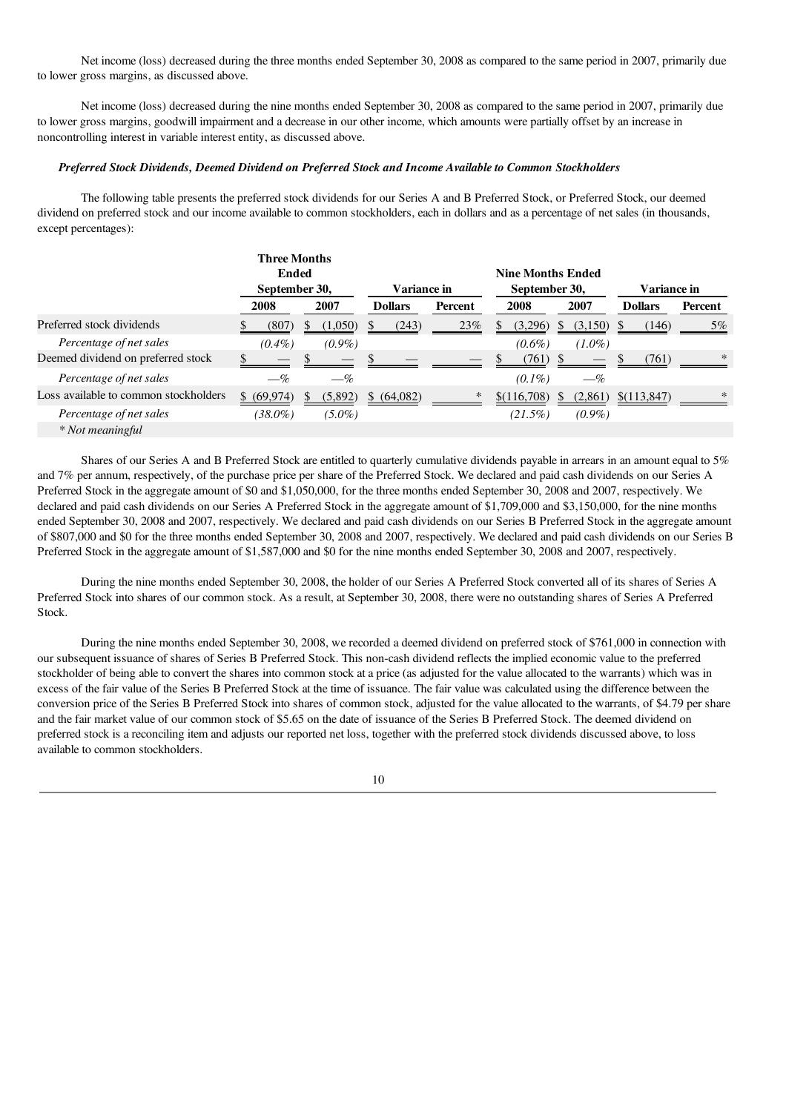Net income (loss) decreased during the three months ended September 30, 2008 as compared to the same period in 2007, primarily due to lower gross margins, as discussed above.

Net income (loss) decreased during the nine months ended September 30, 2008 as compared to the same period in 2007, primarily due to lower gross margins, goodwill impairment and a decrease in our other income, which amounts were partially offset by an increase in noncontrolling interest in variable interest entity, as discussed above.

### *Preferred Stock Dividends, Deemed Dividend on Preferred Stock and Income Available to Common Stockholders*

The following table presents the preferred stock dividends for our Series A and B Preferred Stock, or Preferred Stock, our deemed dividend on preferred stock and our income available to common stockholders, each in dollars and as a percentage of net sales (in thousands, except percentages):

|                                       | <b>Three Months</b><br><b>Ended</b><br>September 30, |   |           | <b>Variance in</b> |         |    | <b>Nine Months Ended</b><br>September 30, |           | Variance in |                |         |
|---------------------------------------|------------------------------------------------------|---|-----------|--------------------|---------|----|-------------------------------------------|-----------|-------------|----------------|---------|
|                                       | 2008                                                 |   | 2007      | <b>Dollars</b>     | Percent |    | 2008                                      | 2007      |             | <b>Dollars</b> | Percent |
| Preferred stock dividends             | 307)                                                 |   | (1,050)   | (243)              | 23%     | S. | (3,296)                                   | (3,150)   |             | (146)          | 5%      |
| Percentage of net sales               | $(0.4\%)$                                            |   | $(0.9\%)$ |                    |         |    | $(0.6\%)$                                 | $(1.0\%)$ |             |                |         |
| Deemed dividend on preferred stock    |                                                      |   |           |                    |         |    | (761)                                     |           |             | (761)          | $\ast$  |
| Percentage of net sales               | $-\%$                                                |   | $-\%$     |                    |         |    | $(0.1\%)$                                 | $-\%$     |             |                |         |
| Loss available to common stockholders | \$ (69, 974)                                         | S | (5,892)   | \$ (64,082)        | *       |    | \$(116,708)                               | (2,861)   |             | \$(113, 847)   | ∗       |
| Percentage of net sales               | $(38.0\%)$                                           |   | $(5.0\%)$ |                    |         |    | $(21.5\%)$                                | $(0.9\%)$ |             |                |         |
| * Not meaningful                      |                                                      |   |           |                    |         |    |                                           |           |             |                |         |

Shares of our Series A and B Preferred Stock are entitled to quarterly cumulative dividends payable in arrears in an amount equal to 5% and 7% per annum, respectively, of the purchase price per share of the Preferred Stock. We declared and paid cash dividends on our Series A Preferred Stock in the aggregate amount of \$0 and \$1,050,000, for the three months ended September 30, 2008 and 2007, respectively. We declared and paid cash dividends on our Series A Preferred Stock in the aggregate amount of \$1,709,000 and \$3,150,000, for the nine months ended September 30, 2008 and 2007, respectively. We declared and paid cash dividends on our Series B Preferred Stock in the aggregate amount of \$807,000 and \$0 for the three months ended September 30, 2008 and 2007, respectively. We declared and paid cash dividends on our Series B Preferred Stock in the aggregate amount of \$1,587,000 and \$0 for the nine months ended September 30, 2008 and 2007, respectively.

During the nine months ended September 30, 2008, the holder of our Series A Preferred Stock converted all of its shares of Series A Preferred Stock into shares of our common stock. As a result, at September 30, 2008, there were no outstanding shares of Series A Preferred Stock.

During the nine months ended September 30, 2008, we recorded a deemed dividend on preferred stock of \$761,000 in connection with our subsequent issuance of shares of Series B Preferred Stock. This non-cash dividend reflects the implied economic value to the preferred stockholder of being able to convert the shares into common stock at a price (as adjusted for the value allocated to the warrants) which was in excess of the fair value of the Series B Preferred Stock at the time of issuance. The fair value was calculated using the difference between the conversion price of the Series B Preferred Stock into shares of common stock, adjusted for the value allocated to the warrants, of \$4.79 per share and the fair market value of our common stock of \$5.65 on the date of issuance of the Series B Preferred Stock. The deemed dividend on preferred stock is a reconciling item and adjusts our reported net loss, together with the preferred stock dividends discussed above, to loss available to common stockholders.

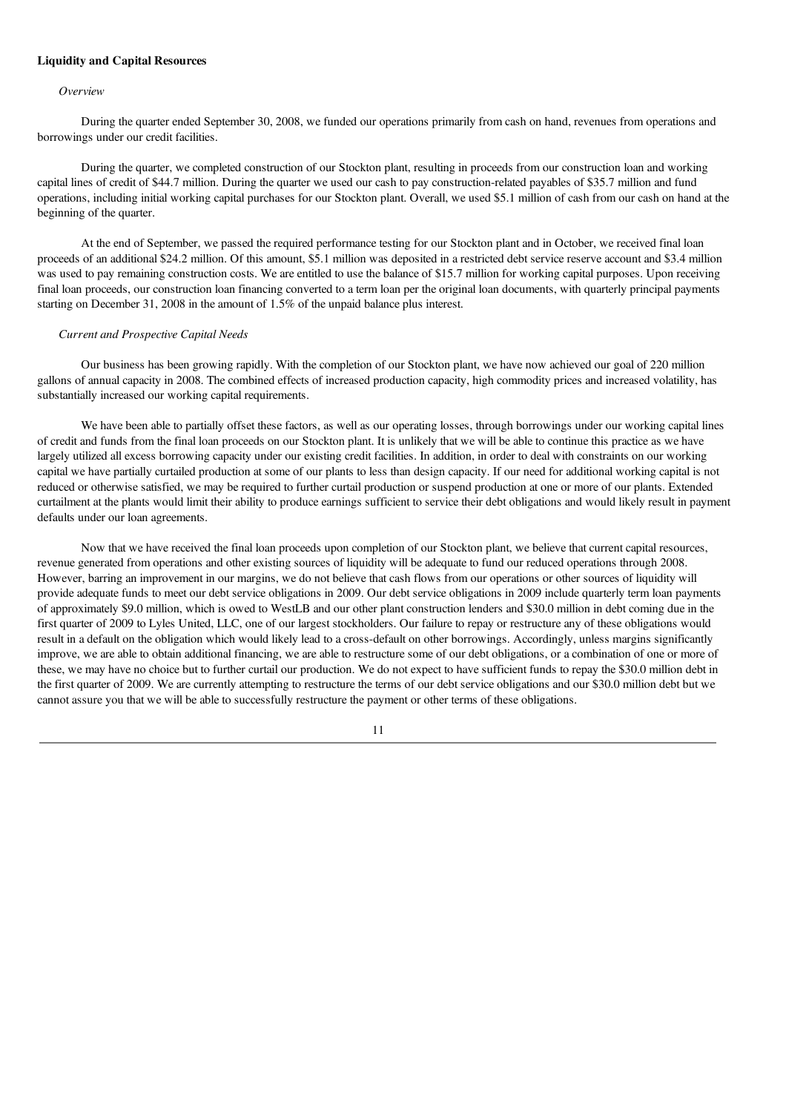#### Liquidity and Capital Resources

#### *Overview*

During the quarter ended September 30, 2008, we funded our operations primarily from cash on hand, revenues from operations and borrowings under our credit facilities.

During the quarter, we completed construction of our Stockton plant, resulting in proceeds from our construction loan and working capital lines of credit of \$44.7 million. During the quarter we used our cash to pay construction-related payables of \$35.7 million and fund operations, including initial working capital purchases for our Stockton plant. Overall, we used \$5.1 million of cash from our cash on hand at the beginning of the quarter.

At the end of September, we passed the required performance testing for our Stockton plant and in October, we received final loan proceeds of an additional \$24.2 million. Of this amount, \$5.1 million was deposited in a restricted debt service reserve account and \$3.4 million was used to pay remaining construction costs. We are entitled to use the balance of \$15.7 million for working capital purposes. Upon receiving final loan proceeds, our construction loan financing converted to a term loan per the original loan documents, with quarterly principal payments starting on December 31, 2008 in the amount of 1.5% of the unpaid balance plus interest.

#### *Current and Prospective Capital Needs*

Our business has been growing rapidly. With the completion of our Stockton plant, we have now achieved our goal of 220 million gallons of annual capacity in 2008. The combined effects of increased production capacity, high commodity prices and increased volatility, has substantially increased our working capital requirements.

We have been able to partially offset these factors, as well as our operating losses, through borrowings under our working capital lines of credit and funds from the final loan proceeds on our Stockton plant. It is unlikely that we will be able to continue this practice as we have largely utilized all excess borrowing capacity under our existing credit facilities. In addition, in order to deal with constraints on our working capital we have partially curtailed production at some of our plants to less than design capacity. If our need for additional working capital is not reduced or otherwise satisfied, we may be required to further curtail production or suspend production at one or more of our plants. Extended curtailment at the plants would limit their ability to produce earnings sufficient to service their debt obligations and would likely result in payment defaults under our loan agreements.

Now that we have received the final loan proceeds upon completion of our Stockton plant, we believe that current capital resources, revenue generated from operations and other existing sources of liquidity will be adequate to fund our reduced operations through 2008. However, barring an improvement in our margins, we do not believe that cash flows from our operations or other sources of liquidity will provide adequate funds to meet our debt service obligations in 2009. Our debt service obligations in 2009 include quarterly term loan payments of approximately \$9.0 million, which is owed to WestLB and our other plant construction lenders and \$30.0 million in debt coming due in the first quarter of 2009 to Lyles United, LLC, one of our largest stockholders. Our failure to repay or restructure any of these obligations would result in a default on the obligation which would likely lead to a cross-default on other borrowings. Accordingly, unless margins significantly improve, we are able to obtain additional financing, we are able to restructure some of our debt obligations, or a combination of one or more of these, we may have no choice but to further curtail our production. We do not expect to have sufficient funds to repay the \$30.0 million debt in the first quarter of 2009. We are currently attempting to restructure the terms of our debt service obligations and our \$30.0 million debt but we cannot assure you that we will be able to successfully restructure the payment or other terms of these obligations.

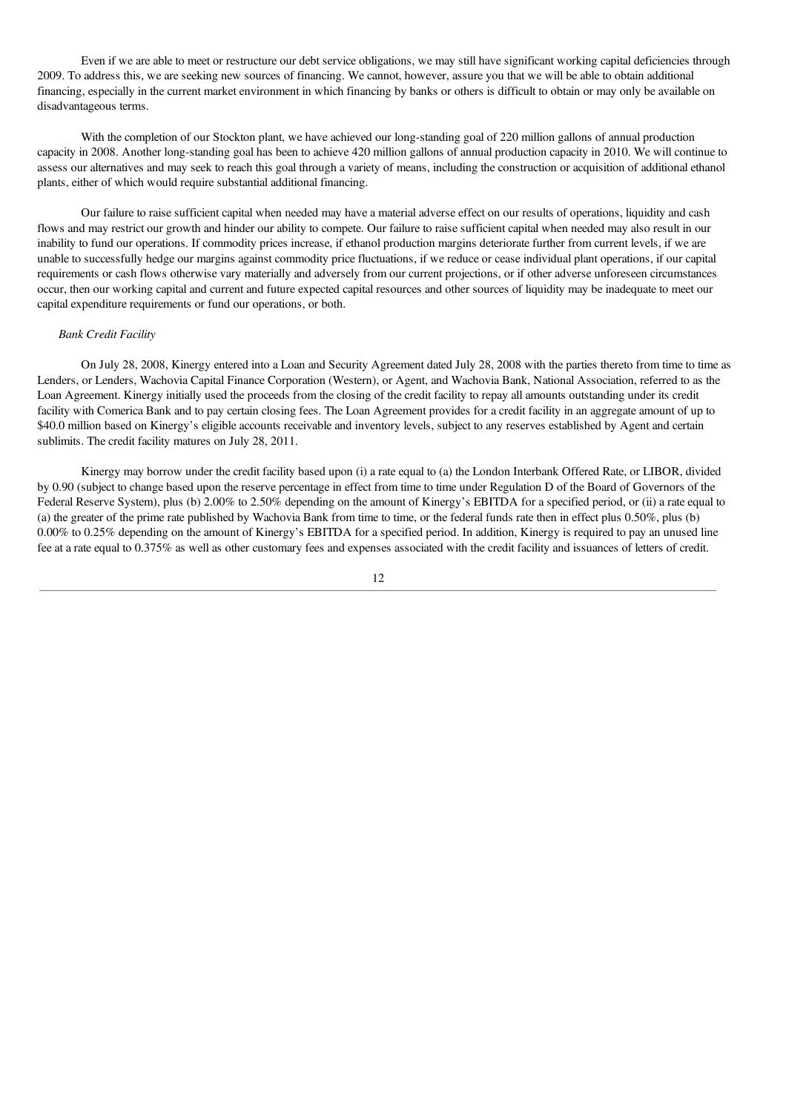Even if we are able to meet or restructure our debt service obligations, we may still have significant working capital deficiencies through 2009. To address this, we are seeking new sources of financing. We cannot, however, assure you that we will be able to obtain additional financing, especially in the current market environment in which financing by banks or others is difficult to obtain or may only be available on disadvantageous terms.

With the completion of our Stockton plant, we have achieved our long-standing goal of 220 million gallons of annual production capacity in 2008. Another long-standing goal has been to achieve 420 million gallons of annual production capacity in 2010. We will continue to assess our alternatives and may seek to reach this goal through a variety of means, including the construction or acquisition of additional ethanol plants, either of which would require substantial additional financing.

Our failure to raise sufficient capital when needed may have a material adverse effect on our results of operations, liquidity and cash flows and may restrict our growth and hinder our ability to compete. Our failure to raise sufficient capital when needed may also result in our inability to fund our operations. If commodity prices increase, if ethanol production margins deteriorate further from current levels, if we are unable to successfully hedge our margins against commodity price fluctuations, if we reduce or cease individual plant operations, if our capital requirements or cash flows otherwise vary materially and adversely from our current projections, or if other adverse unforeseen circumstances occur, then our working capital and current and future expected capital resources and other sources of liquidity may be inadequate to meet our capital expenditure requirements or fund our operations, or both.

#### *Bank Credit Facility*

On July 28, 2008, Kinergy entered into a Loan and Security Agreement dated July 28, 2008 with the parties thereto from time to time as Lenders, or Lenders, Wachovia Capital Finance Corporation (Western), or Agent, and Wachovia Bank, National Association, referred to as the Loan Agreement. Kinergy initially used the proceeds from the closing of the credit facility to repay all amounts outstanding under its credit facility with Comerica Bank and to pay certain closing fees. The Loan Agreement provides for a credit facility in an aggregate amount of up to \$40.0 million based on Kinergy's eligible accounts receivable and inventory levels, subject to any reserves established by Agent and certain sublimits. The credit facility matures on July 28, 2011.

Kinergy may borrow under the credit facility based upon (i) a rate equal to (a) the London Interbank Offered Rate, or LIBOR, divided by 0.90 (subject to change based upon the reserve percentage in effect from time to time under Regulation D of the Board of Governors of the Federal Reserve System), plus (b) 2.00% to 2.50% depending on the amount of Kinergy's EBITDA for a specified period, or (ii) a rate equal to (a) the greater of the prime rate published by Wachovia Bank from time to time, or the federal funds rate then in effect plus 0.50%, plus (b) 0.00% to 0.25% depending on the amount of Kinergy's EBITDA for a specified period. In addition, Kinergy is required to pay an unused line fee at a rate equal to 0.375% as well as other customary fees and expenses associated with the credit facility and issuances of letters of credit.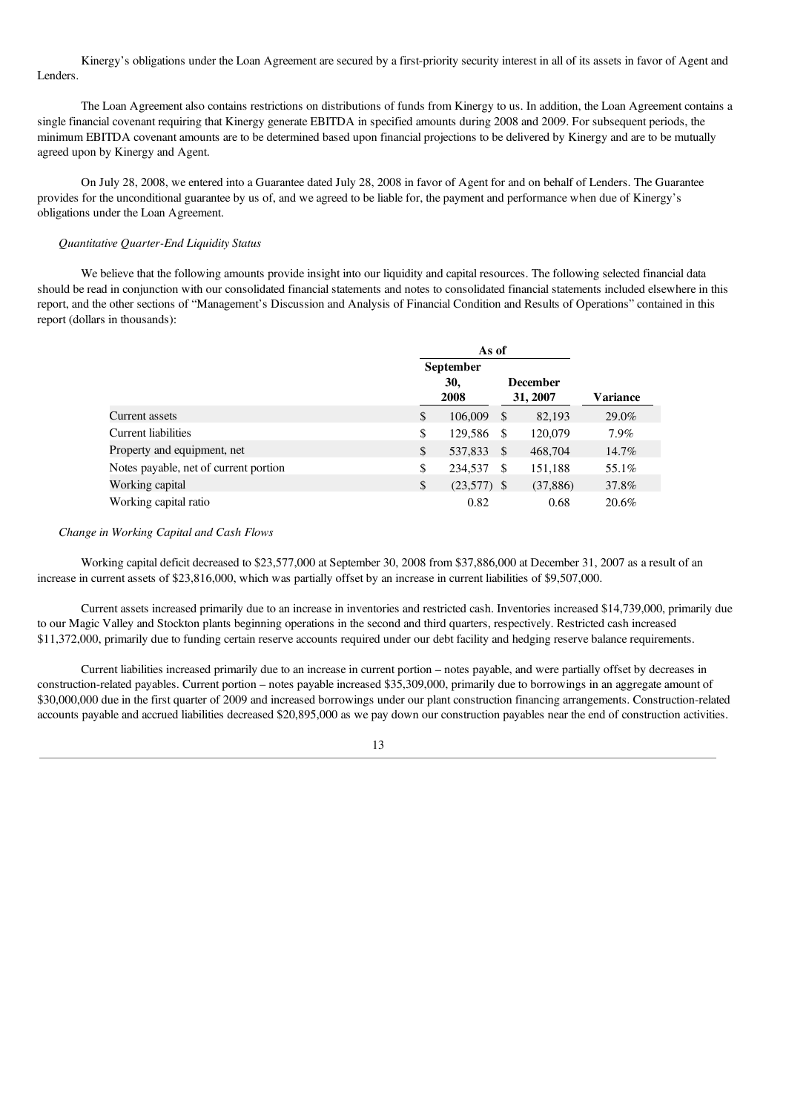Kinergy's obligations under the Loan Agreement are secured by a first-priority security interest in all of its assets in favor of Agent and Lenders.

The Loan Agreement also contains restrictions on distributions of funds from Kinergy to us. In addition, the Loan Agreement contains a single financial covenant requiring that Kinergy generate EBITDA in specified amounts during 2008 and 2009. For subsequent periods, the minimum EBITDA covenant amounts are to be determined based upon financial projections to be delivered by Kinergy and are to be mutually agreed upon by Kinergy and Agent.

On July 28, 2008, we entered into a Guarantee dated July 28, 2008 in favor of Agent for and on behalf of Lenders. The Guarantee provides for the unconditional guarantee by us of, and we agreed to be liable for, the payment and performance when due of Kinergy's obligations under the Loan Agreement.

#### *Quantitative Quarter-End Liquidity Status*

We believe that the following amounts provide insight into our liquidity and capital resources. The following selected financial data should be read in conjunction with our consolidated financial statements and notes to consolidated financial statements included elsewhere in this report, and the other sections of "Management's Discussion and Analysis of Financial Condition and Results of Operations" contained in this report (dollars in thousands):

|                                             | As of         |               |                 |          |  |  |  |
|---------------------------------------------|---------------|---------------|-----------------|----------|--|--|--|
|                                             | September     |               |                 |          |  |  |  |
|                                             | 30,           |               | <b>December</b> |          |  |  |  |
|                                             | 2008          |               | 31, 2007        | Variance |  |  |  |
| Current assets<br>\$                        | 106,009       | <sup>\$</sup> | 82,193          | 29.0%    |  |  |  |
| <b>Current liabilities</b><br>\$            | 129,586       | <sup>\$</sup> | 120,079         | 7.9%     |  |  |  |
| Property and equipment, net<br>\$           | 537,833       | - \$          | 468,704         | 14.7%    |  |  |  |
| Notes payable, net of current portion<br>\$ | 234,537       | -\$           | 151,188         | 55.1%    |  |  |  |
| Working capital<br>\$                       | $(23,577)$ \$ |               | (37, 886)       | 37.8%    |  |  |  |
| Working capital ratio                       | 0.82          |               | 0.68            | 20.6%    |  |  |  |

#### *Change in Working Capital and Cash Flows*

Working capital deficit decreased to \$23,577,000 at September 30, 2008 from \$37,886,000 at December 31, 2007 as a result of an increase in current assets of \$23,816,000, which was partially offset by an increase in current liabilities of \$9,507,000.

Current assets increased primarily due to an increase in inventories and restricted cash. Inventories increased \$14,739,000, primarily due to our Magic Valley and Stockton plants beginning operations in the second and third quarters, respectively. Restricted cash increased \$11,372,000, primarily due to funding certain reserve accounts required under our debt facility and hedging reserve balance requirements.

Current liabilities increased primarily due to an increase in current portion – notes payable, and were partially offset by decreases in construction-related payables. Current portion – notes payable increased \$35,309,000, primarily due to borrowings in an aggregate amount of \$30,000,000 due in the first quarter of 2009 and increased borrowings under our plant construction financing arrangements. Construction-related accounts payable and accrued liabilities decreased \$20,895,000 as we pay down our construction payables near the end of construction activities.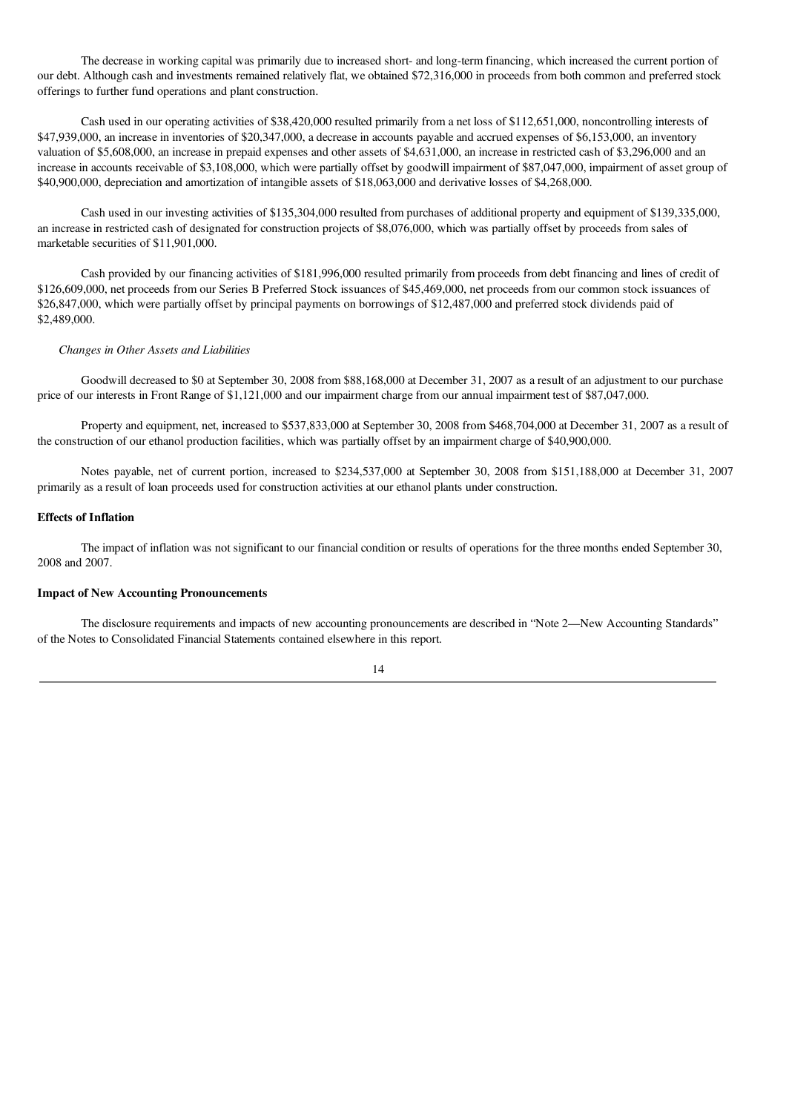The decrease in working capital was primarily due to increased short- and long-term financing, which increased the current portion of our debt. Although cash and investments remained relatively flat, we obtained \$72,316,000 in proceeds from both common and preferred stock offerings to further fund operations and plant construction.

Cash used in our operating activities of \$38,420,000 resulted primarily from a net loss of \$112,651,000, noncontrolling interests of \$47,939,000, an increase in inventories of \$20,347,000, a decrease in accounts payable and accrued expenses of \$6,153,000, an inventory valuation of \$5,608,000, an increase in prepaid expenses and other assets of \$4,631,000, an increase in restricted cash of \$3,296,000 and an increase in accounts receivable of \$3,108,000, which were partially offset by goodwill impairment of \$87,047,000, impairment of asset group of \$40,900,000, depreciation and amortization of intangible assets of \$18,063,000 and derivative losses of \$4,268,000.

Cash used in our investing activities of \$135,304,000 resulted from purchases of additional property and equipment of \$139,335,000, an increase in restricted cash of designated for construction projects of \$8,076,000, which was partially offset by proceeds from sales of marketable securities of \$11,901,000.

Cash provided by our financing activities of \$181,996,000 resulted primarily from proceeds from debt financing and lines of credit of \$126,609,000, net proceeds from our Series B Preferred Stock issuances of \$45,469,000, net proceeds from our common stock issuances of \$26,847,000, which were partially offset by principal payments on borrowings of \$12,487,000 and preferred stock dividends paid of \$2,489,000.

#### *Changes in Other Assets and Liabilities*

Goodwill decreased to \$0 at September 30, 2008 from \$88,168,000 at December 31, 2007 as a result of an adjustment to our purchase price of our interests in Front Range of \$1,121,000 and our impairment charge from our annual impairment test of \$87,047,000.

Property and equipment, net, increased to \$537,833,000 at September 30, 2008 from \$468,704,000 at December 31, 2007 as a result of the construction of our ethanol production facilities, which was partially offset by an impairment charge of \$40,900,000.

Notes payable, net of current portion, increased to \$234,537,000 at September 30, 2008 from \$151,188,000 at December 31, 2007 primarily as a result of loan proceeds used for construction activities at our ethanol plants under construction.

### Effects of Inflation

The impact of inflation was not significant to our financial condition or results of operations for the three months ended September 30, 2008 and 2007.

#### Impact of New Accounting Pronouncements

The disclosure requirements and impacts of new accounting pronouncements are described in "Note 2—New Accounting Standards" of the Notes to Consolidated Financial Statements contained elsewhere in this report.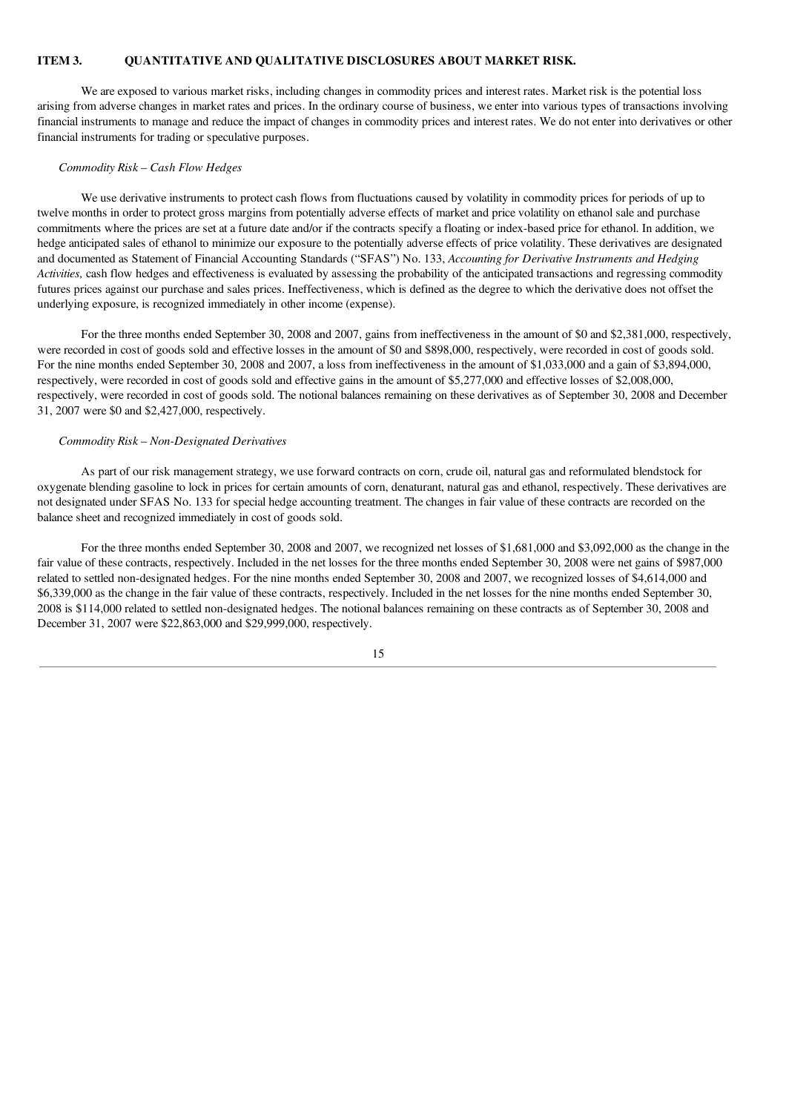### ITEM 3. QUANTITATIVE AND QUALITATIVE DISCLOSURES ABOUT MARKET RISK.

We are exposed to various market risks, including changes in commodity prices and interest rates. Market risk is the potential loss arising from adverse changes in market rates and prices. In the ordinary course of business, we enter into various types of transactions involving financial instruments to manage and reduce the impact of changes in commodity prices and interest rates. We do not enter into derivatives or other financial instruments for trading or speculative purposes.

### *Commodity Risk* – *Cash Flow Hedges*

We use derivative instruments to protect cash flows from fluctuations caused by volatility in commodity prices for periods of up to twelve months in order to protect gross margins from potentially adverse effects of market and price volatility on ethanol sale and purchase commitments where the prices are set at a future date and/or if the contracts specify a floating or index-based price for ethanol. In addition, we hedge anticipated sales of ethanol to minimize our exposure to the potentially adverse effects of price volatility. These derivatives are designated and documented as Statement of Financial Accounting Standards ("SFAS") No. 133, *Accounting for Derivative Instruments and Hedging Activities,* cash flow hedges and effectiveness is evaluated by assessing the probability of the anticipated transactions and regressing commodity futures prices against our purchase and sales prices. Ineffectiveness, which is defined as the degree to which the derivative does not offset the underlying exposure, is recognized immediately in other income (expense).

For the three months ended September 30, 2008 and 2007, gains from ineffectiveness in the amount of \$0 and \$2,381,000, respectively, were recorded in cost of goods sold and effective losses in the amount of \$0 and \$898,000, respectively, were recorded in cost of goods sold. For the nine months ended September 30, 2008 and 2007, a loss from ineffectiveness in the amount of \$1,033,000 and a gain of \$3,894,000, respectively, were recorded in cost of goods sold and effective gains in the amount of \$5,277,000 and effective losses of \$2,008,000, respectively, were recorded in cost of goods sold. The notional balances remaining on these derivatives as of September 30, 2008 and December 31, 2007 were \$0 and \$2,427,000, respectively.

### *Commodity Risk* – *Non-Designated Derivatives*

As part of our risk management strategy, we use forward contracts on corn, crude oil, natural gas and reformulated blendstock for oxygenate blending gasoline to lock in prices for certain amounts of corn, denaturant, natural gas and ethanol, respectively. These derivatives are not designated under SFAS No. 133 for special hedge accounting treatment. The changes in fair value of these contracts are recorded on the balance sheet and recognized immediately in cost of goods sold.

For the three months ended September 30, 2008 and 2007, we recognized net losses of \$1,681,000 and \$3,092,000 as the change in the fair value of these contracts, respectively. Included in the net losses for the three months ended September 30, 2008 were net gains of \$987,000 related to settled non-designated hedges. For the nine months ended September 30, 2008 and 2007, we recognized losses of \$4,614,000 and \$6,339,000 as the change in the fair value of these contracts, respectively. Included in the net losses for the nine months ended September 30, 2008 is \$114,000 related to settled non-designated hedges. The notional balances remaining on these contracts as of September 30, 2008 and December 31, 2007 were \$22,863,000 and \$29,999,000, respectively.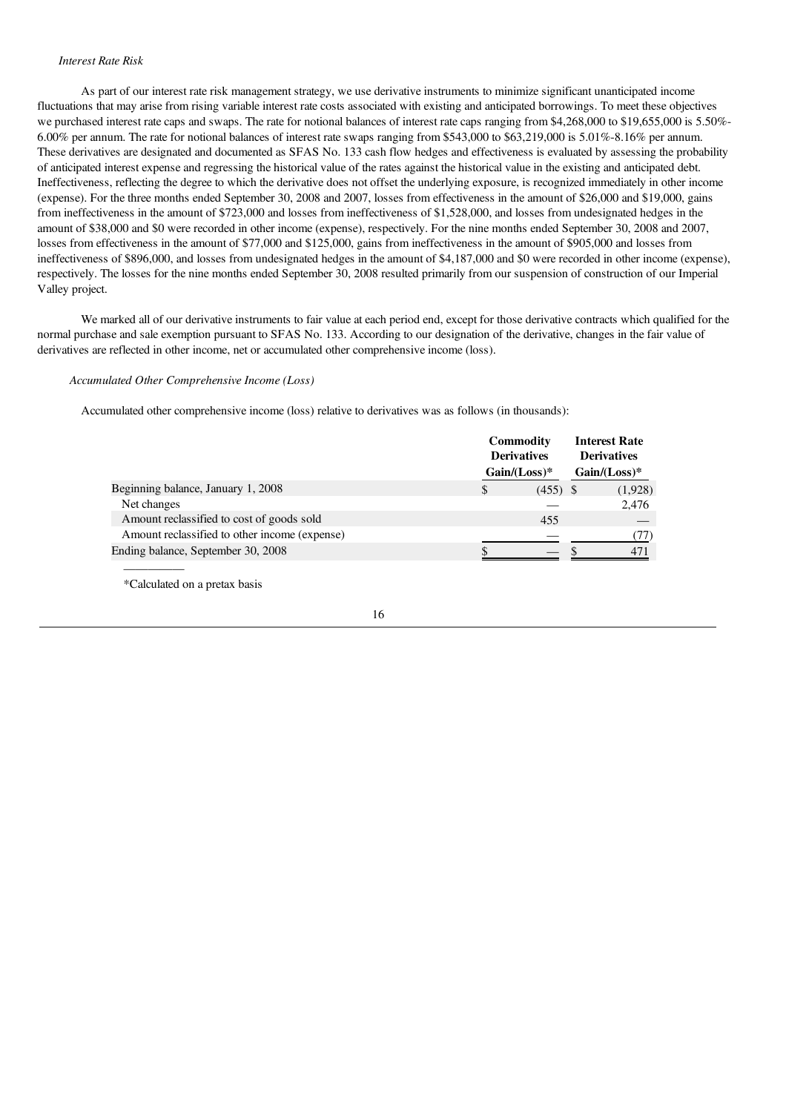#### *Interest Rate Risk*

As part of our interest rate risk management strategy, we use derivative instruments to minimize significant unanticipated income fluctuations that may arise from rising variable interest rate costs associated with existing and anticipated borrowings. To meet these objectives we purchased interest rate caps and swaps. The rate for notional balances of interest rate caps ranging from \$4,268,000 to \$19,655,000 is 5.50%- 6.00% per annum. The rate for notional balances of interest rate swaps ranging from \$543,000 to \$63,219,000 is 5.01%-8.16% per annum. These derivatives are designated and documented as SFAS No. 133 cash flow hedges and effectiveness is evaluated by assessing the probability of anticipated interest expense and regressing the historical value of the rates against the historical value in the existing and anticipated debt. Ineffectiveness, reflecting the degree to which the derivative does not offset the underlying exposure, is recognized immediately in other income (expense). For the three months ended September 30, 2008 and 2007, losses from effectiveness in the amount of \$26,000 and \$19,000, gains from ineffectiveness in the amount of \$723,000 and losses from ineffectiveness of \$1,528,000, and losses from undesignated hedges in the amount of \$38,000 and \$0 were recorded in other income (expense), respectively. For the nine months ended September 30, 2008 and 2007, losses from effectiveness in the amount of \$77,000 and \$125,000, gains from ineffectiveness in the amount of \$905,000 and losses from ineffectiveness of \$896,000, and losses from undesignated hedges in the amount of \$4,187,000 and \$0 were recorded in other income (expense), respectively. The losses for the nine months ended September 30, 2008 resulted primarily from our suspension of construction of our Imperial Valley project.

We marked all of our derivative instruments to fair value at each period end, except for those derivative contracts which qualified for the normal purchase and sale exemption pursuant to SFAS No. 133. According to our designation of the derivative, changes in the fair value of derivatives are reflected in other income, net or accumulated other comprehensive income (loss).

#### *Accumulated Other Comprehensive Income (Loss)*

Accumulated other comprehensive income (loss) relative to derivatives was as follows (in thousands):

|                                               | Commodity<br><b>Derivatives</b> |            | <b>Interest Rate</b><br><b>Derivatives</b> |                  |  |
|-----------------------------------------------|---------------------------------|------------|--------------------------------------------|------------------|--|
|                                               | $Gain / (Loss)*$                |            |                                            | $Gain / (Loss)*$ |  |
| Beginning balance, January 1, 2008            | S.                              | $(455)$ \$ |                                            | (1,928)          |  |
| Net changes                                   |                                 |            |                                            | 2,476            |  |
| Amount reclassified to cost of goods sold     |                                 | 455        |                                            |                  |  |
| Amount reclassified to other income (expense) |                                 |            |                                            |                  |  |
| Ending balance, September 30, 2008            |                                 |            |                                            | 471              |  |

\*Calculated on a pretax basis

—————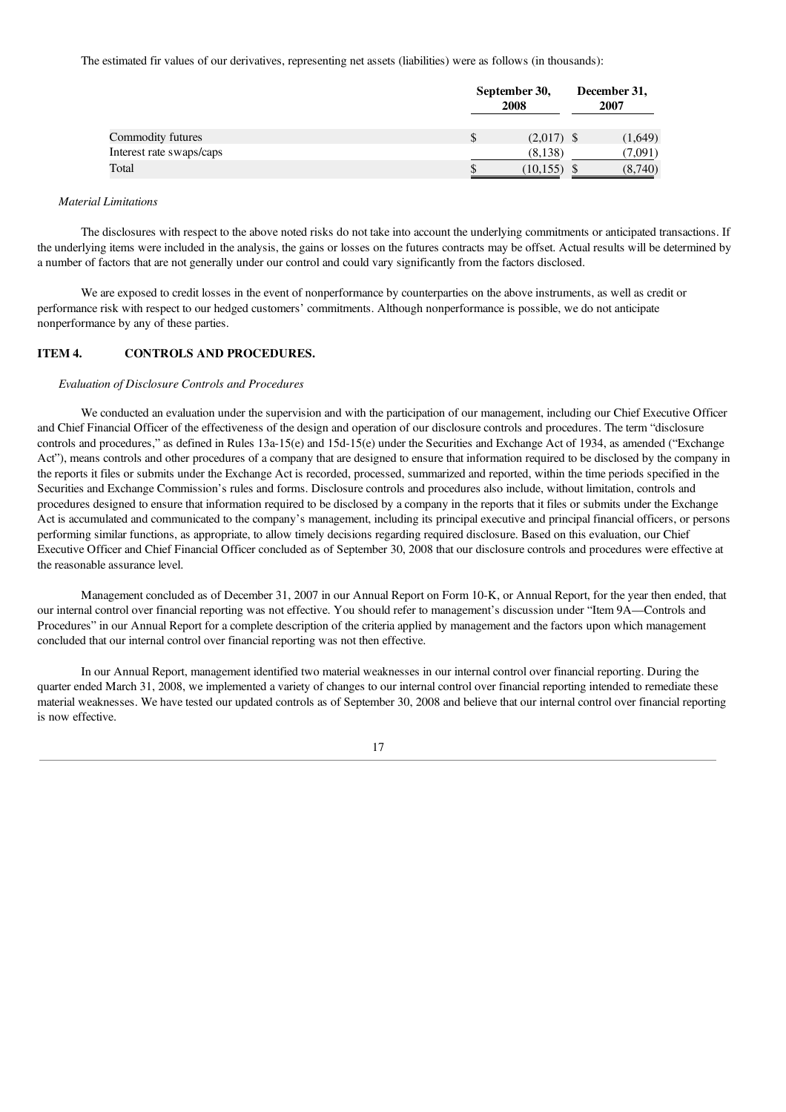The estimated fir values of our derivatives, representing net assets (liabilities) were as follows (in thousands):

|                          | September 30,<br>2008 | December 31,<br>2007 |         |  |
|--------------------------|-----------------------|----------------------|---------|--|
| Commodity futures        | \$<br>$(2,017)$ \$    |                      | (1,649) |  |
| Interest rate swaps/caps | (8, 138)              |                      | (7,091) |  |
| Total                    | (10, 155)             |                      | (8,740) |  |

#### *Material Limitations*

The disclosures with respect to the above noted risks do not take into account the underlying commitments or anticipated transactions. If the underlying items were included in the analysis, the gains or losses on the futures contracts may be offset. Actual results will be determined by a number of factors that are not generally under our control and could vary significantly from the factors disclosed.

We are exposed to credit losses in the event of nonperformance by counterparties on the above instruments, as well as credit or performance risk with respect to our hedged customers' commitments. Although nonperformance is possible, we do not anticipate nonperformance by any of these parties.

## ITEM 4. CONTROLS AND PROCEDURES.

#### *Evaluation of Disclosure Controls and Procedures*

We conducted an evaluation under the supervision and with the participation of our management, including our Chief Executive Officer and Chief Financial Officer of the effectiveness of the design and operation of our disclosure controls and procedures. The term "disclosure controls and procedures," as defined in Rules 13a-15(e) and 15d-15(e) under the Securities and Exchange Act of 1934, as amended ("Exchange Act"), means controls and other procedures of a company that are designed to ensure that information required to be disclosed by the company in the reports it files or submits under the Exchange Act is recorded, processed, summarized and reported, within the time periods specified in the Securities and Exchange Commission's rules and forms. Disclosure controls and procedures also include, without limitation, controls and procedures designed to ensure that information required to be disclosed by a company in the reports that it files or submits under the Exchange Act is accumulated and communicated to the company's management, including its principal executive and principal financial officers, or persons performing similar functions, as appropriate, to allow timely decisions regarding required disclosure. Based on this evaluation, our Chief Executive Officer and Chief Financial Officer concluded as of September 30, 2008 that our disclosure controls and procedures were effective at the reasonable assurance level.

Management concluded as of December 31, 2007 in our Annual Report on Form 10-K, or Annual Report, for the year then ended, that our internal control over financial reporting was not effective. You should refer to management's discussion under "Item 9A—Controls and Procedures" in our Annual Report for a complete description of the criteria applied by management and the factors upon which management concluded that our internal control over financial reporting was not then effective.

In our Annual Report, management identified two material weaknesses in our internal control over financial reporting. During the quarter ended March 31, 2008, we implemented a variety of changes to our internal control over financial reporting intended to remediate these material weaknesses. We have tested our updated controls as of September 30, 2008 and believe that our internal control over financial reporting is now effective.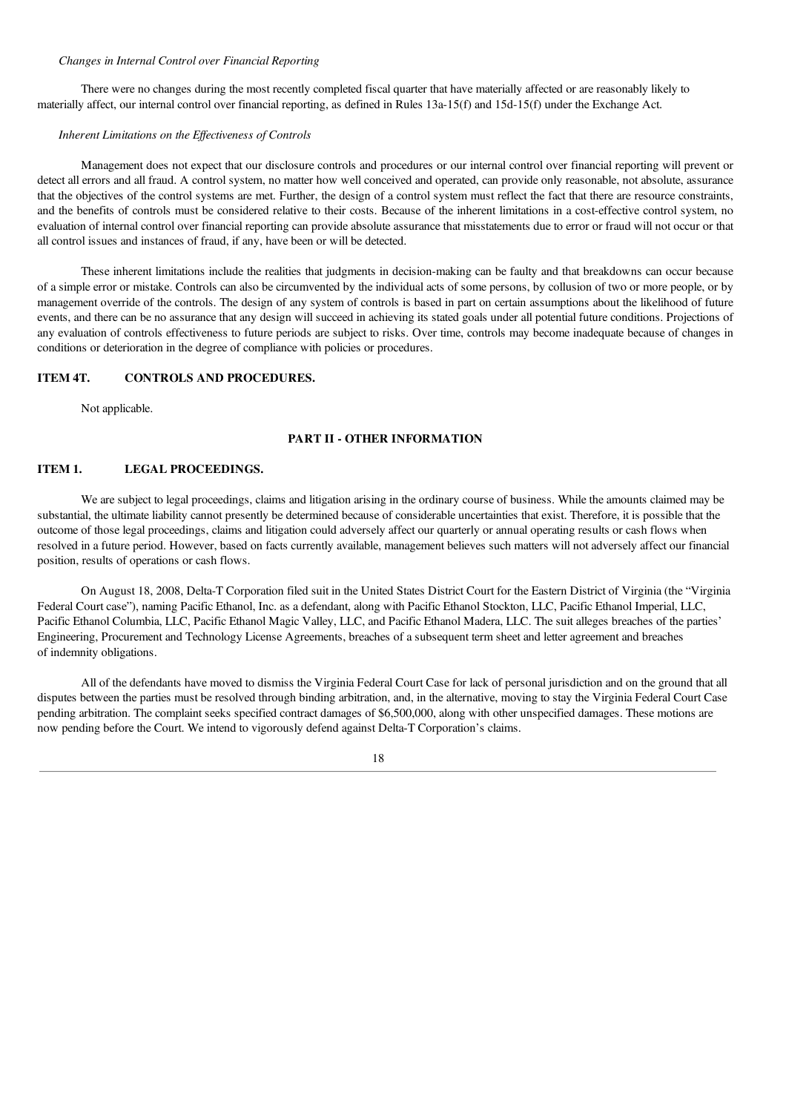#### *Changes in Internal Control over Financial Reporting*

There were no changes during the most recently completed fiscal quarter that have materially affected or are reasonably likely to materially affect, our internal control over financial reporting, as defined in Rules 13a-15(f) and 15d-15(f) under the Exchange Act.

### *Inherent Limitations on the Ef ectiveness of Controls*

Management does not expect that our disclosure controls and procedures or our internal control over financial reporting will prevent or detect all errors and all fraud. A control system, no matter how well conceived and operated, can provide only reasonable, not absolute, assurance that the objectives of the control systems are met. Further, the design of a control system must reflect the fact that there are resource constraints, and the benefits of controls must be considered relative to their costs. Because of the inherent limitations in a cost-effective control system, no evaluation of internal control over financial reporting can provide absolute assurance that misstatements due to error or fraud will not occur or that all control issues and instances of fraud, if any, have been or will be detected.

These inherent limitations include the realities that judgments in decision-making can be faulty and that breakdowns can occur because of a simple error or mistake. Controls can also be circumvented by the individual acts of some persons, by collusion of two or more people, or by management override of the controls. The design of any system of controls is based in part on certain assumptions about the likelihood of future events, and there can be no assurance that any design will succeed in achieving its stated goals under all potential future conditions. Projections of any evaluation of controls effectiveness to future periods are subject to risks. Over time, controls may become inadequate because of changes in conditions or deterioration in the degree of compliance with policies or procedures.

#### ITEM 4T. CONTROLS AND PROCEDURES.

Not applicable.

## PART II - OTHER INFORMATION

## ITEM 1. LEGAL PROCEEDINGS.

We are subject to legal proceedings, claims and litigation arising in the ordinary course of business. While the amounts claimed may be substantial, the ultimate liability cannot presently be determined because of considerable uncertainties that exist. Therefore, it is possible that the outcome of those legal proceedings, claims and litigation could adversely affect our quarterly or annual operating results or cash flows when resolved in a future period. However, based on facts currently available, management believes such matters will not adversely affect our financial position, results of operations or cash flows.

On August 18, 2008, Delta-T Corporation filed suit in the United States District Court for the Eastern District of Virginia (the "Virginia Federal Court case"), naming Pacific Ethanol, Inc. as a defendant, along with Pacific Ethanol Stockton, LLC, Pacific Ethanol Imperial, LLC, Pacific Ethanol Columbia, LLC, Pacific Ethanol Magic Valley, LLC, and Pacific Ethanol Madera, LLC. The suit alleges breaches of the parties' Engineering, Procurement and Technology License Agreements, breaches of a subsequent term sheet and letter agreement and breaches of indemnity obligations.

All of the defendants have moved to dismiss the Virginia Federal Court Case for lack of personal jurisdiction and on the ground that all disputes between the parties must be resolved through binding arbitration, and, in the alternative, moving to stay the Virginia Federal Court Case pending arbitration. The complaint seeks specified contract damages of \$6,500,000, along with other unspecified damages. These motions are now pending before the Court. We intend to vigorously defend against Delta-T Corporation's claims.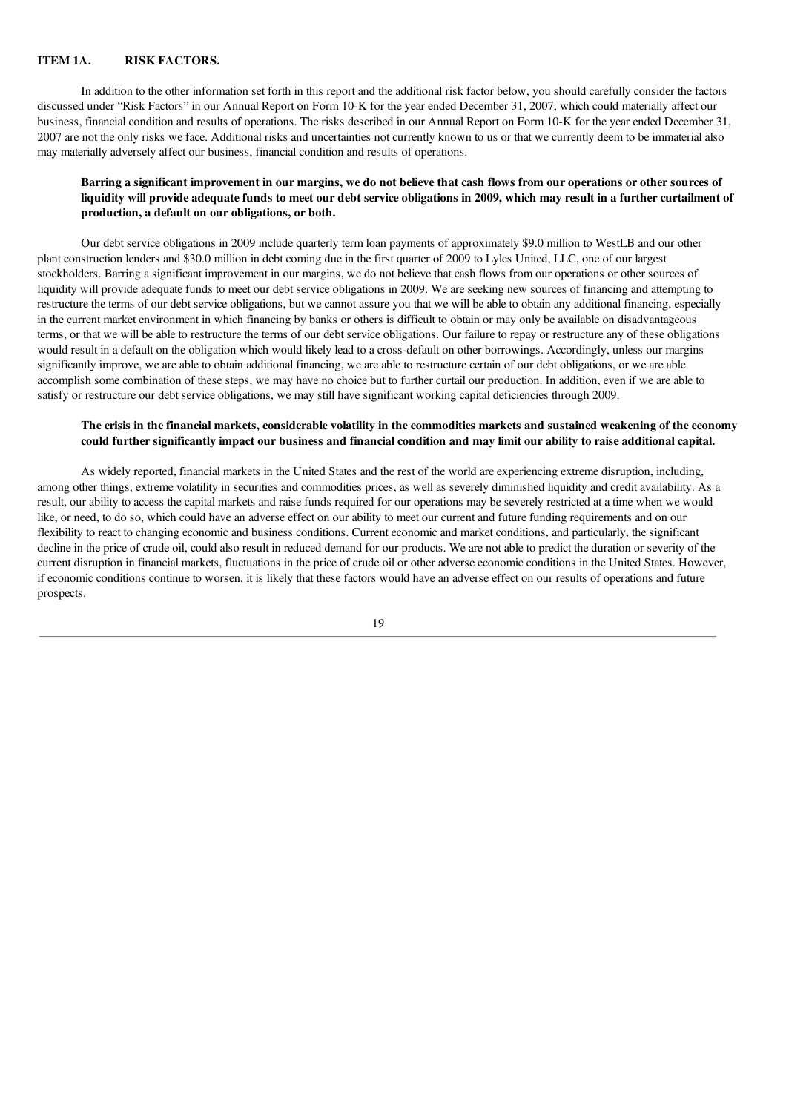### ITEM 1A. RISK FACTORS.

In addition to the other information set forth in this report and the additional risk factor below, you should carefully consider the factors discussed under "Risk Factors" in our Annual Report on Form 10-K for the year ended December 31, 2007, which could materially affect our business, financial condition and results of operations. The risks described in our Annual Report on Form 10-K for the year ended December 31, 2007 are not the only risks we face. Additional risks and uncertainties not currently known to us or that we currently deem to be immaterial also may materially adversely affect our business, financial condition and results of operations.

## Barring a significant improvement in our margins, we do not believe that cash flows from our operations or other sources of liquidity will provide adequate funds to meet our debt service obligations in 2009, which may result in a further curtailment of production, a default on our obligations, or both.

Our debt service obligations in 2009 include quarterly term loan payments of approximately \$9.0 million to WestLB and our other plant construction lenders and \$30.0 million in debt coming due in the first quarter of 2009 to Lyles United, LLC, one of our largest stockholders. Barring a significant improvement in our margins, we do not believe that cash flows from our operations or other sources of liquidity will provide adequate funds to meet our debt service obligations in 2009. We are seeking new sources of financing and attempting to restructure the terms of our debt service obligations, but we cannot assure you that we will be able to obtain any additional financing, especially in the current market environment in which financing by banks or others is difficult to obtain or may only be available on disadvantageous terms, or that we will be able to restructure the terms of our debt service obligations. Our failure to repay or restructure any of these obligations would result in a default on the obligation which would likely lead to a cross-default on other borrowings. Accordingly, unless our margins significantly improve, we are able to obtain additional financing, we are able to restructure certain of our debt obligations, or we are able accomplish some combination of these steps, we may have no choice but to further curtail our production. In addition, even if we are able to satisfy or restructure our debt service obligations, we may still have significant working capital deficiencies through 2009.

## The crisis in the financial markets, considerable volatility in the commodities markets and sustained weakening of the economy could further significantly impact our business and financial condition and may limit our ability to raise additional capital.

As widely reported, financial markets in the United States and the rest of the world are experiencing extreme disruption, including, among other things, extreme volatility in securities and commodities prices, as well as severely diminished liquidity and credit availability. As a result, our ability to access the capital markets and raise funds required for our operations may be severely restricted at a time when we would like, or need, to do so, which could have an adverse effect on our ability to meet our current and future funding requirements and on our flexibility to react to changing economic and business conditions. Current economic and market conditions, and particularly, the significant decline in the price of crude oil, could also result in reduced demand for our products. We are not able to predict the duration or severity of the current disruption in financial markets, fluctuations in the price of crude oil or other adverse economic conditions in the United States. However, if economic conditions continue to worsen, it is likely that these factors would have an adverse effect on our results of operations and future prospects.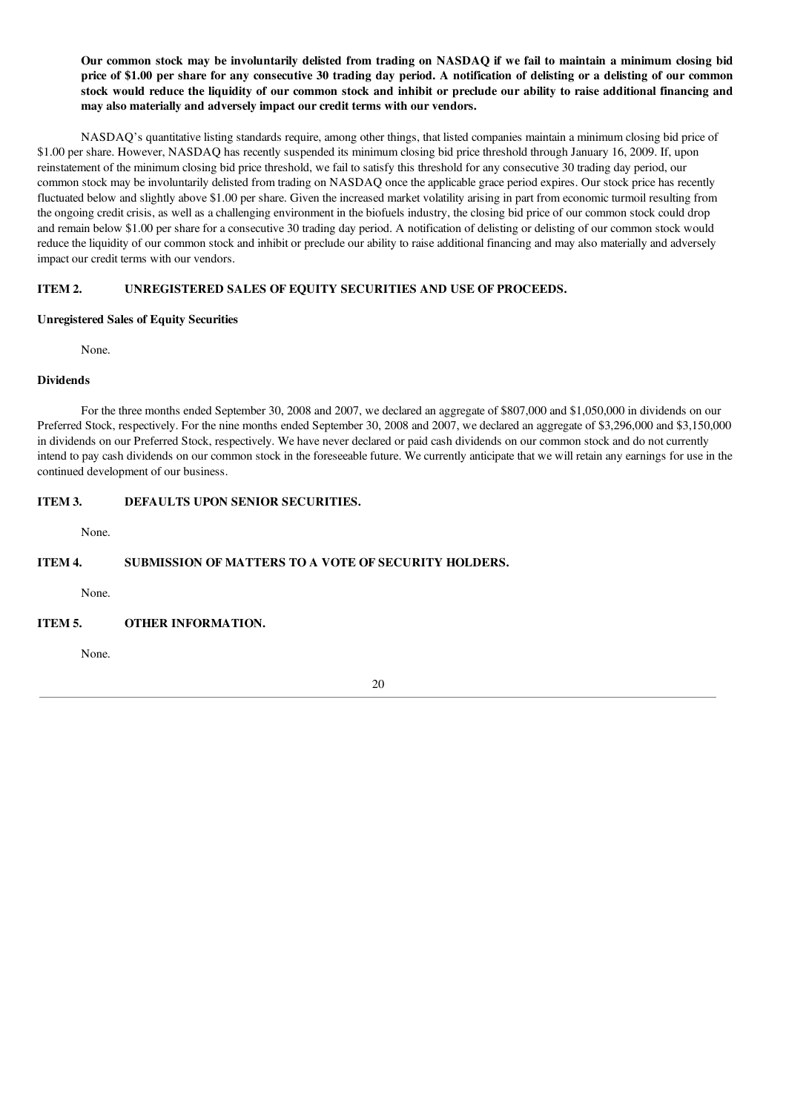Our common stock may be involuntarily delisted from trading on NASDAQ if we fail to maintain a minimum closing bid price of \$1.00 per share for any consecutive 30 trading day period. A notification of delisting or a delisting of our common stock would reduce the liquidity of our common stock and inhibit or preclude our ability to raise additional financing and may also materially and adversely impact our credit terms with our vendors.

NASDAQ's quantitative listing standards require, among other things, that listed companies maintain a minimum closing bid price of \$1.00 per share. However, NASDAQ has recently suspended its minimum closing bid price threshold through January 16, 2009. If, upon reinstatement of the minimum closing bid price threshold, we fail to satisfy this threshold for any consecutive 30 trading day period, our common stock may be involuntarily delisted from trading on NASDAQ once the applicable grace period expires. Our stock price has recently fluctuated below and slightly above \$1.00 per share. Given the increased market volatility arising in part from economic turmoil resulting from the ongoing credit crisis, as well as a challenging environment in the biofuels industry, the closing bid price of our common stock could drop and remain below \$1.00 per share for a consecutive 30 trading day period. A notification of delisting or delisting of our common stock would reduce the liquidity of our common stock and inhibit or preclude our ability to raise additional financing and may also materially and adversely impact our credit terms with our vendors.

## ITEM 2. UNREGISTERED SALES OF EQUITY SECURITIES AND USE OF PROCEEDS.

### Unregistered Sales of Equity Securities

None.

### Dividends

For the three months ended September 30, 2008 and 2007, we declared an aggregate of \$807,000 and \$1,050,000 in dividends on our Preferred Stock, respectively. For the nine months ended September 30, 2008 and 2007, we declared an aggregate of \$3,296,000 and \$3,150,000 in dividends on our Preferred Stock, respectively. We have never declared or paid cash dividends on our common stock and do not currently intend to pay cash dividends on our common stock in the foreseeable future. We currently anticipate that we will retain any earnings for use in the continued development of our business.

## ITEM 3. DEFAULTS UPON SENIOR SECURITIES.

None.

## ITEM 4. SUBMISSION OF MATTERS TO A VOTE OF SECURITY HOLDERS.

None.

## ITEM 5. OTHER INFORMATION.

None.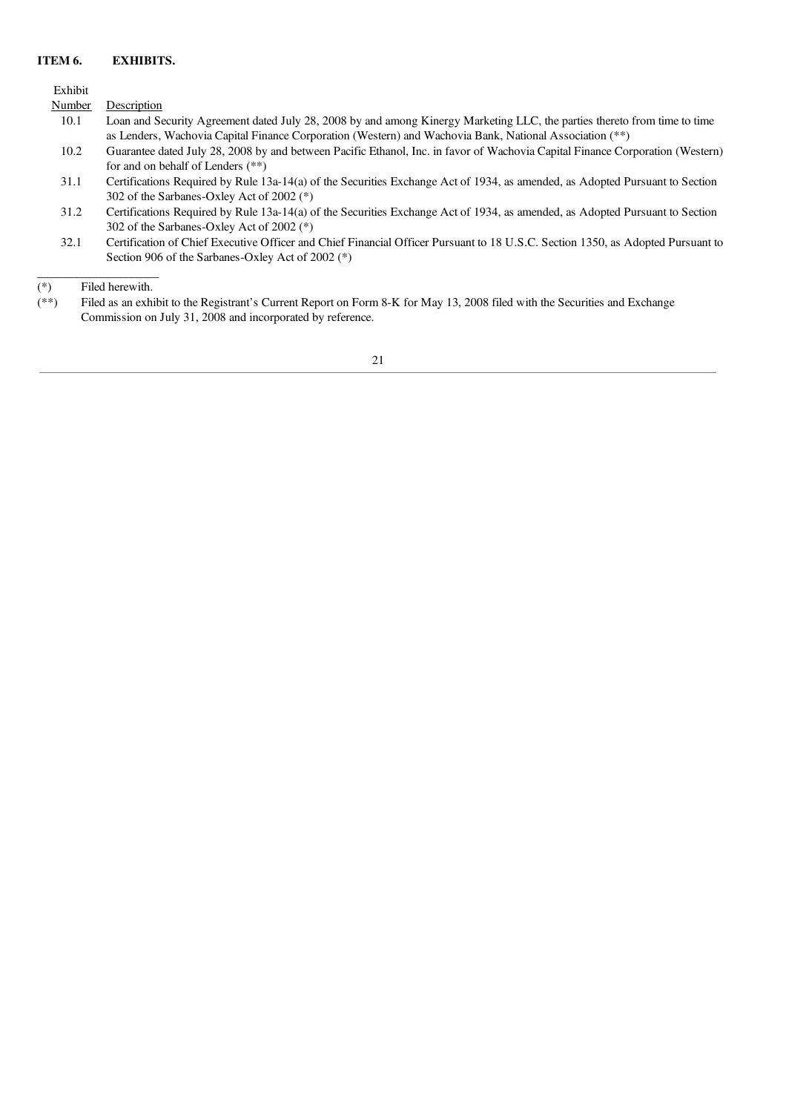### ITEM 6. EXHIBITS.

Number Description

- 10.1 Loan and Security Agreement dated July 28, 2008 by and among Kinergy Marketing LLC, the parties thereto from time to time as Lenders, Wachovia Capital Finance Corporation (Western) and Wachovia Bank, National Association (\*\*)
- 10.2 Guarantee dated July 28, 2008 by and between Pacific Ethanol, Inc. in favor of Wachovia Capital Finance Corporation (Western) for and on behalf of Lenders (\*\*)
- 31.1 Certifications Required by Rule 13a-14(a) of the Securities Exchange Act of 1934, as amended, as Adopted Pursuant to Section 302 of the Sarbanes-Oxley Act of 2002 (\*)
- 31.2 Certifications Required by Rule 13a-14(a) of the Securities Exchange Act of 1934, as amended, as Adopted Pursuant to Section 302 of the Sarbanes-Oxley Act of 2002 (\*)
- 32.1 Certification of Chief Executive Officer and Chief Financial Officer Pursuant to 18 U.S.C. Section 1350, as Adopted Pursuant to Section 906 of the Sarbanes-Oxley Act of 2002 (\*)

\_\_\_\_\_\_\_\_\_\_\_\_\_\_\_\_\_\_\_\_ (\*) Filed herewith.<br>  $(**)$  Filed as an exhi

Filed as an exhibit to the Registrant's Current Report on Form 8-K for May 13, 2008 filed with the Securities and Exchange Commission on July 31, 2008 and incorporated by reference.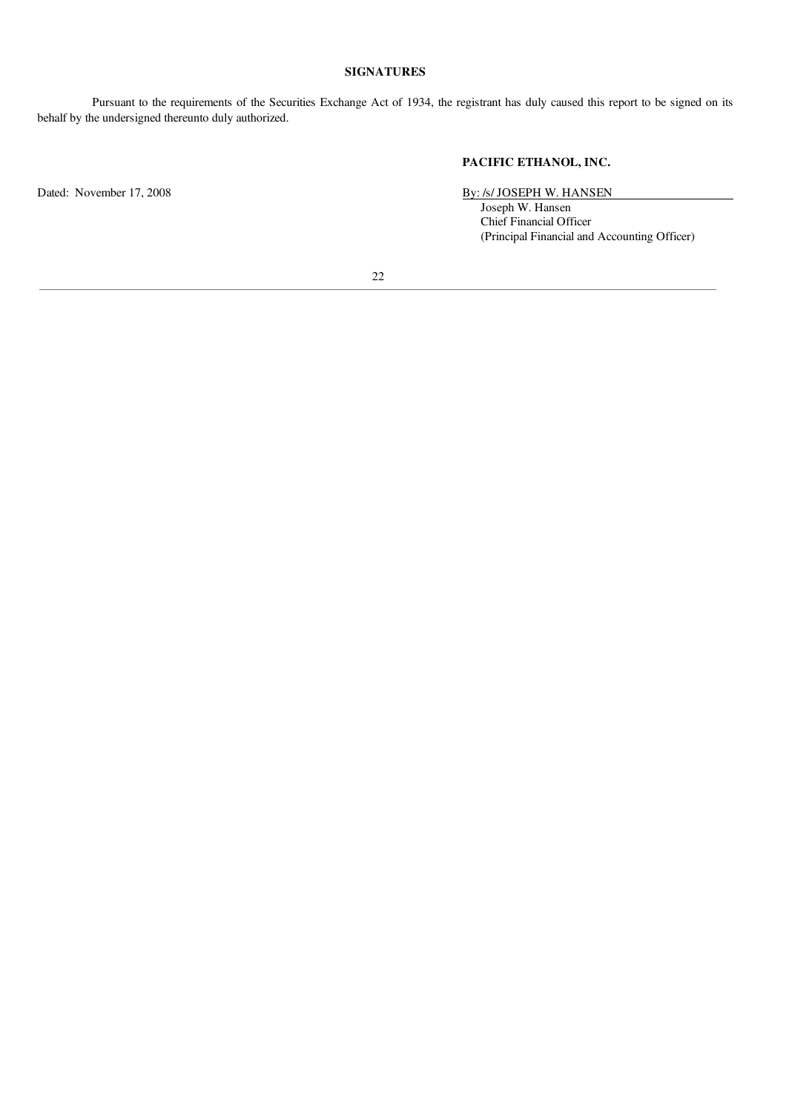## SIGNATURES

Pursuant to the requirements of the Securities Exchange Act of 1934, the registrant has duly caused this report to be signed on its behalf by the undersigned thereunto duly authorized.

PACIFIC ETHANOL, INC.

## Dated: November 17, 2008 By: /s/ JOSEPH W. HANSEN

Joseph W. Hansen Chief Financial Officer (Principal Financial and Accounting Officer)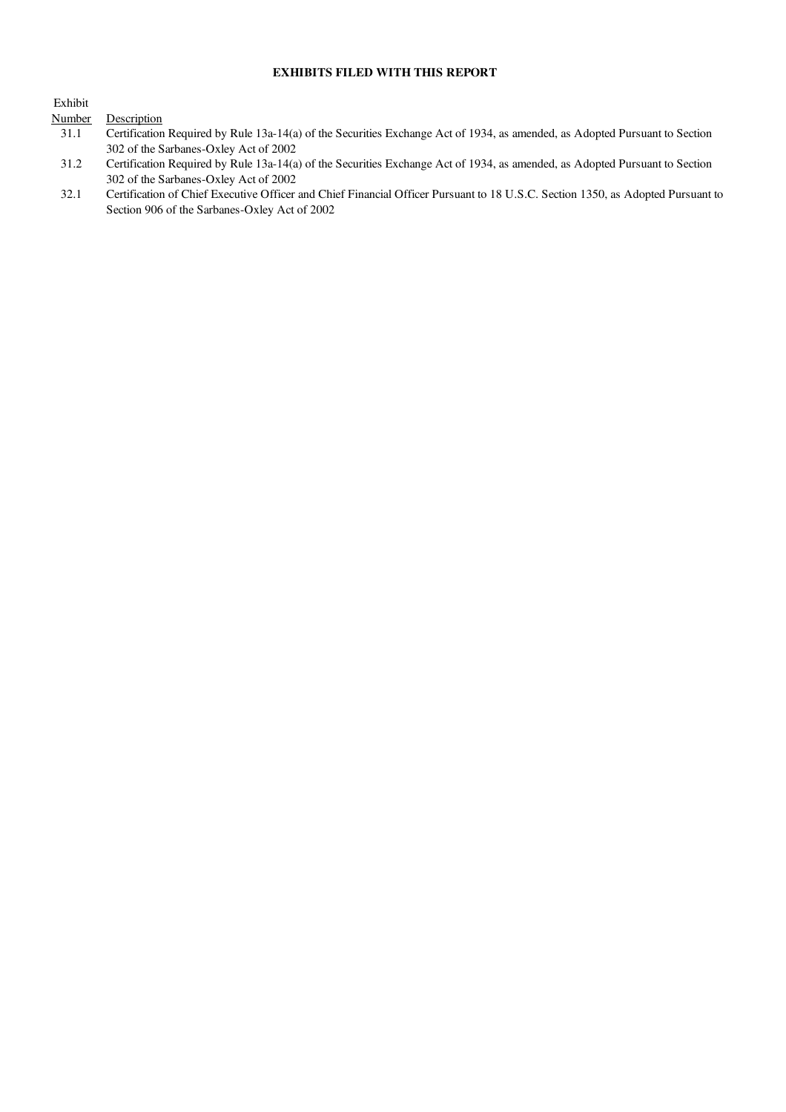## EXHIBITS FILED WITH THIS REPORT

Exhibit

### Number Description

- 31.1 Certification Required by Rule 13a-14(a) of the Securities Exchange Act of 1934, as amended, as Adopted Pursuant to Section 302 of the Sarbanes-Oxley Act of 2002
- 31.2 Certification Required by Rule 13a-14(a) of the Securities Exchange Act of 1934, as amended, as Adopted Pursuant to Section 302 of the Sarbanes-Oxley Act of 2002
- 32.1 Certification of Chief Executive Officer and Chief Financial Officer Pursuant to 18 U.S.C. Section 1350, as Adopted Pursuant to Section 906 of the Sarbanes-Oxley Act of 2002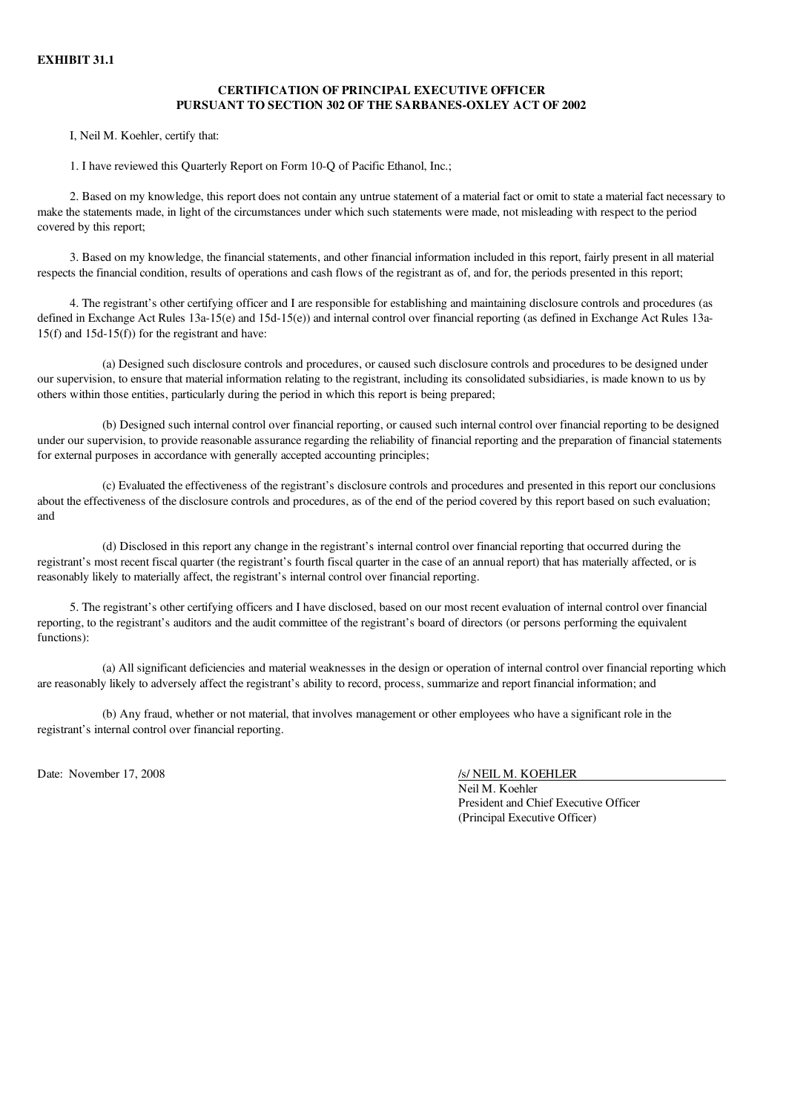### CERTIFICATION OF PRINCIPAL EXECUTIVE OFFICER PURSUANT TO SECTION 302 OF THE SARBANES-OXLEY ACT OF 2002

I, Neil M. Koehler, certify that:

1. I have reviewed this Quarterly Report on Form 10-Q of Pacific Ethanol, Inc.;

2. Based on my knowledge, this report does not contain any untrue statement of a material fact or omit to state a material fact necessary to make the statements made, in light of the circumstances under which such statements were made, not misleading with respect to the period covered by this report;

3. Based on my knowledge, the financial statements, and other financial information included in this report, fairly present in all material respects the financial condition, results of operations and cash flows of the registrant as of, and for, the periods presented in this report;

4. The registrant's other certifying officer and I are responsible for establishing and maintaining disclosure controls and procedures (as defined in Exchange Act Rules 13a-15(e) and 15d-15(e)) and internal control over financial reporting (as defined in Exchange Act Rules 13a-15(f) and 15d-15(f)) for the registrant and have:

(a) Designed such disclosure controls and procedures, or caused such disclosure controls and procedures to be designed under our supervision, to ensure that material information relating to the registrant, including its consolidated subsidiaries, is made known to us by others within those entities, particularly during the period in which this report is being prepared;

(b) Designed such internal control over financial reporting, or caused such internal control over financial reporting to be designed under our supervision, to provide reasonable assurance regarding the reliability of financial reporting and the preparation of financial statements for external purposes in accordance with generally accepted accounting principles;

(c) Evaluated the effectiveness of the registrant's disclosure controls and procedures and presented in this report our conclusions about the effectiveness of the disclosure controls and procedures, as of the end of the period covered by this report based on such evaluation; and

(d) Disclosed in this report any change in the registrant's internal control over financial reporting that occurred during the registrant's most recent fiscal quarter (the registrant's fourth fiscal quarter in the case of an annual report) that has materially affected, or is reasonably likely to materially affect, the registrant's internal control over financial reporting.

5. The registrant's other certifying officers and I have disclosed, based on our most recent evaluation of internal control over financial reporting, to the registrant's auditors and the audit committee of the registrant's board of directors (or persons performing the equivalent functions):

(a) All significant deficiencies and material weaknesses in the design or operation of internal control over financial reporting which are reasonably likely to adversely affect the registrant's ability to record, process, summarize and report financial information; and

(b) Any fraud, whether or not material, that involves management or other employees who have a significant role in the registrant's internal control over financial reporting.

Date: November 17, 2008 /s/ NEIL M. KOEHLER

Neil M. Koehler President and Chief Executive Officer (Principal Executive Officer)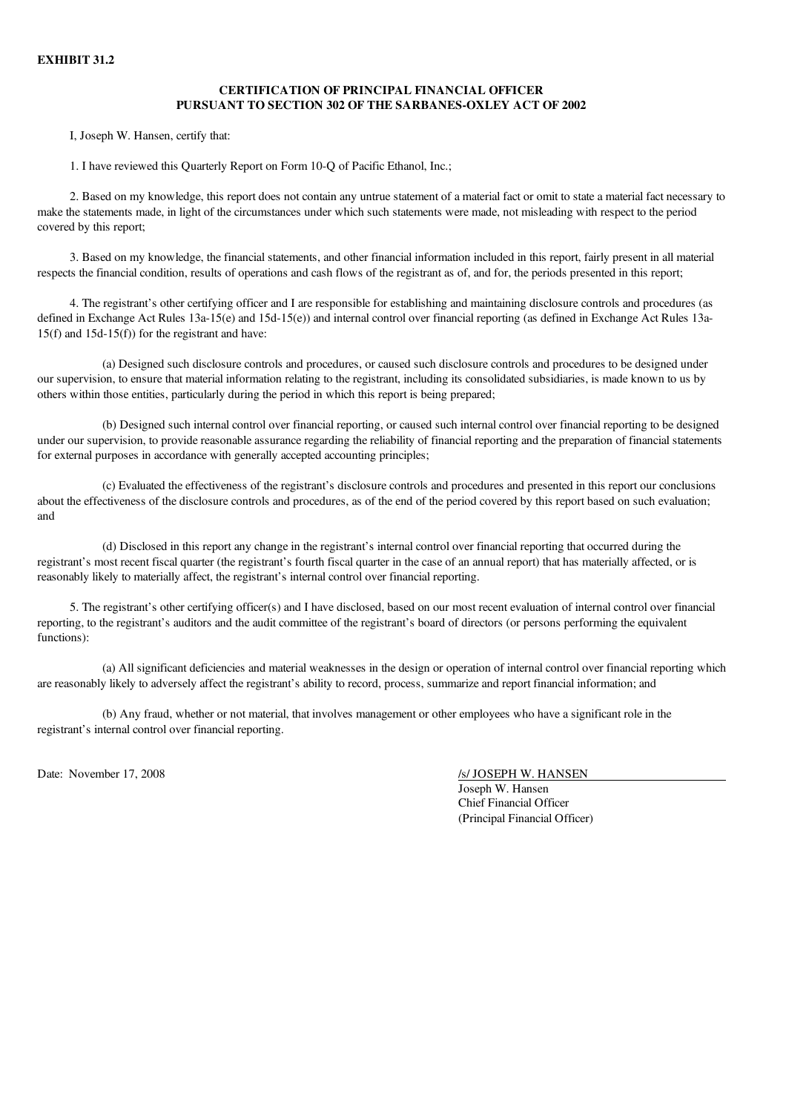### CERTIFICATION OF PRINCIPAL FINANCIAL OFFICER PURSUANT TO SECTION 302 OF THE SARBANES-OXLEY ACT OF 2002

I, Joseph W. Hansen, certify that:

1. I have reviewed this Quarterly Report on Form 10-Q of Pacific Ethanol, Inc.;

2. Based on my knowledge, this report does not contain any untrue statement of a material fact or omit to state a material fact necessary to make the statements made, in light of the circumstances under which such statements were made, not misleading with respect to the period covered by this report;

3. Based on my knowledge, the financial statements, and other financial information included in this report, fairly present in all material respects the financial condition, results of operations and cash flows of the registrant as of, and for, the periods presented in this report;

4. The registrant's other certifying officer and I are responsible for establishing and maintaining disclosure controls and procedures (as defined in Exchange Act Rules 13a-15(e) and 15d-15(e)) and internal control over financial reporting (as defined in Exchange Act Rules 13a-15(f) and 15d-15(f)) for the registrant and have:

(a) Designed such disclosure controls and procedures, or caused such disclosure controls and procedures to be designed under our supervision, to ensure that material information relating to the registrant, including its consolidated subsidiaries, is made known to us by others within those entities, particularly during the period in which this report is being prepared;

(b) Designed such internal control over financial reporting, or caused such internal control over financial reporting to be designed under our supervision, to provide reasonable assurance regarding the reliability of financial reporting and the preparation of financial statements for external purposes in accordance with generally accepted accounting principles;

(c) Evaluated the effectiveness of the registrant's disclosure controls and procedures and presented in this report our conclusions about the effectiveness of the disclosure controls and procedures, as of the end of the period covered by this report based on such evaluation; and

(d) Disclosed in this report any change in the registrant's internal control over financial reporting that occurred during the registrant's most recent fiscal quarter (the registrant's fourth fiscal quarter in the case of an annual report) that has materially affected, or is reasonably likely to materially affect, the registrant's internal control over financial reporting.

5. The registrant's other certifying officer(s) and I have disclosed, based on our most recent evaluation of internal control over financial reporting, to the registrant's auditors and the audit committee of the registrant's board of directors (or persons performing the equivalent functions):

(a) All significant deficiencies and material weaknesses in the design or operation of internal control over financial reporting which are reasonably likely to adversely affect the registrant's ability to record, process, summarize and report financial information; and

(b) Any fraud, whether or not material, that involves management or other employees who have a significant role in the registrant's internal control over financial reporting.

Date: November 17, 2008 /s/ JOSEPH W. HANSEN

Joseph W. Hansen Chief Financial Officer (Principal Financial Officer)